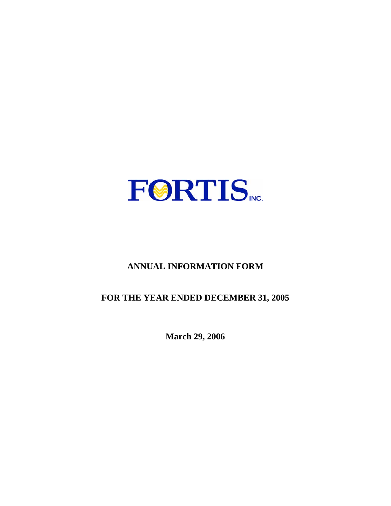

# **ANNUAL INFORMATION FORM**

# **FOR THE YEAR ENDED DECEMBER 31, 2005**

**March 29, 2006**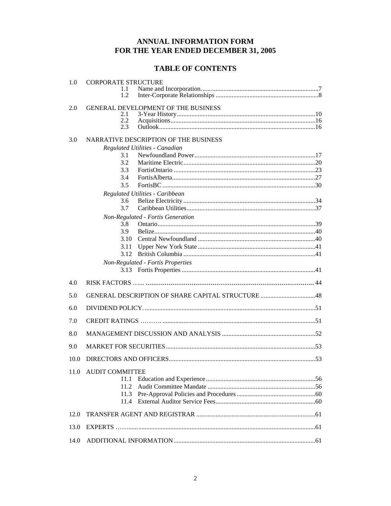# ANNUAL INFORMATION FORM FOR THE YEAR ENDED DECEMBER 31, 2005

# **TABLE OF CONTENTS**

| 1.0  | <b>CORPORATE STRUCTURE</b>                 |
|------|--------------------------------------------|
|      | 1.1<br>1.2                                 |
| 2.0  | <b>GENERAL DEVELOPMENT OF THE BUSINESS</b> |
|      | 2.1                                        |
|      | 2.2<br>2.3                                 |
|      |                                            |
| 3.0  | NARRATIVE DESCRIPTION OF THE BUSINESS      |
|      | Regulated Utilities - Canadian             |
|      | 3.1                                        |
|      | 3.2                                        |
|      | 3.3                                        |
|      | 3.4<br>3.5                                 |
|      |                                            |
|      | Regulated Utilities - Caribbean<br>3.6     |
|      | 3.7                                        |
|      | Non-Regulated - Fortis Generation          |
|      | 3.8                                        |
|      | 3.9                                        |
|      | 3.10                                       |
|      | 3.11                                       |
|      | 3.12                                       |
|      | Non-Regulated - Fortis Properties          |
|      | 3.13                                       |
| 4.0  |                                            |
| 5.0  |                                            |
| 6.0  |                                            |
| 7.0  |                                            |
| 8.0  |                                            |
| 9.0  |                                            |
| 10.0 |                                            |
|      | 11.0 AUDIT COMMITTEE                       |
|      | 11.1                                       |
|      | 11.2                                       |
|      | 11.3                                       |
|      | 11.4                                       |
| 12.0 |                                            |
| 13.0 |                                            |
| 14.0 |                                            |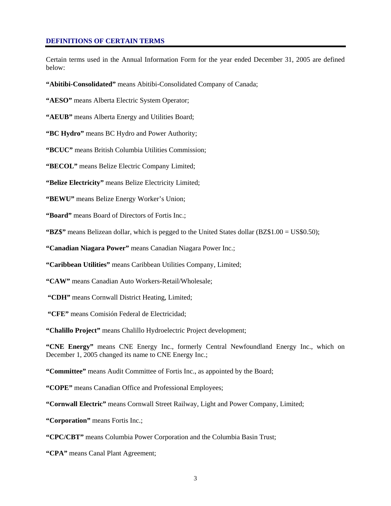#### **DEFINITIONS OF CERTAIN TERMS**

Certain terms used in the Annual Information Form for the year ended December 31, 2005 are defined below:

**"Abitibi-Consolidated"** means Abitibi-Consolidated Company of Canada;

**"AESO"** means Alberta Electric System Operator;

**"AEUB"** means Alberta Energy and Utilities Board;

**"BC Hydro"** means BC Hydro and Power Authority;

**"BCUC"** means British Columbia Utilities Commission;

**"BECOL"** means Belize Electric Company Limited;

**"Belize Electricity"** means Belize Electricity Limited;

**"BEWU"** means Belize Energy Worker's Union;

**"Board"** means Board of Directors of Fortis Inc.;

**"BZ\$"** means Belizean dollar, which is pegged to the United States dollar (BZ\$1.00 = US\$0.50);

**"Canadian Niagara Power"** means Canadian Niagara Power Inc.;

**"Caribbean Utilities"** means Caribbean Utilities Company, Limited;

**"CAW"** means Canadian Auto Workers-Retail/Wholesale;

 **"CDH"** means Cornwall District Heating, Limited;

 **"CFE"** means Comisión Federal de Electricidad;

**"Chalillo Project"** means Chalillo Hydroelectric Project development;

**"CNE Energy"** means CNE Energy Inc., formerly Central Newfoundland Energy Inc., which on December 1, 2005 changed its name to CNE Energy Inc.;

**"Committee"** means Audit Committee of Fortis Inc., as appointed by the Board;

**"COPE"** means Canadian Office and Professional Employees;

**"Cornwall Electric"** means Cornwall Street Railway, Light and Power Company, Limited;

**"Corporation"** means Fortis Inc.;

**"CPC/CBT"** means Columbia Power Corporation and the Columbia Basin Trust;

**"CPA"** means Canal Plant Agreement;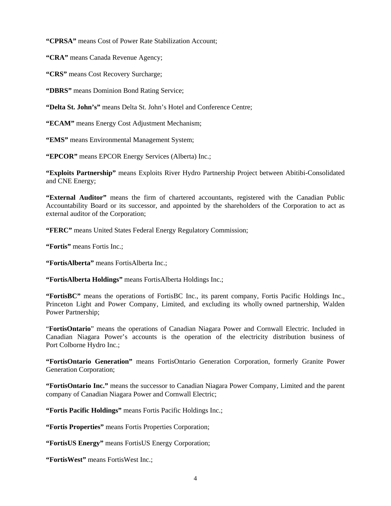**"CPRSA"** means Cost of Power Rate Stabilization Account;

**"CRA"** means Canada Revenue Agency;

**"CRS"** means Cost Recovery Surcharge;

**"DBRS"** means Dominion Bond Rating Service;

**"Delta St. John's"** means Delta St. John's Hotel and Conference Centre;

**"ECAM"** means Energy Cost Adjustment Mechanism;

**"EMS"** means Environmental Management System;

**"EPCOR"** means EPCOR Energy Services (Alberta) Inc.;

**"Exploits Partnership"** means Exploits River Hydro Partnership Project between Abitibi-Consolidated and CNE Energy;

**"External Auditor"** means the firm of chartered accountants, registered with the Canadian Public Accountability Board or its successor, and appointed by the shareholders of the Corporation to act as external auditor of the Corporation;

**"FERC"** means United States Federal Energy Regulatory Commission;

**"Fortis"** means Fortis Inc.;

**"FortisAlberta"** means FortisAlberta Inc.;

**"FortisAlberta Holdings"** means FortisAlberta Holdings Inc.;

**"FortisBC"** means the operations of FortisBC Inc., its parent company, Fortis Pacific Holdings Inc., Princeton Light and Power Company, Limited, and excluding its wholly owned partnership, Walden Power Partnership;

"**FortisOntario**" means the operations of Canadian Niagara Power and Cornwall Electric. Included in Canadian Niagara Power's accounts is the operation of the electricity distribution business of Port Colborne Hydro Inc.;

**"FortisOntario Generation"** means FortisOntario Generation Corporation, formerly Granite Power Generation Corporation;

**"FortisOntario Inc."** means the successor to Canadian Niagara Power Company, Limited and the parent company of Canadian Niagara Power and Cornwall Electric;

**"Fortis Pacific Holdings"** means Fortis Pacific Holdings Inc.;

**"Fortis Properties"** means Fortis Properties Corporation;

**"FortisUS Energy"** means FortisUS Energy Corporation;

**"FortisWest"** means FortisWest Inc.;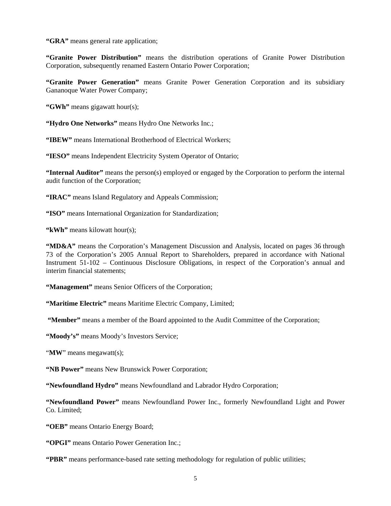**"GRA"** means general rate application;

**"Granite Power Distribution"** means the distribution operations of Granite Power Distribution Corporation, subsequently renamed Eastern Ontario Power Corporation;

**"Granite Power Generation"** means Granite Power Generation Corporation and its subsidiary Gananoque Water Power Company;

**"GWh"** means gigawatt hour(s);

**"Hydro One Networks"** means Hydro One Networks Inc.;

**"IBEW"** means International Brotherhood of Electrical Workers;

**"IESO"** means Independent Electricity System Operator of Ontario;

**"Internal Auditor"** means the person(s) employed or engaged by the Corporation to perform the internal audit function of the Corporation;

**"IRAC"** means Island Regulatory and Appeals Commission;

**"ISO"** means International Organization for Standardization;

**"kWh"** means kilowatt hour(s);

**"MD&A"** means the Corporation's Management Discussion and Analysis, located on pages 36 through 73 of the Corporation's 2005 Annual Report to Shareholders, prepared in accordance with National Instrument 51-102 – Continuous Disclosure Obligations, in respect of the Corporation's annual and interim financial statements;

**"Management"** means Senior Officers of the Corporation;

**"Maritime Electric"** means Maritime Electric Company, Limited;

 **"Member"** means a member of the Board appointed to the Audit Committee of the Corporation;

**"Moody's"** means Moody's Investors Service;

"**MW**" means megawatt(s);

**"NB Power"** means New Brunswick Power Corporation;

**"Newfoundland Hydro"** means Newfoundland and Labrador Hydro Corporation;

**"Newfoundland Power"** means Newfoundland Power Inc., formerly Newfoundland Light and Power Co. Limited;

**"OEB"** means Ontario Energy Board;

**"OPGI"** means Ontario Power Generation Inc.;

**"PBR"** means performance-based rate setting methodology for regulation of public utilities;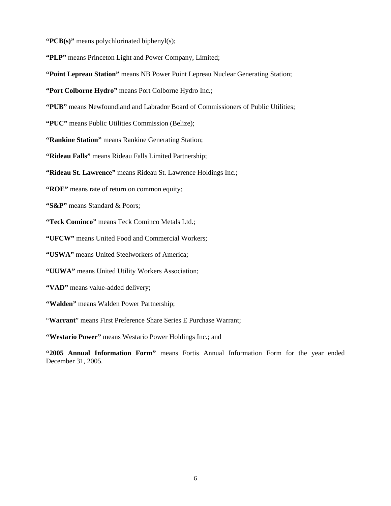**"PCB(s)"** means polychlorinated biphenyl(s);

**"PLP"** means Princeton Light and Power Company, Limited;

**"Point Lepreau Station"** means NB Power Point Lepreau Nuclear Generating Station;

**"Port Colborne Hydro"** means Port Colborne Hydro Inc.;

**"PUB"** means Newfoundland and Labrador Board of Commissioners of Public Utilities;

**"PUC"** means Public Utilities Commission (Belize);

**"Rankine Station"** means Rankine Generating Station;

**"Rideau Falls"** means Rideau Falls Limited Partnership;

**"Rideau St. Lawrence"** means Rideau St. Lawrence Holdings Inc.;

**"ROE"** means rate of return on common equity;

**"S&P"** means Standard & Poors;

**"Teck Cominco"** means Teck Cominco Metals Ltd.;

**"UFCW"** means United Food and Commercial Workers;

**"USWA"** means United Steelworkers of America;

**"UUWA"** means United Utility Workers Association;

**"VAD"** means value-added delivery;

**"Walden"** means Walden Power Partnership;

"**Warrant**" means First Preference Share Series E Purchase Warrant;

**"Westario Power"** means Westario Power Holdings Inc.; and

**"2005 Annual Information Form"** means Fortis Annual Information Form for the year ended December 31, 2005.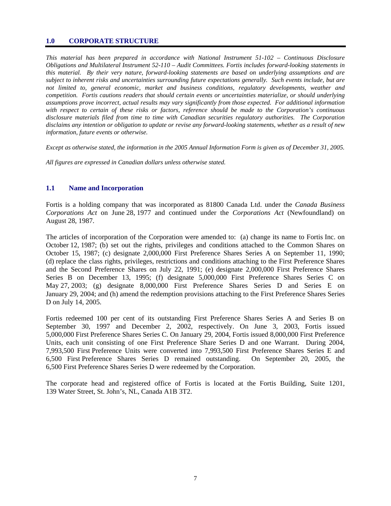#### **1.0 CORPORATE STRUCTURE**

*This material has been prepared in accordance with National Instrument 51-102 – Continuous Disclosure Obligations and Multilateral Instrument 52-110 – Audit Committees. Fortis includes forward-looking statements in this material. By their very nature, forward-looking statements are based on underlying assumptions and are subject to inherent risks and uncertainties surrounding future expectations generally. Such events include, but are not limited to, general economic, market and business conditions, regulatory developments, weather and competition. Fortis cautions readers that should certain events or uncertainties materialize, or should underlying assumptions prove incorrect, actual results may vary significantly from those expected. For additional information with respect to certain of these risks or factors, reference should be made to the Corporation's continuous disclosure materials filed from time to time with Canadian securities regulatory authorities. The Corporation disclaims any intention or obligation to update or revise any forward-looking statements, whether as a result of new information, future events or otherwise.* 

*Except as otherwise stated, the information in the 2005 Annual Information Form is given as of December 31, 2005.* 

*All figures are expressed in Canadian dollars unless otherwise stated.* 

## **1.1 Name and Incorporation**

Fortis is a holding company that was incorporated as 81800 Canada Ltd. under the *Canada Business Corporations Act* on June 28, 1977 and continued under the *Corporations Act* (Newfoundland) on August 28, 1987.

The articles of incorporation of the Corporation were amended to: (a) change its name to Fortis Inc. on October 12, 1987; (b) set out the rights, privileges and conditions attached to the Common Shares on October 15, 1987; (c) designate 2,000,000 First Preference Shares Series A on September 11, 1990; (d) replace the class rights, privileges, restrictions and conditions attaching to the First Preference Shares and the Second Preference Shares on July 22, 1991; (e) designate 2,000,000 First Preference Shares Series B on December 13, 1995; (f) designate 5,000,000 First Preference Shares Series C on May 27, 2003; (g) designate 8,000,000 First Preference Shares Series D and Series E on January 29, 2004; and (h) amend the redemption provisions attaching to the First Preference Shares Series D on July 14, 2005.

Fortis redeemed 100 per cent of its outstanding First Preference Shares Series A and Series B on September 30, 1997 and December 2, 2002, respectively. On June 3, 2003, Fortis issued 5,000,000 First Preference Shares Series C. On January 29, 2004, Fortis issued 8,000,000 First Preference Units, each unit consisting of one First Preference Share Series D and one Warrant. During 2004, 7,993,500 First Preference Units were converted into 7,993,500 First Preference Shares Series E and 6,500 First Preference Shares Series D remained outstanding. On September 20, 2005, the 6,500 First Preference Shares Series D were redeemed by the Corporation.

The corporate head and registered office of Fortis is located at the Fortis Building, Suite 1201, 139 Water Street, St. John's, NL, Canada A1B 3T2.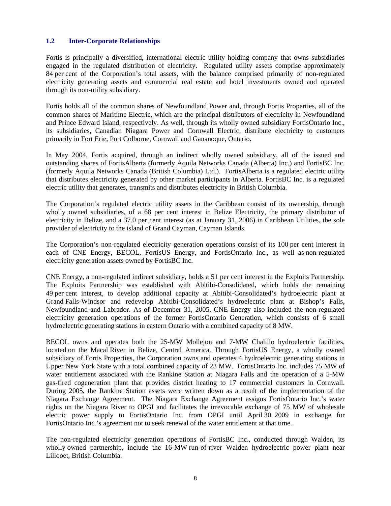## **1.2 Inter-Corporate Relationships**

Fortis is principally a diversified, international electric utility holding company that owns subsidiaries engaged in the regulated distribution of electricity. Regulated utility assets comprise approximately 84 per cent of the Corporation's total assets, with the balance comprised primarily of non-regulated electricity generating assets and commercial real estate and hotel investments owned and operated through its non-utility subsidiary.

Fortis holds all of the common shares of Newfoundland Power and, through Fortis Properties, all of the common shares of Maritime Electric, which are the principal distributors of electricity in Newfoundland and Prince Edward Island, respectively. As well, through its wholly owned subsidiary FortisOntario Inc., its subsidiaries, Canadian Niagara Power and Cornwall Electric, distribute electricity to customers primarily in Fort Erie, Port Colborne, Cornwall and Gananoque, Ontario.

In May 2004, Fortis acquired, through an indirect wholly owned subsidiary, all of the issued and outstanding shares of FortisAlberta (formerly Aquila Networks Canada (Alberta) Inc.) and FortisBC Inc. (formerly Aquila Networks Canada (British Columbia) Ltd.). FortisAlberta is a regulated electric utility that distributes electricity generated by other market participants in Alberta. FortisBC Inc. is a regulated electric utility that generates, transmits and distributes electricity in British Columbia.

The Corporation's regulated electric utility assets in the Caribbean consist of its ownership, through wholly owned subsidiaries, of a 68 per cent interest in Belize Electricity, the primary distributor of electricity in Belize, and a 37.0 per cent interest (as at January 31, 2006) in Caribbean Utilities, the sole provider of electricity to the island of Grand Cayman, Cayman Islands.

The Corporation's non-regulated electricity generation operations consist of its 100 per cent interest in each of CNE Energy, BECOL, FortisUS Energy, and FortisOntario Inc., as well as non-regulated electricity generation assets owned by FortisBC Inc.

CNE Energy, a non-regulated indirect subsidiary, holds a 51 per cent interest in the Exploits Partnership. The Exploits Partnership was established with Abitibi-Consolidated, which holds the remaining 49 per cent interest, to develop additional capacity at Abitibi-Consolidated's hydroelectric plant at Grand Falls-Windsor and redevelop Abitibi-Consolidated's hydroelectric plant at Bishop's Falls, Newfoundland and Labrador. As of December 31, 2005, CNE Energy also included the non-regulated electricity generation operations of the former FortisOntario Generation, which consists of 6 small hydroelectric generating stations in eastern Ontario with a combined capacity of 8 MW.

BECOL owns and operates both the 25-MW Mollejon and 7-MW Chalillo hydroelectric facilities, located on the Macal River in Belize, Central America. Through FortisUS Energy, a wholly owned subsidiary of Fortis Properties, the Corporation owns and operates 4 hydroelectric generating stations in Upper New York State with a total combined capacity of 23 MW. FortisOntario Inc. includes 75 MW of water entitlement associated with the Rankine Station at Niagara Falls and the operation of a 5-MW gas-fired cogeneration plant that provides district heating to 17 commercial customers in Cornwall. During 2005, the Rankine Station assets were written down as a result of the implementation of the Niagara Exchange Agreement. The Niagara Exchange Agreement assigns FortisOntario Inc.'s water rights on the Niagara River to OPGI and facilitates the irrevocable exchange of 75 MW of wholesale electric power supply to FortisOntario Inc. from OPGI until April 30, 2009 in exchange for FortisOntario Inc.'s agreement not to seek renewal of the water entitlement at that time.

The non-regulated electricity generation operations of FortisBC Inc., conducted through Walden, its wholly owned partnership, include the 16-MW run-of-river Walden hydroelectric power plant near Lillooet, British Columbia.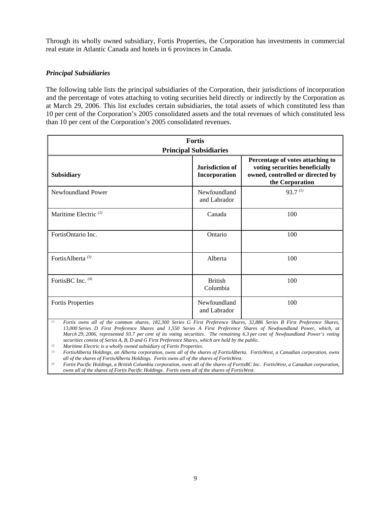Through its wholly owned subsidiary, Fortis Properties, the Corporation has investments in commercial real estate in Atlantic Canada and hotels in 6 provinces in Canada.

## *Principal Subsidiaries*

The following table lists the principal subsidiaries of the Corporation, their jurisdictions of incorporation and the percentage of votes attaching to voting securities held directly or indirectly by the Corporation as at March 29, 2006. This list excludes certain subsidiaries, the total assets of which constituted less than 10 per cent of the Corporation's 2005 consolidated assets and the total revenues of which constituted less than 10 per cent of the Corporation's 2005 consolidated revenues.

| <b>Fortis</b>                                                                                                                    |                                  |                                                                                                                           |  |  |  |  |
|----------------------------------------------------------------------------------------------------------------------------------|----------------------------------|---------------------------------------------------------------------------------------------------------------------------|--|--|--|--|
|                                                                                                                                  | <b>Principal Subsidiaries</b>    |                                                                                                                           |  |  |  |  |
| Subsidiary                                                                                                                       | Jurisdiction of<br>Incorporation | Percentage of votes attaching to<br>voting securities beneficially<br>owned, controlled or directed by<br>the Corporation |  |  |  |  |
| Newfoundland Power                                                                                                               | Newfoundland<br>and Labrador     | 93.7 $(1)$                                                                                                                |  |  |  |  |
| Maritime Electric <sup>(2)</sup>                                                                                                 | Canada                           | 100                                                                                                                       |  |  |  |  |
| FortisOntario Inc.                                                                                                               | Ontario                          | 100                                                                                                                       |  |  |  |  |
| FortisAlberta <sup>(3)</sup>                                                                                                     | Alberta                          | 100                                                                                                                       |  |  |  |  |
| FortisBC Inc. (4)                                                                                                                | <b>British</b><br>Columbia       | 100                                                                                                                       |  |  |  |  |
| <b>Fortis Properties</b>                                                                                                         | Newfoundland<br>and Labrador     | 100                                                                                                                       |  |  |  |  |
| Eartis avus all of the common shares, 182,300 Series C First Professoree Shares, 32,886 Series R First Professoree Shares<br>(1) |                                  |                                                                                                                           |  |  |  |  |

*<sup>(1)</sup> Fortis owns all of the common shares, 182,300 Series G First Preference Shares, 32,886 Series B First Preference Shares, 13,000 Series D First Preference Shares and 1,550 Series A First Preference Shares of Newfoundland Power, which, at March 29, 2006, represented 93.7 per cent of its voting securities. The remaining 6.3 per cent of Newfoundland Power's voting securities consist of Series A, B, D and G First Preference Shares, which are held by the public.* 

*(2) Maritime Electric is a wholly owned subsidiary of Fortis Properties.* 

*(3) FortisAlberta Holdings, an Alberta corporation, owns all of the shares of FortisAlberta. FortisWest, a Canadian corporation, owns all of the shares of FortisAlberta Holdings. Fortis owns all of the shares of FortisWest.* 

*(4) Fortis Pacific Holdings, a British Columbia corporation, owns all of the shares of FortisBC Inc. FortisWest, a Canadian corporation, owns all of the shares of Fortis Pacific Holdings. Fortis owns all of the shares of FortisWest.*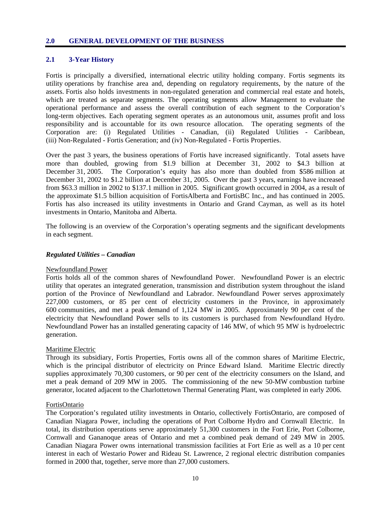#### **2.0 GENERAL DEVELOPMENT OF THE BUSINESS**

## **2.1 3-Year History**

Fortis is principally a diversified, international electric utility holding company. Fortis segments its utility operations by franchise area and, depending on regulatory requirements, by the nature of the assets. Fortis also holds investments in non-regulated generation and commercial real estate and hotels, which are treated as separate segments. The operating segments allow Management to evaluate the operational performance and assess the overall contribution of each segment to the Corporation's long-term objectives. Each operating segment operates as an autonomous unit, assumes profit and loss responsibility and is accountable for its own resource allocation. The operating segments of the Corporation are: (i) Regulated Utilities - Canadian, (ii) Regulated Utilities - Caribbean, (iii) Non-Regulated - Fortis Generation; and (iv) Non-Regulated - Fortis Properties.

Over the past 3 years, the business operations of Fortis have increased significantly. Total assets have more than doubled, growing from \$1.9 billion at December 31, 2002 to \$4.3 billion at December 31, 2005. The Corporation's equity has also more than doubled from \$586 million at December 31, 2002 to \$1.2 billion at December 31, 2005. Over the past 3 years, earnings have increased from \$63.3 million in 2002 to \$137.1 million in 2005. Significant growth occurred in 2004, as a result of the approximate \$1.5 billion acquisition of FortisAlberta and FortisBC Inc., and has continued in 2005. Fortis has also increased its utility investments in Ontario and Grand Cayman, as well as its hotel investments in Ontario, Manitoba and Alberta.

The following is an overview of the Corporation's operating segments and the significant developments in each segment.

#### *Regulated Utilities – Canadian*

#### Newfoundland Power

Fortis holds all of the common shares of Newfoundland Power. Newfoundland Power is an electric utility that operates an integrated generation, transmission and distribution system throughout the island portion of the Province of Newfoundland and Labrador. Newfoundland Power serves approximately 227,000 customers, or 85 per cent of electricity customers in the Province, in approximately 600 communities, and met a peak demand of 1,124 MW in 2005. Approximately 90 per cent of the electricity that Newfoundland Power sells to its customers is purchased from Newfoundland Hydro. Newfoundland Power has an installed generating capacity of 146 MW, of which 95 MW is hydroelectric generation.

## Maritime Electric

Through its subsidiary, Fortis Properties, Fortis owns all of the common shares of Maritime Electric, which is the principal distributor of electricity on Prince Edward Island. Maritime Electric directly supplies approximately 70,300 customers, or 90 per cent of the electricity consumers on the Island, and met a peak demand of 209 MW in 2005. The commissioning of the new 50-MW combustion turbine generator, located adjacent to the Charlottetown Thermal Generating Plant, was completed in early 2006.

#### FortisOntario

The Corporation's regulated utility investments in Ontario, collectively FortisOntario, are composed of Canadian Niagara Power, including the operations of Port Colborne Hydro and Cornwall Electric. In total, its distribution operations serve approximately 51,300 customers in the Fort Erie, Port Colborne, Cornwall and Gananoque areas of Ontario and met a combined peak demand of 249 MW in 2005. Canadian Niagara Power owns international transmission facilities at Fort Erie as well as a 10 per cent interest in each of Westario Power and Rideau St. Lawrence, 2 regional electric distribution companies formed in 2000 that, together, serve more than 27,000 customers.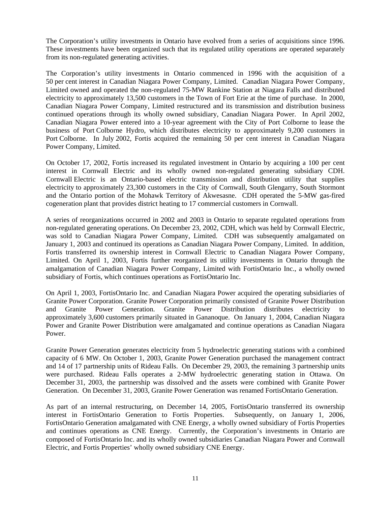The Corporation's utility investments in Ontario have evolved from a series of acquisitions since 1996. These investments have been organized such that its regulated utility operations are operated separately from its non-regulated generating activities.

The Corporation's utility investments in Ontario commenced in 1996 with the acquisition of a 50 per cent interest in Canadian Niagara Power Company, Limited. Canadian Niagara Power Company, Limited owned and operated the non-regulated 75-MW Rankine Station at Niagara Falls and distributed electricity to approximately 13,500 customers in the Town of Fort Erie at the time of purchase. In 2000, Canadian Niagara Power Company, Limited restructured and its transmission and distribution business continued operations through its wholly owned subsidiary, Canadian Niagara Power. In April 2002, Canadian Niagara Power entered into a 10-year agreement with the City of Port Colborne to lease the business of Port Colborne Hydro, which distributes electricity to approximately 9,200 customers in Port Colborne. In July 2002, Fortis acquired the remaining 50 per cent interest in Canadian Niagara Power Company, Limited.

On October 17, 2002, Fortis increased its regulated investment in Ontario by acquiring a 100 per cent interest in Cornwall Electric and its wholly owned non-regulated generating subsidiary CDH. Cornwall Electric is an Ontario-based electric transmission and distribution utility that supplies electricity to approximately 23,300 customers in the City of Cornwall, South Glengarry, South Stormont and the Ontario portion of the Mohawk Territory of Akwesasne. CDH operated the 5-MW gas-fired cogeneration plant that provides district heating to 17 commercial customers in Cornwall.

A series of reorganizations occurred in 2002 and 2003 in Ontario to separate regulated operations from non-regulated generating operations. On December 23, 2002, CDH, which was held by Cornwall Electric, was sold to Canadian Niagara Power Company, Limited. CDH was subsequently amalgamated on January 1, 2003 and continued its operations as Canadian Niagara Power Company, Limited. In addition, Fortis transferred its ownership interest in Cornwall Electric to Canadian Niagara Power Company, Limited. On April 1, 2003, Fortis further reorganized its utility investments in Ontario through the amalgamation of Canadian Niagara Power Company, Limited with FortisOntario Inc., a wholly owned subsidiary of Fortis, which continues operations as FortisOntario Inc.

On April 1, 2003, FortisOntario Inc. and Canadian Niagara Power acquired the operating subsidiaries of Granite Power Corporation. Granite Power Corporation primarily consisted of Granite Power Distribution and Granite Power Generation. Granite Power Distribution distributes electricity to approximately 3,600 customers primarily situated in Gananoque. On January 1, 2004, Canadian Niagara Power and Granite Power Distribution were amalgamated and continue operations as Canadian Niagara Power.

Granite Power Generation generates electricity from 5 hydroelectric generating stations with a combined capacity of 6 MW. On October 1, 2003, Granite Power Generation purchased the management contract and 14 of 17 partnership units of Rideau Falls. On December 29, 2003, the remaining 3 partnership units were purchased. Rideau Falls operates a 2-MW hydroelectric generating station in Ottawa. On December 31, 2003, the partnership was dissolved and the assets were combined with Granite Power Generation. On December 31, 2003, Granite Power Generation was renamed FortisOntario Generation.

As part of an internal restructuring, on December 14, 2005, FortisOntario transferred its ownership interest in FortisOntario Generation to Fortis Properties. Subsequently, on January 1, 2006, FortisOntario Generation amalgamated with CNE Energy, a wholly owned subsidiary of Fortis Properties and continues operations as CNE Energy. Currently, the Corporation's investments in Ontario are composed of FortisOntario Inc. and its wholly owned subsidiaries Canadian Niagara Power and Cornwall Electric, and Fortis Properties' wholly owned subsidiary CNE Energy.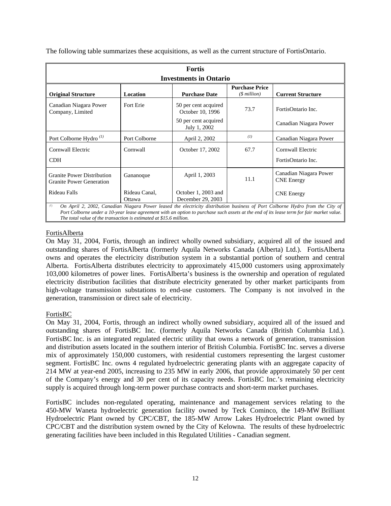| <b>Fortis</b>                                                                                                                                                                                                                                                                                                                                           |                         |                                          |                                           |                                             |  |
|---------------------------------------------------------------------------------------------------------------------------------------------------------------------------------------------------------------------------------------------------------------------------------------------------------------------------------------------------------|-------------------------|------------------------------------------|-------------------------------------------|---------------------------------------------|--|
|                                                                                                                                                                                                                                                                                                                                                         |                         | <b>Investments in Ontario</b>            |                                           |                                             |  |
| <b>Original Structure</b>                                                                                                                                                                                                                                                                                                                               | Location                | <b>Purchase Date</b>                     | <b>Purchase Price</b><br>$($$ million $)$ | <b>Current Structure</b>                    |  |
| Canadian Niagara Power<br>Company, Limited                                                                                                                                                                                                                                                                                                              | Fort Erie               | 50 per cent acquired<br>October 10, 1996 | 73.7                                      | FortisOntario Inc.                          |  |
|                                                                                                                                                                                                                                                                                                                                                         |                         | 50 per cent acquired<br>July 1, 2002     |                                           | Canadian Niagara Power                      |  |
| Port Colborne Hydro <sup><math>(1)</math></sup>                                                                                                                                                                                                                                                                                                         | Port Colborne           | April 2, 2002                            | (I)                                       | Canadian Niagara Power                      |  |
| Cornwall Electric                                                                                                                                                                                                                                                                                                                                       | Cornwall                | October 17, 2002                         | 67.7                                      | Cornwall Electric                           |  |
| <b>CDH</b>                                                                                                                                                                                                                                                                                                                                              |                         |                                          |                                           | FortisOntario Inc.                          |  |
| <b>Granite Power Distribution</b><br><b>Granite Power Generation</b>                                                                                                                                                                                                                                                                                    | Gananoque               | April 1, 2003                            | 11.1                                      | Canadian Niagara Power<br><b>CNE</b> Energy |  |
| Rideau Falls                                                                                                                                                                                                                                                                                                                                            | Rideau Canal.<br>Ottawa | October 1, 2003 and<br>December 29, 2003 |                                           | <b>CNE</b> Energy                           |  |
| (1)<br>On April 2, 2002, Canadian Niagara Power leased the electricity distribution business of Port Colborne Hydro from the City of<br>Port Colborne under a 10-year lease agreement with an option to purchase such assets at the end of its lease term for fair market value.<br>The total value of the transaction is estimated at $$15.6$ million. |                         |                                          |                                           |                                             |  |

The following table summarizes these acquisitions, as well as the current structure of FortisOntario.

# FortisAlberta

On May 31, 2004, Fortis, through an indirect wholly owned subsidiary, acquired all of the issued and outstanding shares of FortisAlberta (formerly Aquila Networks Canada (Alberta) Ltd.). FortisAlberta owns and operates the electricity distribution system in a substantial portion of southern and central Alberta. FortisAlberta distributes electricity to approximately 415,000 customers using approximately 103,000 kilometres of power lines. FortisAlberta's business is the ownership and operation of regulated electricity distribution facilities that distribute electricity generated by other market participants from high-voltage transmission substations to end-use customers. The Company is not involved in the generation, transmission or direct sale of electricity.

# FortisBC

On May 31, 2004, Fortis, through an indirect wholly owned subsidiary, acquired all of the issued and outstanding shares of FortisBC Inc. (formerly Aquila Networks Canada (British Columbia Ltd.). FortisBC Inc. is an integrated regulated electric utility that owns a network of generation, transmission and distribution assets located in the southern interior of British Columbia. FortisBC Inc. serves a diverse mix of approximately 150,000 customers, with residential customers representing the largest customer segment. FortisBC Inc. owns 4 regulated hydroelectric generating plants with an aggregate capacity of 214 MW at year-end 2005, increasing to 235 MW in early 2006, that provide approximately 50 per cent of the Company's energy and 30 per cent of its capacity needs. FortisBC Inc.'s remaining electricity supply is acquired through long-term power purchase contracts and short-term market purchases.

FortisBC includes non-regulated operating, maintenance and management services relating to the 450-MW Waneta hydroelectric generation facility owned by Teck Cominco, the 149-MW Brilliant Hydroelectric Plant owned by CPC/CBT, the 185-MW Arrow Lakes Hydroelectric Plant owned by CPC/CBT and the distribution system owned by the City of Kelowna. The results of these hydroelectric generating facilities have been included in this Regulated Utilities - Canadian segment.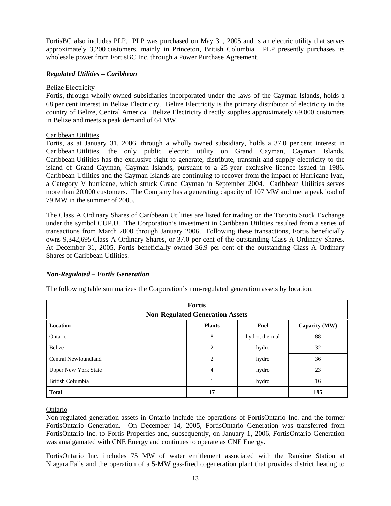FortisBC also includes PLP. PLP was purchased on May 31, 2005 and is an electric utility that serves approximately 3,200 customers, mainly in Princeton, British Columbia. PLP presently purchases its wholesale power from FortisBC Inc. through a Power Purchase Agreement.

# *Regulated Utilities – Caribbean*

## Belize Electricity

Fortis, through wholly owned subsidiaries incorporated under the laws of the Cayman Islands, holds a 68 per cent interest in Belize Electricity. Belize Electricity is the primary distributor of electricity in the country of Belize, Central America. Belize Electricity directly supplies approximately 69,000 customers in Belize and meets a peak demand of 64 MW.

# Caribbean Utilities

Fortis, as at January 31, 2006, through a wholly owned subsidiary, holds a 37.0 per cent interest in Caribbean Utilities, the only public electric utility on Grand Cayman, Cayman Islands. Caribbean Utilities has the exclusive right to generate, distribute, transmit and supply electricity to the island of Grand Cayman, Cayman Islands, pursuant to a 25-year exclusive licence issued in 1986. Caribbean Utilities and the Cayman Islands are continuing to recover from the impact of Hurricane Ivan, a Category V hurricane, which struck Grand Cayman in September 2004. Caribbean Utilities serves more than 20,000 customers. The Company has a generating capacity of 107 MW and met a peak load of 79 MW in the summer of 2005.

The Class A Ordinary Shares of Caribbean Utilities are listed for trading on the Toronto Stock Exchange under the symbol CUP.U. The Corporation's investment in Caribbean Utilities resulted from a series of transactions from March 2000 through January 2006. Following these transactions, Fortis beneficially owns 9,342,695 Class A Ordinary Shares, or 37.0 per cent of the outstanding Class A Ordinary Shares. At December 31, 2005, Fortis beneficially owned 36.9 per cent of the outstanding Class A Ordinary Shares of Caribbean Utilities.

# *Non-Regulated – Fortis Generation*

| <b>Fortis</b><br><b>Non-Regulated Generation Assets</b>   |                |                |     |  |  |  |  |
|-----------------------------------------------------------|----------------|----------------|-----|--|--|--|--|
| Location<br>Capacity (MW)<br><b>Plants</b><br><b>Fuel</b> |                |                |     |  |  |  |  |
| Ontario                                                   | 8              | hydro, thermal | 88  |  |  |  |  |
| Belize                                                    | 2              | hydro          | 32  |  |  |  |  |
| Central Newfoundland                                      | $\overline{c}$ | hydro          | 36  |  |  |  |  |
| <b>Upper New York State</b>                               | 4              | hydro          | 23  |  |  |  |  |
| British Columbia                                          |                | hydro          | 16  |  |  |  |  |
| <b>Total</b>                                              | 17             |                | 195 |  |  |  |  |

The following table summarizes the Corporation's non-regulated generation assets by location.

Ontario

Non-regulated generation assets in Ontario include the operations of FortisOntario Inc. and the former FortisOntario Generation. On December 14, 2005, FortisOntario Generation was transferred from FortisOntario Inc. to Fortis Properties and, subsequently, on January 1, 2006, FortisOntario Generation was amalgamated with CNE Energy and continues to operate as CNE Energy.

FortisOntario Inc. includes 75 MW of water entitlement associated with the Rankine Station at Niagara Falls and the operation of a 5-MW gas-fired cogeneration plant that provides district heating to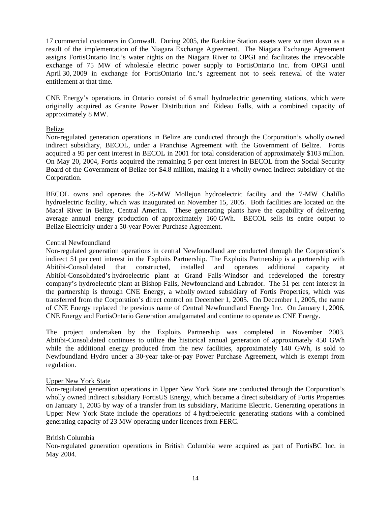17 commercial customers in Cornwall. During 2005, the Rankine Station assets were written down as a result of the implementation of the Niagara Exchange Agreement. The Niagara Exchange Agreement assigns FortisOntario Inc.'s water rights on the Niagara River to OPGI and facilitates the irrevocable exchange of 75 MW of wholesale electric power supply to FortisOntario Inc. from OPGI until April 30, 2009 in exchange for FortisOntario Inc.'s agreement not to seek renewal of the water entitlement at that time.

CNE Energy's operations in Ontario consist of 6 small hydroelectric generating stations, which were originally acquired as Granite Power Distribution and Rideau Falls, with a combined capacity of approximately 8 MW.

#### Belize

Non-regulated generation operations in Belize are conducted through the Corporation's wholly owned indirect subsidiary, BECOL, under a Franchise Agreement with the Government of Belize. Fortis acquired a 95 per cent interest in BECOL in 2001 for total consideration of approximately \$103 million. On May 20, 2004, Fortis acquired the remaining 5 per cent interest in BECOL from the Social Security Board of the Government of Belize for \$4.8 million, making it a wholly owned indirect subsidiary of the Corporation.

BECOL owns and operates the 25-MW Mollejon hydroelectric facility and the 7-MW Chalillo hydroelectric facility, which was inaugurated on November 15, 2005. Both facilities are located on the Macal River in Belize, Central America. These generating plants have the capability of delivering average annual energy production of approximately 160 GWh. BECOL sells its entire output to Belize Electricity under a 50-year Power Purchase Agreement.

## Central Newfoundland

Non-regulated generation operations in central Newfoundland are conducted through the Corporation's indirect 51 per cent interest in the Exploits Partnership. The Exploits Partnership is a partnership with Abitibi-Consolidated that constructed, installed and operates additional capacity at Abitibi-Consolidated's hydroelectric plant at Grand Falls-Windsor and redeveloped the forestry company's hydroelectric plant at Bishop Falls, Newfoundland and Labrador. The 51 per cent interest in the partnership is through CNE Energy, a wholly owned subsidiary of Fortis Properties, which was transferred from the Corporation's direct control on December 1, 2005. On December 1, 2005, the name of CNE Energy replaced the previous name of Central Newfoundland Energy Inc. On January 1, 2006, CNE Energy and FortisOntario Generation amalgamated and continue to operate as CNE Energy.

The project undertaken by the Exploits Partnership was completed in November 2003. Abitibi-Consolidated continues to utilize the historical annual generation of approximately 450 GWh while the additional energy produced from the new facilities, approximately 140 GWh, is sold to Newfoundland Hydro under a 30-year take-or-pay Power Purchase Agreement, which is exempt from regulation.

## Upper New York State

Non-regulated generation operations in Upper New York State are conducted through the Corporation's wholly owned indirect subsidiary FortisUS Energy, which became a direct subsidiary of Fortis Properties on January 1, 2005 by way of a transfer from its subsidiary, Maritime Electric. Generating operations in Upper New York State include the operations of 4 hydroelectric generating stations with a combined generating capacity of 23 MW operating under licences from FERC.

#### British Columbia

Non-regulated generation operations in British Columbia were acquired as part of FortisBC Inc. in May 2004.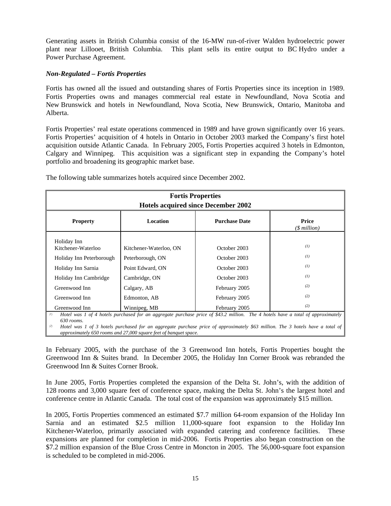Generating assets in British Columbia consist of the 16-MW run-of-river Walden hydroelectric power plant near Lillooet, British Columbia. This plant sells its entire output to BC Hydro under a Power Purchase Agreement.

# *Non-Regulated – Fortis Properties*

Fortis has owned all the issued and outstanding shares of Fortis Properties since its inception in 1989. Fortis Properties owns and manages commercial real estate in Newfoundland, Nova Scotia and New Brunswick and hotels in Newfoundland, Nova Scotia, New Brunswick, Ontario, Manitoba and Alberta.

Fortis Properties' real estate operations commenced in 1989 and have grown significantly over 16 years. Fortis Properties' acquisition of 4 hotels in Ontario in October 2003 marked the Company's first hotel acquisition outside Atlantic Canada. In February 2005, Fortis Properties acquired 3 hotels in Edmonton, Calgary and Winnipeg. This acquisition was a significant step in expanding the Company's hotel portfolio and broadening its geographic market base.

| <b>Fortis Properties</b><br><b>Hotels acquired since December 2002</b>                                                                                                                                                                                                                                                                                             |                                      |               |     |  |  |  |  |  |
|--------------------------------------------------------------------------------------------------------------------------------------------------------------------------------------------------------------------------------------------------------------------------------------------------------------------------------------------------------------------|--------------------------------------|---------------|-----|--|--|--|--|--|
| <b>Purchase Date</b><br>Location<br>Price<br><b>Property</b><br>(\$ million)                                                                                                                                                                                                                                                                                       |                                      |               |     |  |  |  |  |  |
| Holiday Inn<br>(I)<br>Kitchener-Waterloo<br>October 2003<br>Kitchener-Waterloo, ON                                                                                                                                                                                                                                                                                 |                                      |               |     |  |  |  |  |  |
| Holiday Inn Peterborough                                                                                                                                                                                                                                                                                                                                           | Peterborough, ON                     | October 2003  | (I) |  |  |  |  |  |
| Holiday Inn Sarnia                                                                                                                                                                                                                                                                                                                                                 | Point Edward, ON                     | October 2003  | (I) |  |  |  |  |  |
| Holiday Inn Cambridge                                                                                                                                                                                                                                                                                                                                              | Cambridge, ON                        | October 2003  | (I) |  |  |  |  |  |
| Greenwood Inn                                                                                                                                                                                                                                                                                                                                                      | Calgary, AB                          | February 2005 | (2) |  |  |  |  |  |
| Greenwood Inn                                                                                                                                                                                                                                                                                                                                                      | Edmonton, AB                         | February 2005 | (2) |  |  |  |  |  |
| Greenwood Inn                                                                                                                                                                                                                                                                                                                                                      | (2)<br>Winnipeg, MB<br>February 2005 |               |     |  |  |  |  |  |
| Hotel was 1 of 4 hotels purchased for an aggregate purchase price of \$43.2 million. The 4 hotels have a total of approximately<br>(1)<br>$630$ rooms.<br>Hotel was 1 of 3 hotels purchased for an aggregate purchase price of approximately \$63 million. The 3 hotels have a total of<br>(2)<br>approximately 650 rooms and 27,000 square feet of banquet space. |                                      |               |     |  |  |  |  |  |

The following table summarizes hotels acquired since December 2002.

In February 2005, with the purchase of the 3 Greenwood Inn hotels, Fortis Properties bought the Greenwood Inn & Suites brand. In December 2005, the Holiday Inn Corner Brook was rebranded the Greenwood Inn & Suites Corner Brook.

In June 2005, Fortis Properties completed the expansion of the Delta St. John's, with the addition of 128 rooms and 3,000 square feet of conference space, making the Delta St. John's the largest hotel and conference centre in Atlantic Canada. The total cost of the expansion was approximately \$15 million.

In 2005, Fortis Properties commenced an estimated \$7.7 million 64-room expansion of the Holiday Inn Sarnia and an estimated \$2.5 million 11,000-square foot expansion to the Holiday Inn Kitchener-Waterloo, primarily associated with expanded catering and conference facilities. These expansions are planned for completion in mid-2006. Fortis Properties also began construction on the \$7.2 million expansion of the Blue Cross Centre in Moncton in 2005. The 56,000-square foot expansion is scheduled to be completed in mid-2006.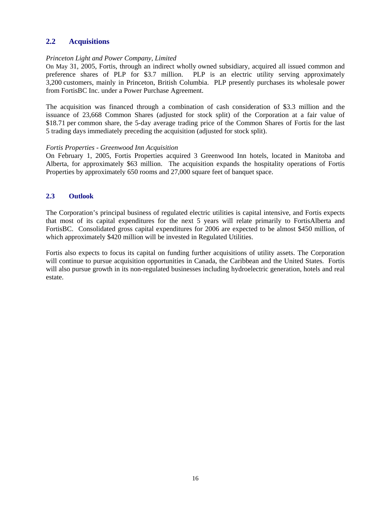# **2.2 Acquisitions**

#### *Princeton Light and Power Company, Limited*

On May 31, 2005, Fortis, through an indirect wholly owned subsidiary, acquired all issued common and preference shares of PLP for \$3.7 million. PLP is an electric utility serving approximately 3,200 customers, mainly in Princeton, British Columbia. PLP presently purchases its wholesale power from FortisBC Inc. under a Power Purchase Agreement.

The acquisition was financed through a combination of cash consideration of \$3.3 million and the issuance of 23,668 Common Shares (adjusted for stock split) of the Corporation at a fair value of \$18.71 per common share, the 5-day average trading price of the Common Shares of Fortis for the last 5 trading days immediately preceding the acquisition (adjusted for stock split).

#### *Fortis Properties - Greenwood Inn Acquisition*

On February 1, 2005, Fortis Properties acquired 3 Greenwood Inn hotels, located in Manitoba and Alberta, for approximately \$63 million. The acquisition expands the hospitality operations of Fortis Properties by approximately 650 rooms and 27,000 square feet of banquet space.

## **2.3 Outlook**

The Corporation's principal business of regulated electric utilities is capital intensive, and Fortis expects that most of its capital expenditures for the next 5 years will relate primarily to FortisAlberta and FortisBC. Consolidated gross capital expenditures for 2006 are expected to be almost \$450 million, of which approximately \$420 million will be invested in Regulated Utilities.

Fortis also expects to focus its capital on funding further acquisitions of utility assets. The Corporation will continue to pursue acquisition opportunities in Canada, the Caribbean and the United States. Fortis will also pursue growth in its non-regulated businesses including hydroelectric generation, hotels and real estate.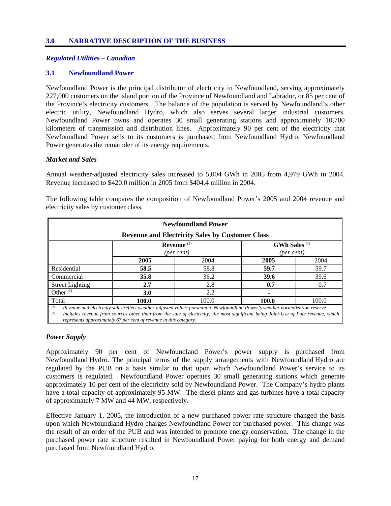#### *Regulated Utilities – Canadian*

#### **3.1 Newfoundland Power**

Newfoundland Power is the principal distributor of electricity in Newfoundland, serving approximately 227,000 customers on the island portion of the Province of Newfoundland and Labrador, or 85 per cent of the Province's electricity customers. The balance of the population is served by Newfoundland's other electric utility, Newfoundland Hydro, which also serves several larger industrial customers. Newfoundland Power owns and operates 30 small generating stations and approximately 10,700 kilometers of transmission and distribution lines. Approximately 90 per cent of the electricity that Newfoundland Power sells to its customers is purchased from Newfoundland Hydro. Newfoundland Power generates the remainder of its energy requirements.

#### *Market and Sales*

Annual weather-adjusted electricity sales increased to 5,004 GWh in 2005 from 4,979 GWh in 2004. Revenue increased to \$420.0 million in 2005 from \$404.4 million in 2004.

The following table compares the composition of Newfoundland Power's 2005 and 2004 revenue and

electricity sales by customer class. **Newfoundland Power Revenue and Electricity Sales by Customer Class** 

|                                                                                                                                                                                                                                                                                   | Revenue $(1)$ |       | <b>GWh Sales</b> <sup>(1)</sup> |       |  |
|-----------------------------------------------------------------------------------------------------------------------------------------------------------------------------------------------------------------------------------------------------------------------------------|---------------|-------|---------------------------------|-------|--|
|                                                                                                                                                                                                                                                                                   | (per cent)    |       | (per cent)                      |       |  |
|                                                                                                                                                                                                                                                                                   | 2004<br>2005  |       | 2005                            | 2004  |  |
| Residential                                                                                                                                                                                                                                                                       | 58.5          | 58.8  | 59.7                            | 59.7  |  |
| Commercial                                                                                                                                                                                                                                                                        | 35.8          | 36.2  | <b>39.6</b>                     | 39.6  |  |
| <b>Street Lighting</b>                                                                                                                                                                                                                                                            | 2.7           | 2.8   | 0.7                             | 0.7   |  |
| Other $(2)$                                                                                                                                                                                                                                                                       | <b>3.0</b>    | 2.2   |                                 |       |  |
| 100.0<br>Total                                                                                                                                                                                                                                                                    |               | 100.0 | 100.0                           | 100.0 |  |
| Revenue and electricity sales reflect weather-adjusted values pursuant to Newfoundland Power's weather normalization reserve.<br>(1)<br>(2)<br>Includes revenue from sources other than from the sale of electricity; the most significant being Joint-Use of Pole revenue, which |               |       |                                 |       |  |

*represents approximately 67 per cent of revenue in this category.* 

#### *Power Supply*

Approximately 90 per cent of Newfoundland Power's power supply is purchased from Newfoundland Hydro. The principal terms of the supply arrangements with Newfoundland Hydro are regulated by the PUB on a basis similar to that upon which Newfoundland Power's service to its customers is regulated. Newfoundland Power operates 30 small generating stations which generate approximately 10 per cent of the electricity sold by Newfoundland Power. The Company's hydro plants have a total capacity of approximately 95 MW. The diesel plants and gas turbines have a total capacity of approximately 7 MW and 44 MW, respectively.

Effective January 1, 2005, the introduction of a new purchased power rate structure changed the basis upon which Newfoundland Hydro charges Newfoundland Power for purchased power. This change was the result of an order of the PUB and was intended to promote energy conservation. The change in the purchased power rate structure resulted in Newfoundland Power paying for both energy and demand purchased from Newfoundland Hydro.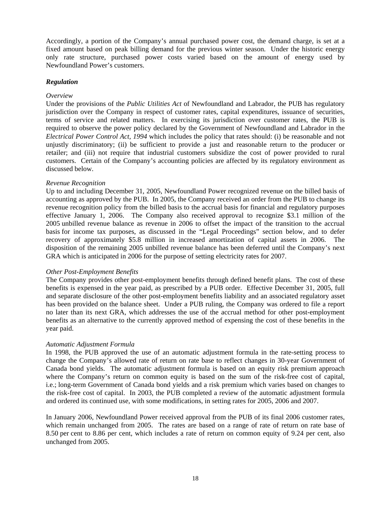Accordingly, a portion of the Company's annual purchased power cost, the demand charge, is set at a fixed amount based on peak billing demand for the previous winter season. Under the historic energy only rate structure, purchased power costs varied based on the amount of energy used by Newfoundland Power's customers.

#### *Regulation*

#### *Overview*

Under the provisions of the *Public Utilities Act* of Newfoundland and Labrador, the PUB has regulatory jurisdiction over the Company in respect of customer rates, capital expenditures, issuance of securities, terms of service and related matters. In exercising its jurisdiction over customer rates, the PUB is required to observe the power policy declared by the Government of Newfoundland and Labrador in the *Electrical Power Control Act, 1994* which includes the policy that rates should: (i) be reasonable and not unjustly discriminatory; (ii) be sufficient to provide a just and reasonable return to the producer or retailer; and (iii) not require that industrial customers subsidize the cost of power provided to rural customers. Certain of the Company's accounting policies are affected by its regulatory environment as discussed below.

#### *Revenue Recognition*

Up to and including December 31, 2005, Newfoundland Power recognized revenue on the billed basis of accounting as approved by the PUB. In 2005, the Company received an order from the PUB to change its revenue recognition policy from the billed basis to the accrual basis for financial and regulatory purposes effective January 1, 2006. The Company also received approval to recognize \$3.1 million of the 2005 unbilled revenue balance as revenue in 2006 to offset the impact of the transition to the accrual basis for income tax purposes, as discussed in the "Legal Proceedings" section below, and to defer recovery of approximately \$5.8 million in increased amortization of capital assets in 2006. The disposition of the remaining 2005 unbilled revenue balance has been deferred until the Company's next GRA which is anticipated in 2006 for the purpose of setting electricity rates for 2007.

## *Other Post-Employment Benefits*

The Company provides other post-employment benefits through defined benefit plans. The cost of these benefits is expensed in the year paid, as prescribed by a PUB order. Effective December 31, 2005, full and separate disclosure of the other post-employment benefits liability and an associated regulatory asset has been provided on the balance sheet. Under a PUB ruling, the Company was ordered to file a report no later than its next GRA, which addresses the use of the accrual method for other post-employment benefits as an alternative to the currently approved method of expensing the cost of these benefits in the year paid.

## *Automatic Adjustment Formula*

In 1998, the PUB approved the use of an automatic adjustment formula in the rate-setting process to change the Company's allowed rate of return on rate base to reflect changes in 30-year Government of Canada bond yields. The automatic adjustment formula is based on an equity risk premium approach where the Company's return on common equity is based on the sum of the risk-free cost of capital, i.e.; long-term Government of Canada bond yields and a risk premium which varies based on changes to the risk-free cost of capital. In 2003, the PUB completed a review of the automatic adjustment formula and ordered its continued use, with some modifications, in setting rates for 2005, 2006 and 2007.

In January 2006, Newfoundland Power received approval from the PUB of its final 2006 customer rates, which remain unchanged from 2005. The rates are based on a range of rate of return on rate base of 8.50 per cent to 8.86 per cent, which includes a rate of return on common equity of 9.24 per cent, also unchanged from 2005.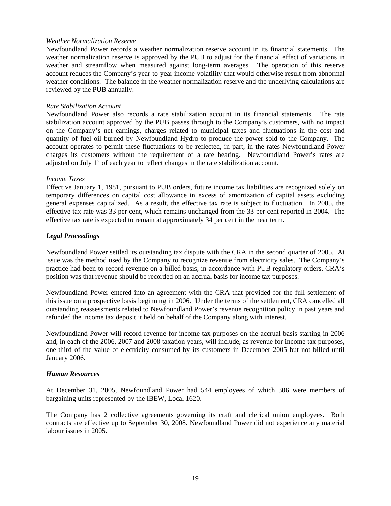#### *Weather Normalization Reserve*

Newfoundland Power records a weather normalization reserve account in its financial statements. The weather normalization reserve is approved by the PUB to adjust for the financial effect of variations in weather and streamflow when measured against long-term averages. The operation of this reserve account reduces the Company's year-to-year income volatility that would otherwise result from abnormal weather conditions. The balance in the weather normalization reserve and the underlying calculations are reviewed by the PUB annually.

#### *Rate Stabilization Account*

Newfoundland Power also records a rate stabilization account in its financial statements. The rate stabilization account approved by the PUB passes through to the Company's customers, with no impact on the Company's net earnings, charges related to municipal taxes and fluctuations in the cost and quantity of fuel oil burned by Newfoundland Hydro to produce the power sold to the Company. The account operates to permit these fluctuations to be reflected, in part, in the rates Newfoundland Power charges its customers without the requirement of a rate hearing. Newfoundland Power's rates are adjusted on July  $1<sup>st</sup>$  of each year to reflect changes in the rate stabilization account.

#### *Income Taxes*

Effective January 1, 1981, pursuant to PUB orders, future income tax liabilities are recognized solely on temporary differences on capital cost allowance in excess of amortization of capital assets excluding general expenses capitalized. As a result, the effective tax rate is subject to fluctuation. In 2005, the effective tax rate was 33 per cent, which remains unchanged from the 33 per cent reported in 2004. The effective tax rate is expected to remain at approximately 34 per cent in the near term.

## *Legal Proceedings*

Newfoundland Power settled its outstanding tax dispute with the CRA in the second quarter of 2005. At issue was the method used by the Company to recognize revenue from electricity sales. The Company's practice had been to record revenue on a billed basis, in accordance with PUB regulatory orders. CRA's position was that revenue should be recorded on an accrual basis for income tax purposes.

Newfoundland Power entered into an agreement with the CRA that provided for the full settlement of this issue on a prospective basis beginning in 2006. Under the terms of the settlement, CRA cancelled all outstanding reassessments related to Newfoundland Power's revenue recognition policy in past years and refunded the income tax deposit it held on behalf of the Company along with interest.

Newfoundland Power will record revenue for income tax purposes on the accrual basis starting in 2006 and, in each of the 2006, 2007 and 2008 taxation years, will include, as revenue for income tax purposes, one-third of the value of electricity consumed by its customers in December 2005 but not billed until January 2006.

#### *Human Resources*

At December 31, 2005, Newfoundland Power had 544 employees of which 306 were members of bargaining units represented by the IBEW, Local 1620.

The Company has 2 collective agreements governing its craft and clerical union employees. Both contracts are effective up to September 30, 2008. Newfoundland Power did not experience any material labour issues in 2005.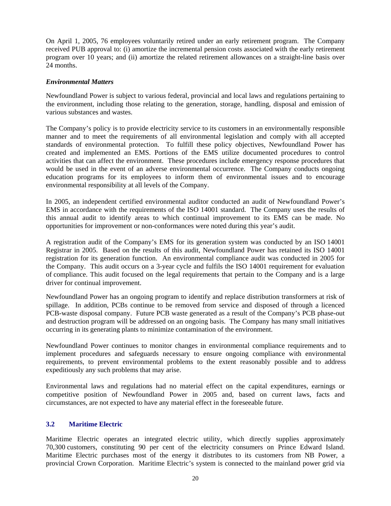On April 1, 2005, 76 employees voluntarily retired under an early retirement program. The Company received PUB approval to: (i) amortize the incremental pension costs associated with the early retirement program over 10 years; and (ii) amortize the related retirement allowances on a straight-line basis over 24 months.

#### *Environmental Matters*

Newfoundland Power is subject to various federal, provincial and local laws and regulations pertaining to the environment, including those relating to the generation, storage, handling, disposal and emission of various substances and wastes.

The Company's policy is to provide electricity service to its customers in an environmentally responsible manner and to meet the requirements of all environmental legislation and comply with all accepted standards of environmental protection. To fulfill these policy objectives, Newfoundland Power has created and implemented an EMS. Portions of the EMS utilize documented procedures to control activities that can affect the environment. These procedures include emergency response procedures that would be used in the event of an adverse environmental occurrence. The Company conducts ongoing education programs for its employees to inform them of environmental issues and to encourage environmental responsibility at all levels of the Company.

In 2005, an independent certified environmental auditor conducted an audit of Newfoundland Power's EMS in accordance with the requirements of the ISO 14001 standard. The Company uses the results of this annual audit to identify areas to which continual improvement to its EMS can be made. No opportunities for improvement or non-conformances were noted during this year's audit.

A registration audit of the Company's EMS for its generation system was conducted by an ISO 14001 Registrar in 2005. Based on the results of this audit, Newfoundland Power has retained its ISO 14001 registration for its generation function. An environmental compliance audit was conducted in 2005 for the Company. This audit occurs on a 3-year cycle and fulfils the ISO 14001 requirement for evaluation of compliance. This audit focused on the legal requirements that pertain to the Company and is a large driver for continual improvement.

Newfoundland Power has an ongoing program to identify and replace distribution transformers at risk of spillage. In addition, PCBs continue to be removed from service and disposed of through a licenced PCB-waste disposal company. Future PCB waste generated as a result of the Company's PCB phase-out and destruction program will be addressed on an ongoing basis. The Company has many small initiatives occurring in its generating plants to minimize contamination of the environment.

Newfoundland Power continues to monitor changes in environmental compliance requirements and to implement procedures and safeguards necessary to ensure ongoing compliance with environmental requirements, to prevent environmental problems to the extent reasonably possible and to address expeditiously any such problems that may arise.

Environmental laws and regulations had no material effect on the capital expenditures, earnings or competitive position of Newfoundland Power in 2005 and, based on current laws, facts and circumstances, are not expected to have any material effect in the foreseeable future.

## **3.2 Maritime Electric**

Maritime Electric operates an integrated electric utility, which directly supplies approximately 70,300 customers, constituting 90 per cent of the electricity consumers on Prince Edward Island. Maritime Electric purchases most of the energy it distributes to its customers from NB Power, a provincial Crown Corporation. Maritime Electric's system is connected to the mainland power grid via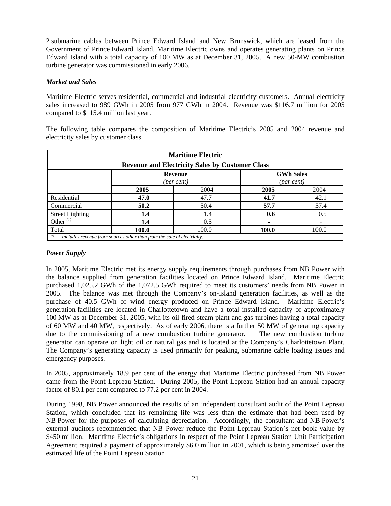2 submarine cables between Prince Edward Island and New Brunswick, which are leased from the Government of Prince Edward Island. Maritime Electric owns and operates generating plants on Prince Edward Island with a total capacity of 100 MW as at December 31, 2005. A new 50-MW combustion turbine generator was commissioned in early 2006.

# *Market and Sales*

Maritime Electric serves residential, commercial and industrial electricity customers. Annual electricity sales increased to 989 GWh in 2005 from 977 GWh in 2004. Revenue was \$116.7 million for 2005 compared to \$115.4 million last year.

The following table compares the composition of Maritime Electric's 2005 and 2004 revenue and electricity sales by customer class.

| <b>Maritime Electric</b>                                       |                                                                        |                                                        |      |      |  |  |  |
|----------------------------------------------------------------|------------------------------------------------------------------------|--------------------------------------------------------|------|------|--|--|--|
|                                                                |                                                                        | <b>Revenue and Electricity Sales by Customer Class</b> |      |      |  |  |  |
| <b>GWh Sales</b><br><b>Revenue</b><br>(per cent)<br>(per cent) |                                                                        |                                                        |      |      |  |  |  |
|                                                                | 2004<br>2004<br>2005<br>2005                                           |                                                        |      |      |  |  |  |
| Residential                                                    | 47.0                                                                   | 47.7                                                   | 41.7 | 42.1 |  |  |  |
| Commercial                                                     | 50.2                                                                   | 50.4                                                   | 57.7 | 57.4 |  |  |  |
| <b>Street Lighting</b>                                         | 1.4                                                                    | 1.4                                                    | 0.6  | 0.5  |  |  |  |
| Other $^{(1)}$                                                 | 1.4                                                                    | 0.5                                                    |      |      |  |  |  |
| Total                                                          | 100.0<br>100.0<br>100.0<br>100.0                                       |                                                        |      |      |  |  |  |
| (1)                                                            | Includes revenue from sources other than from the sale of electricity. |                                                        |      |      |  |  |  |

# *Power Supply*

In 2005, Maritime Electric met its energy supply requirements through purchases from NB Power with the balance supplied from generation facilities located on Prince Edward Island. Maritime Electric purchased 1,025.2 GWh of the 1,072.5 GWh required to meet its customers' needs from NB Power in 2005. The balance was met through the Company's on-Island generation facilities, as well as the purchase of 40.5 GWh of wind energy produced on Prince Edward Island. Maritime Electric's generation facilities are located in Charlottetown and have a total installed capacity of approximately 100 MW as at December 31, 2005, with its oil-fired steam plant and gas turbines having a total capacity of 60 MW and 40 MW, respectively. As of early 2006, there is a further 50 MW of generating capacity due to the commissioning of a new combustion turbine generator. The new combustion turbine generator can operate on light oil or natural gas and is located at the Company's Charlottetown Plant. The Company's generating capacity is used primarily for peaking, submarine cable loading issues and emergency purposes.

In 2005, approximately 18.9 per cent of the energy that Maritime Electric purchased from NB Power came from the Point Lepreau Station. During 2005, the Point Lepreau Station had an annual capacity factor of 80.1 per cent compared to 77.2 per cent in 2004.

During 1998, NB Power announced the results of an independent consultant audit of the Point Lepreau Station, which concluded that its remaining life was less than the estimate that had been used by NB Power for the purposes of calculating depreciation. Accordingly, the consultant and NB Power's external auditors recommended that NB Power reduce the Point Lepreau Station's net book value by \$450 million. Maritime Electric's obligations in respect of the Point Lepreau Station Unit Participation Agreement required a payment of approximately \$6.0 million in 2001, which is being amortized over the estimated life of the Point Lepreau Station.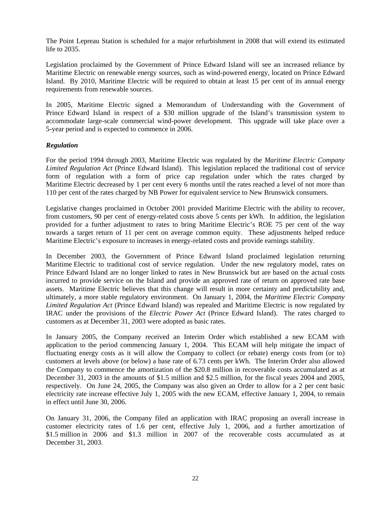The Point Lepreau Station is scheduled for a major refurbishment in 2008 that will extend its estimated life to 2035.

Legislation proclaimed by the Government of Prince Edward Island will see an increased reliance by Maritime Electric on renewable energy sources, such as wind-powered energy, located on Prince Edward Island. By 2010, Maritime Electric will be required to obtain at least 15 per cent of its annual energy requirements from renewable sources.

In 2005, Maritime Electric signed a Memorandum of Understanding with the Government of Prince Edward Island in respect of a \$30 million upgrade of the Island's transmission system to accommodate large-scale commercial wind-power development. This upgrade will take place over a 5-year period and is expected to commence in 2006.

## *Regulation*

For the period 1994 through 2003, Maritime Electric was regulated by the *Maritime Electric Company Limited Regulation Act* (Prince Edward Island). This legislation replaced the traditional cost of service form of regulation with a form of price cap regulation under which the rates charged by Maritime Electric decreased by 1 per cent every 6 months until the rates reached a level of not more than 110 per cent of the rates charged by NB Power for equivalent service to New Brunswick consumers.

Legislative changes proclaimed in October 2001 provided Maritime Electric with the ability to recover, from customers, 90 per cent of energy-related costs above 5 cents per kWh. In addition, the legislation provided for a further adjustment to rates to bring Maritime Electric's ROE 75 per cent of the way towards a target return of 11 per cent on average common equity. These adjustments helped reduce Maritime Electric's exposure to increases in energy-related costs and provide earnings stability.

In December 2003, the Government of Prince Edward Island proclaimed legislation returning Maritime Electric to traditional cost of service regulation. Under the new regulatory model, rates on Prince Edward Island are no longer linked to rates in New Brunswick but are based on the actual costs incurred to provide service on the Island and provide an approved rate of return on approved rate base assets. Maritime Electric believes that this change will result in more certainty and predictability and, ultimately, a more stable regulatory environment. On January 1, 2004, the *Maritime Electric Company Limited Regulation Act* (Prince Edward Island) was repealed and Maritime Electric is now regulated by IRAC under the provisions of the *Electric Power Act* (Prince Edward Island). The rates charged to customers as at December 31, 2003 were adopted as basic rates.

In January 2005, the Company received an Interim Order which established a new ECAM with application to the period commencing January 1, 2004. This ECAM will help mitigate the impact of fluctuating energy costs as it will allow the Company to collect (or rebate) energy costs from (or to) customers at levels above (or below) a base rate of 6.73 cents per kWh. The Interim Order also allowed the Company to commence the amortization of the \$20.8 million in recoverable costs accumulated as at December 31, 2003 in the amounts of \$1.5 million and \$2.5 million, for the fiscal years 2004 and 2005, respectively. On June 24, 2005, the Company was also given an Order to allow for a 2 per cent basic electricity rate increase effective July 1, 2005 with the new ECAM, effective January 1, 2004, to remain in effect until June 30, 2006.

On January 31, 2006, the Company filed an application with IRAC proposing an overall increase in customer electricity rates of 1.6 per cent, effective July 1, 2006, and a further amortization of \$1.5 million in 2006 and \$1.3 million in 2007 of the recoverable costs accumulated as at December 31, 2003.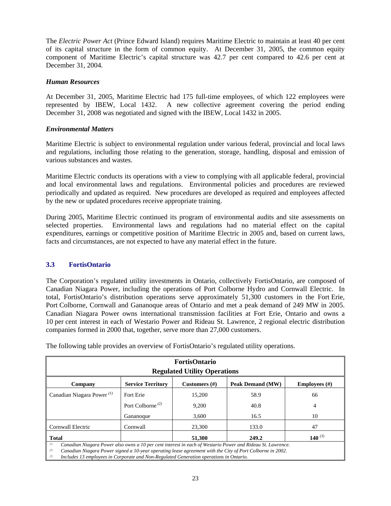The *Electric Power Act* (Prince Edward Island) requires Maritime Electric to maintain at least 40 per cent of its capital structure in the form of common equity. At December 31, 2005, the common equity component of Maritime Electric's capital structure was 42.7 per cent compared to 42.6 per cent at December 31, 2004.

## *Human Resources*

At December 31, 2005, Maritime Electric had 175 full-time employees, of which 122 employees were represented by IBEW, Local 1432. A new collective agreement covering the period ending December 31, 2008 was negotiated and signed with the IBEW, Local 1432 in 2005.

# *Environmental Matters*

Maritime Electric is subject to environmental regulation under various federal, provincial and local laws and regulations, including those relating to the generation, storage, handling, disposal and emission of various substances and wastes.

Maritime Electric conducts its operations with a view to complying with all applicable federal, provincial and local environmental laws and regulations. Environmental policies and procedures are reviewed periodically and updated as required. New procedures are developed as required and employees affected by the new or updated procedures receive appropriate training.

During 2005, Maritime Electric continued its program of environmental audits and site assessments on selected properties. Environmental laws and regulations had no material effect on the capital expenditures, earnings or competitive position of Maritime Electric in 2005 and, based on current laws, facts and circumstances, are not expected to have any material effect in the future.

## **3.3 FortisOntario**

The Corporation's regulated utility investments in Ontario, collectively FortisOntario, are composed of Canadian Niagara Power, including the operations of Port Colborne Hydro and Cornwall Electric. In total, FortisOntario's distribution operations serve approximately 51,300 customers in the Fort Erie, Port Colborne, Cornwall and Gananoque areas of Ontario and met a peak demand of 249 MW in 2005. Canadian Niagara Power owns international transmission facilities at Fort Erie, Ontario and owns a 10 per cent interest in each of Westario Power and Rideau St. Lawrence, 2 regional electric distribution companies formed in 2000 that, together, serve more than 27,000 customers.

| <b>FortisOntario</b><br><b>Regulated Utility Operations</b>                                                                                                                                                                                                                                                                           |                              |        |       |    |  |  |  |  |
|---------------------------------------------------------------------------------------------------------------------------------------------------------------------------------------------------------------------------------------------------------------------------------------------------------------------------------------|------------------------------|--------|-------|----|--|--|--|--|
| <b>Peak Demand (MW)</b><br><b>Service Territory</b><br>Customers (#)<br><b>Employees</b> $(\#)$<br>Company                                                                                                                                                                                                                            |                              |        |       |    |  |  |  |  |
| Canadian Niagara Power <sup><math>(1)</math></sup>                                                                                                                                                                                                                                                                                    | Fort Erie                    | 15,200 | 58.9  | 66 |  |  |  |  |
|                                                                                                                                                                                                                                                                                                                                       | Port Colborne <sup>(2)</sup> | 9,200  | 40.8  | 4  |  |  |  |  |
|                                                                                                                                                                                                                                                                                                                                       | Gananoque                    | 3.600  | 16.5  | 10 |  |  |  |  |
| Cornwall Electric                                                                                                                                                                                                                                                                                                                     | Cornwall                     | 23,300 | 133.0 | 47 |  |  |  |  |
| 140 $(3)$<br>249.2<br>51,300<br><b>Total</b>                                                                                                                                                                                                                                                                                          |                              |        |       |    |  |  |  |  |
| (1)<br>Canadian Niagara Power also owns a 10 per cent interest in each of Westario Power and Rideau St. Lawrence.<br>Canadian Niagara Power signed a 10-year operating lease agreement with the City of Port Colborne in 2002.<br>(2)<br>(3)<br>Includes 13 employees in Cornorate and Non-Regulated Congration operations in Ontario |                              |        |       |    |  |  |  |  |

The following table provides an overview of FortisOntario's regulated utility operations.

*(3) Includes 13 employees in Corporate and Non-Regulated Generation operations in Ontario.*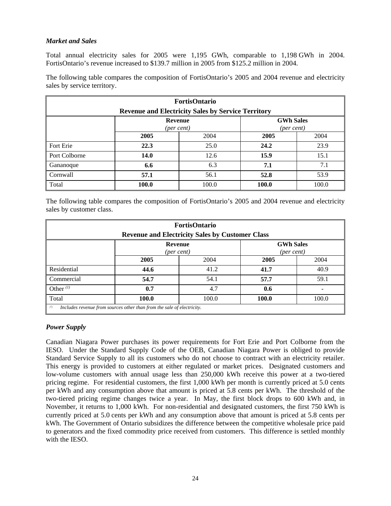# *Market and Sales*

Total annual electricity sales for 2005 were 1,195 GWh, comparable to 1,198 GWh in 2004. FortisOntario's revenue increased to \$139.7 million in 2005 from \$125.2 million in 2004.

The following table compares the composition of FortisOntario's 2005 and 2004 revenue and electricity sales by service territory.

| <b>FortisOntario</b>                                           |                              |                                                           |              |       |  |  |
|----------------------------------------------------------------|------------------------------|-----------------------------------------------------------|--------------|-------|--|--|
|                                                                |                              | <b>Revenue and Electricity Sales by Service Territory</b> |              |       |  |  |
| <b>GWh Sales</b><br><b>Revenue</b><br>(per cent)<br>(per cent) |                              |                                                           |              |       |  |  |
|                                                                | 2004<br>2004<br>2005<br>2005 |                                                           |              |       |  |  |
| Fort Erie                                                      | 22.3                         | 25.0                                                      | 24.2         | 23.9  |  |  |
| Port Colborne                                                  | 14.0                         | 12.6                                                      | 15.9         | 15.1  |  |  |
| Gananoque                                                      | 7.1<br>6.3<br>6.6<br>7.1     |                                                           |              |       |  |  |
| 52.8<br>57.1<br>53.9<br>56.1<br>Cornwall                       |                              |                                                           |              |       |  |  |
| Total                                                          | 100.0                        | 100.0                                                     | <b>100.0</b> | 100.0 |  |  |

The following table compares the composition of FortisOntario's 2005 and 2004 revenue and electricity sales by customer class.

| <b>FortisOntario</b><br><b>Revenue and Electricity Sales by Customer Class</b> |                                                                        |      |      |      |  |  |  |
|--------------------------------------------------------------------------------|------------------------------------------------------------------------|------|------|------|--|--|--|
| <b>GWh Sales</b><br><b>Revenue</b><br>(per cent)<br>(per cent)                 |                                                                        |      |      |      |  |  |  |
| 2005<br>2004<br>2004<br>2005                                                   |                                                                        |      |      |      |  |  |  |
| Residential                                                                    | 44.6                                                                   | 41.2 | 41.7 | 40.9 |  |  |  |
| Commercial                                                                     | 54.7                                                                   | 54.1 | 57.7 | 59.1 |  |  |  |
| Other $(1)$                                                                    | 0.7<br>0.6<br>4.7                                                      |      |      |      |  |  |  |
| Total<br>100.0<br>100.0<br>100.0<br>100.0                                      |                                                                        |      |      |      |  |  |  |
| (1)                                                                            | Includes revenue from sources other than from the sale of electricity. |      |      |      |  |  |  |

# *Power Supply*

Canadian Niagara Power purchases its power requirements for Fort Erie and Port Colborne from the IESO. Under the Standard Supply Code of the OEB, Canadian Niagara Power is obliged to provide Standard Service Supply to all its customers who do not choose to contract with an electricity retailer. This energy is provided to customers at either regulated or market prices. Designated customers and low-volume customers with annual usage less than 250,000 kWh receive this power at a two-tiered pricing regime. For residential customers, the first 1,000 kWh per month is currently priced at 5.0 cents per kWh and any consumption above that amount is priced at 5.8 cents per kWh. The threshold of the two-tiered pricing regime changes twice a year. In May, the first block drops to 600 kWh and, in November, it returns to 1,000 kWh. For non-residential and designated customers, the first 750 kWh is currently priced at 5.0 cents per kWh and any consumption above that amount is priced at 5.8 cents per kWh. The Government of Ontario subsidizes the difference between the competitive wholesale price paid to generators and the fixed commodity price received from customers. This difference is settled monthly with the IESO.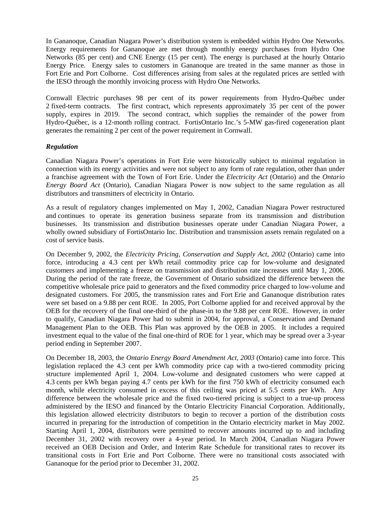In Gananoque, Canadian Niagara Power's distribution system is embedded within Hydro One Networks. Energy requirements for Gananoque are met through monthly energy purchases from Hydro One Networks (85 per cent) and CNE Energy (15 per cent). The energy is purchased at the hourly Ontario Energy Price. Energy sales to customers in Gananoque are treated in the same manner as those in Fort Erie and Port Colborne. Cost differences arising from sales at the regulated prices are settled with the IESO through the monthly invoicing process with Hydro One Networks.

Cornwall Electric purchases 98 per cent of its power requirements from Hydro-Québec under 2 fixed-term contracts. The first contract, which represents approximately 35 per cent of the power supply, expires in 2019. The second contract, which supplies the remainder of the power from Hydro-Québec, is a 12-month rolling contract. FortisOntario Inc.'s 5-MW gas-fired cogeneration plant generates the remaining 2 per cent of the power requirement in Cornwall.

## *Regulation*

Canadian Niagara Power's operations in Fort Erie were historically subject to minimal regulation in connection with its energy activities and were not subject to any form of rate regulation, other than under a franchise agreement with the Town of Fort Erie. Under the *Electricity Act* (Ontario) and the *Ontario Energy Board Act* (Ontario), Canadian Niagara Power is now subject to the same regulation as all distributors and transmitters of electricity in Ontario.

As a result of regulatory changes implemented on May 1, 2002, Canadian Niagara Power restructured and continues to operate its generation business separate from its transmission and distribution businesses. Its transmission and distribution businesses operate under Canadian Niagara Power, a wholly owned subsidiary of FortisOntario Inc. Distribution and transmission assets remain regulated on a cost of service basis.

On December 9, 2002, the *Electricity Pricing, Conservation and Supply Act, 2002* (Ontario) came into force, introducing a 4.3 cent per kWh retail commodity price cap for low-volume and designated customers and implementing a freeze on transmission and distribution rate increases until May 1, 2006. During the period of the rate freeze, the Government of Ontario subsidized the difference between the competitive wholesale price paid to generators and the fixed commodity price charged to low-volume and designated customers. For 2005, the transmission rates and Fort Erie and Gananoque distribution rates were set based on a 9.88 per cent ROE. In 2005, Port Colborne applied for and received approval by the OEB for the recovery of the final one-third of the phase-in to the 9.88 per cent ROE. However, in order to qualify, Canadian Niagara Power had to submit in 2004, for approval, a Conservation and Demand Management Plan to the OEB. This Plan was approved by the OEB in 2005. It includes a required investment equal to the value of the final one-third of ROE for 1 year, which may be spread over a 3-year period ending in September 2007.

On December 18, 2003, the *Ontario Energy Board Amendment Act, 2003* (Ontario) came into force. This legislation replaced the 4.3 cent per kWh commodity price cap with a two-tiered commodity pricing structure implemented April 1, 2004. Low-volume and designated customers who were capped at 4.3 cents per kWh began paying 4.7 cents per kWh for the first 750 kWh of electricity consumed each month, while electricity consumed in excess of this ceiling was priced at 5.5 cents per kWh. Any difference between the wholesale price and the fixed two-tiered pricing is subject to a true-up process administered by the IESO and financed by the Ontario Electricity Financial Corporation. Additionally, this legislation allowed electricity distributors to begin to recover a portion of the distribution costs incurred in preparing for the introduction of competition in the Ontario electricity market in May 2002. Starting April 1, 2004, distributors were permitted to recover amounts incurred up to and including December 31, 2002 with recovery over a 4-year period. In March 2004, Canadian Niagara Power received an OEB Decision and Order, and Interim Rate Schedule for transitional rates to recover its transitional costs in Fort Erie and Port Colborne. There were no transitional costs associated with Gananoque for the period prior to December 31, 2002.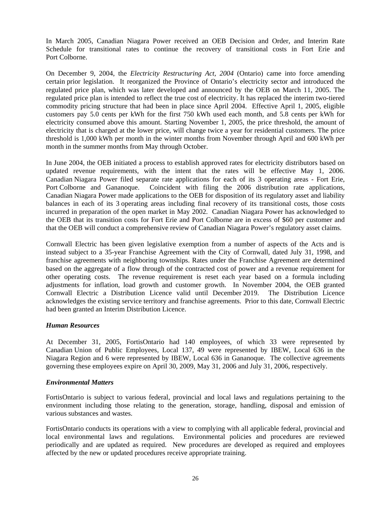In March 2005, Canadian Niagara Power received an OEB Decision and Order, and Interim Rate Schedule for transitional rates to continue the recovery of transitional costs in Fort Erie and Port Colborne.

On December 9, 2004, the *Electricity Restructuring Act, 2004* (Ontario) came into force amending certain prior legislation. It reorganized the Province of Ontario's electricity sector and introduced the regulated price plan, which was later developed and announced by the OEB on March 11, 2005. The regulated price plan is intended to reflect the true cost of electricity. It has replaced the interim two-tiered commodity pricing structure that had been in place since April 2004. Effective April 1, 2005, eligible customers pay 5.0 cents per kWh for the first 750 kWh used each month, and 5.8 cents per kWh for electricity consumed above this amount. Starting November 1, 2005, the price threshold, the amount of electricity that is charged at the lower price, will change twice a year for residential customers. The price threshold is 1,000 kWh per month in the winter months from November through April and 600 kWh per month in the summer months from May through October.

In June 2004, the OEB initiated a process to establish approved rates for electricity distributors based on updated revenue requirements, with the intent that the rates will be effective May 1, 2006. Canadian Niagara Power filed separate rate applications for each of its 3 operating areas - Fort Erie, Port Colborne and Gananoque. Coincident with filing the 2006 distribution rate applications, Canadian Niagara Power made applications to the OEB for disposition of its regulatory asset and liability balances in each of its 3 operating areas including final recovery of its transitional costs, those costs incurred in preparation of the open market in May 2002. Canadian Niagara Power has acknowledged to the OEB that its transition costs for Fort Erie and Port Colborne are in excess of \$60 per customer and that the OEB will conduct a comprehensive review of Canadian Niagara Power's regulatory asset claims.

Cornwall Electric has been given legislative exemption from a number of aspects of the Acts and is instead subject to a 35-year Franchise Agreement with the City of Cornwall, dated July 31, 1998, and franchise agreements with neighboring townships. Rates under the Franchise Agreement are determined based on the aggregate of a flow through of the contracted cost of power and a revenue requirement for other operating costs. The revenue requirement is reset each year based on a formula including adjustments for inflation, load growth and customer growth. In November 2004, the OEB granted Cornwall Electric a Distribution Licence valid until December 2019. The Distribution Licence acknowledges the existing service territory and franchise agreements. Prior to this date, Cornwall Electric had been granted an Interim Distribution Licence.

## *Human Resources*

At December 31, 2005, FortisOntario had 140 employees, of which 33 were represented by Canadian Union of Public Employees, Local 137, 49 were represented by IBEW, Local 636 in the Niagara Region and 6 were represented by IBEW, Local 636 in Gananoque. The collective agreements governing these employees expire on April 30, 2009, May 31, 2006 and July 31, 2006, respectively.

## *Environmental Matters*

FortisOntario is subject to various federal, provincial and local laws and regulations pertaining to the environment including those relating to the generation, storage, handling, disposal and emission of various substances and wastes.

FortisOntario conducts its operations with a view to complying with all applicable federal, provincial and local environmental laws and regulations. Environmental policies and procedures are reviewed periodically and are updated as required. New procedures are developed as required and employees affected by the new or updated procedures receive appropriate training.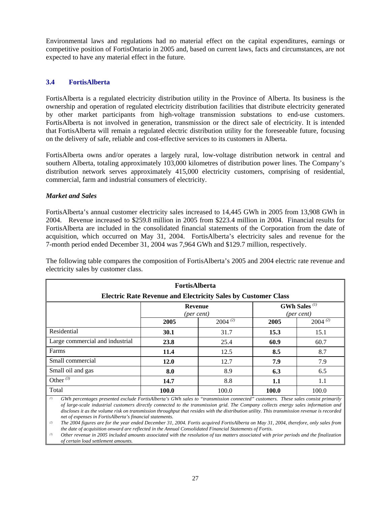Environmental laws and regulations had no material effect on the capital expenditures, earnings or competitive position of FortisOntario in 2005 and, based on current laws, facts and circumstances, are not expected to have any material effect in the future.

# **3.4 FortisAlberta**

FortisAlberta is a regulated electricity distribution utility in the Province of Alberta. Its business is the ownership and operation of regulated electricity distribution facilities that distribute electricity generated by other market participants from high-voltage transmission substations to end-use customers. FortisAlberta is not involved in generation, transmission or the direct sale of electricity. It is intended that FortisAlberta will remain a regulated electric distribution utility for the foreseeable future, focusing on the delivery of safe, reliable and cost-effective services to its customers in Alberta.

FortisAlberta owns and/or operates a largely rural, low-voltage distribution network in central and southern Alberta, totaling approximately 103,000 kilometres of distribution power lines. The Company's distribution network serves approximately 415,000 electricity customers, comprising of residential, commercial, farm and industrial consumers of electricity.

## *Market and Sales*

FortisAlberta's annual customer electricity sales increased to 14,445 GWh in 2005 from 13,908 GWh in 2004. Revenue increased to \$259.8 million in 2005 from \$223.4 million in 2004. Financial results for FortisAlberta are included in the consolidated financial statements of the Corporation from the date of acquisition, which occurred on May 31, 2004. FortisAlberta's electricity sales and revenue for the 7-month period ended December 31, 2004 was 7,964 GWh and \$129.7 million, respectively.

The following table compares the composition of FortisAlberta's 2005 and 2004 electric rate revenue and electricity sales by customer class.

| <b>FortisAlberta</b><br><b>Electric Rate Revenue and Electricity Sales by Customer Class</b> |                                                                        |       |       |       |  |  |
|----------------------------------------------------------------------------------------------|------------------------------------------------------------------------|-------|-------|-------|--|--|
|                                                                                              | GWh Sales <sup>(1)</sup><br><b>Revenue</b><br>(per cent)<br>(per cent) |       |       |       |  |  |
|                                                                                              | $2004^{(2)}$<br>2005<br>2005                                           |       |       |       |  |  |
| Residential                                                                                  | 30.1                                                                   | 31.7  | 15.3  | 15.1  |  |  |
| Large commercial and industrial                                                              | 23.8                                                                   | 25.4  | 60.9  | 60.7  |  |  |
| Farms                                                                                        | 11.4                                                                   | 12.5  | 8.5   | 8.7   |  |  |
| Small commercial                                                                             | 12.0                                                                   | 12.7  | 7.9   | 7.9   |  |  |
| Small oil and gas                                                                            | 8.0                                                                    | 8.9   | 6.3   | 6.5   |  |  |
| Other $(3)$                                                                                  | 14.7                                                                   | 8.8   | 1.1   | 1.1   |  |  |
| Total                                                                                        | 100.0                                                                  | 100.0 | 100.0 | 100.0 |  |  |

*(1) GWh percentages presented exclude FortisAlberta's GWh sales to "transmission connected" customers. These sales consist primarily of large-scale industrial customers directly connected to the transmission grid. The Company collects energy sales information and discloses it as the volume risk on transmission throughput that resides with the distribution utility. This transmission revenue is recorded net of expenses in FortisAlberta's financial statements.* 

*(2) The 2004 figures are for the year ended December 31, 2004. Fortis acquired FortisAlberta on May 31, 2004, therefore, only sales from the date of acquisition onward are reflected in the Annual Consolidated Financial Statements of Fortis.* 

*(3) Other revenue in 2005 included amounts associated with the resolution of tax matters associated with prior periods and the finalization of certain load settlement amounts.*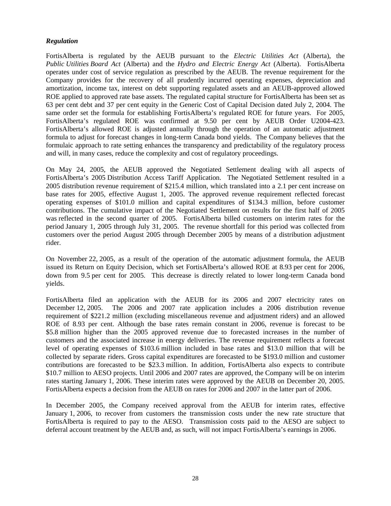#### *Regulation*

FortisAlberta is regulated by the AEUB pursuant to the *Electric Utilities Act* (Alberta), the *Public Utilities Board Act* (Alberta) and the *Hydro and Electric Energy Act* (Alberta). FortisAlberta operates under cost of service regulation as prescribed by the AEUB. The revenue requirement for the Company provides for the recovery of all prudently incurred operating expenses, depreciation and amortization, income tax, interest on debt supporting regulated assets and an AEUB-approved allowed ROE applied to approved rate base assets. The regulated capital structure for FortisAlberta has been set as 63 per cent debt and 37 per cent equity in the Generic Cost of Capital Decision dated July 2, 2004. The same order set the formula for establishing FortisAlberta's regulated ROE for future years. For 2005, FortisAlberta's regulated ROE was confirmed at 9.50 per cent by AEUB Order U2004-423. FortisAlberta's allowed ROE is adjusted annually through the operation of an automatic adjustment formula to adjust for forecast changes in long-term Canada bond yields. The Company believes that the formulaic approach to rate setting enhances the transparency and predictability of the regulatory process and will, in many cases, reduce the complexity and cost of regulatory proceedings.

On May 24, 2005, the AEUB approved the Negotiated Settlement dealing with all aspects of FortisAlberta's 2005 Distribution Access Tariff Application. The Negotiated Settlement resulted in a 2005 distribution revenue requirement of \$215.4 million, which translated into a 2.1 per cent increase on base rates for 2005, effective August 1, 2005. The approved revenue requirement reflected forecast operating expenses of \$101.0 million and capital expenditures of \$134.3 million, before customer contributions. The cumulative impact of the Negotiated Settlement on results for the first half of 2005 was reflected in the second quarter of 2005. FortisAlberta billed customers on interim rates for the period January 1, 2005 through July 31, 2005. The revenue shortfall for this period was collected from customers over the period August 2005 through December 2005 by means of a distribution adjustment rider.

On November 22, 2005, as a result of the operation of the automatic adjustment formula, the AEUB issued its Return on Equity Decision, which set FortisAlberta's allowed ROE at 8.93 per cent for 2006, down from 9.5 per cent for 2005. This decrease is directly related to lower long-term Canada bond yields.

FortisAlberta filed an application with the AEUB for its 2006 and 2007 electricity rates on December 12, 2005. The 2006 and 2007 rate application includes a 2006 distribution revenue requirement of \$221.2 million (excluding miscellaneous revenue and adjustment riders) and an allowed ROE of 8.93 per cent. Although the base rates remain constant in 2006, revenue is forecast to be \$5.8 million higher than the 2005 approved revenue due to forecasted increases in the number of customers and the associated increase in energy deliveries. The revenue requirement reflects a forecast level of operating expenses of \$103.6 million included in base rates and \$13.0 million that will be collected by separate riders. Gross capital expenditures are forecasted to be \$193.0 million and customer contributions are forecasted to be \$23.3 million. In addition, FortisAlberta also expects to contribute \$10.7 million to AESO projects. Until 2006 and 2007 rates are approved, the Company will be on interim rates starting January 1, 2006. These interim rates were approved by the AEUB on December 20, 2005. FortisAlberta expects a decision from the AEUB on rates for 2006 and 2007 in the latter part of 2006.

In December 2005, the Company received approval from the AEUB for interim rates, effective January 1, 2006, to recover from customers the transmission costs under the new rate structure that FortisAlberta is required to pay to the AESO. Transmission costs paid to the AESO are subject to deferral account treatment by the AEUB and, as such, will not impact FortisAlberta's earnings in 2006.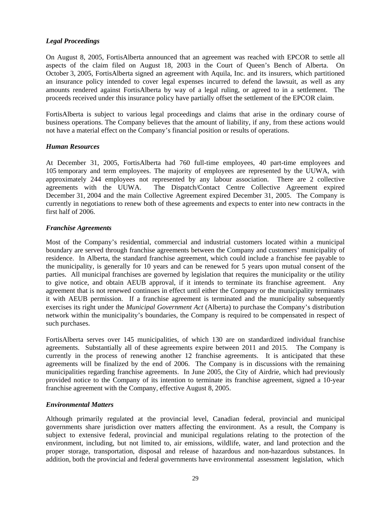## *Legal Proceedings*

On August 8, 2005, FortisAlberta announced that an agreement was reached with EPCOR to settle all aspects of the claim filed on August 18, 2003 in the Court of Queen's Bench of Alberta. On October 3, 2005, FortisAlberta signed an agreement with Aquila, Inc. and its insurers, which partitioned an insurance policy intended to cover legal expenses incurred to defend the lawsuit, as well as any amounts rendered against FortisAlberta by way of a legal ruling, or agreed to in a settlement. The proceeds received under this insurance policy have partially offset the settlement of the EPCOR claim.

FortisAlberta is subject to various legal proceedings and claims that arise in the ordinary course of business operations. The Company believes that the amount of liability, if any, from these actions would not have a material effect on the Company's financial position or results of operations.

## *Human Resources*

At December 31, 2005, FortisAlberta had 760 full-time employees, 40 part-time employees and 105 temporary and term employees. The majority of employees are represented by the UUWA, with approximately 244 employees not represented by any labour association. There are 2 collective agreements with the UUWA. The Dispatch/Contact Centre Collective Agreement expired December 31, 2004 and the main Collective Agreement expired December 31, 2005. The Company is currently in negotiations to renew both of these agreements and expects to enter into new contracts in the first half of 2006.

# *Franchise Agreements*

Most of the Company's residential, commercial and industrial customers located within a municipal boundary are served through franchise agreements between the Company and customers' municipality of residence. In Alberta, the standard franchise agreement, which could include a franchise fee payable to the municipality, is generally for 10 years and can be renewed for 5 years upon mutual consent of the parties. All municipal franchises are governed by legislation that requires the municipality or the utility to give notice, and obtain AEUB approval, if it intends to terminate its franchise agreement. Any agreement that is not renewed continues in effect until either the Company or the municipality terminates it with AEUB permission. If a franchise agreement is terminated and the municipality subsequently exercises its right under the *Municipal Government Act* (Alberta) to purchase the Company's distribution network within the municipality's boundaries, the Company is required to be compensated in respect of such purchases.

FortisAlberta serves over 145 municipalities, of which 130 are on standardized individual franchise agreements. Substantially all of these agreements expire between 2011 and 2015. The Company is currently in the process of renewing another 12 franchise agreements. It is anticipated that these agreements will be finalized by the end of 2006. The Company is in discussions with the remaining municipalities regarding franchise agreements. In June 2005, the City of Airdrie, which had previously provided notice to the Company of its intention to terminate its franchise agreement, signed a 10-year franchise agreement with the Company, effective August 8, 2005.

## *Environmental Matters*

Although primarily regulated at the provincial level, Canadian federal, provincial and municipal governments share jurisdiction over matters affecting the environment. As a result, the Company is subject to extensive federal, provincial and municipal regulations relating to the protection of the environment, including, but not limited to, air emissions, wildlife, water, and land protection and the proper storage, transportation, disposal and release of hazardous and non-hazardous substances. In addition, both the provincial and federal governments have environmental assessment legislation, which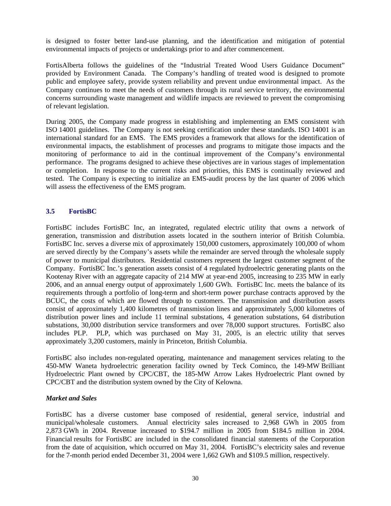is designed to foster better land-use planning, and the identification and mitigation of potential environmental impacts of projects or undertakings prior to and after commencement.

FortisAlberta follows the guidelines of the "Industrial Treated Wood Users Guidance Document" provided by Environment Canada. The Company's handling of treated wood is designed to promote public and employee safety, provide system reliability and prevent undue environmental impact. As the Company continues to meet the needs of customers through its rural service territory, the environmental concerns surrounding waste management and wildlife impacts are reviewed to prevent the compromising of relevant legislation.

During 2005, the Company made progress in establishing and implementing an EMS consistent with ISO 14001 guidelines. The Company is not seeking certification under these standards. ISO 14001 is an international standard for an EMS. The EMS provides a framework that allows for the identification of environmental impacts, the establishment of processes and programs to mitigate those impacts and the monitoring of performance to aid in the continual improvement of the Company's environmental performance. The programs designed to achieve these objectives are in various stages of implementation or completion. In response to the current risks and priorities, this EMS is continually reviewed and tested. The Company is expecting to initialize an EMS-audit process by the last quarter of 2006 which will assess the effectiveness of the EMS program.

# **3.5 FortisBC**

FortisBC includes FortisBC Inc, an integrated, regulated electric utility that owns a network of generation, transmission and distribution assets located in the southern interior of British Columbia. FortisBC Inc. serves a diverse mix of approximately 150,000 customers, approximately 100,000 of whom are served directly by the Company's assets while the remainder are served through the wholesale supply of power to municipal distributors. Residential customers represent the largest customer segment of the Company. FortisBC Inc.'s generation assets consist of 4 regulated hydroelectric generating plants on the Kootenay River with an aggregate capacity of 214 MW at year-end 2005, increasing to 235 MW in early 2006, and an annual energy output of approximately 1,600 GWh. FortisBC Inc. meets the balance of its requirements through a portfolio of long-term and short-term power purchase contracts approved by the BCUC, the costs of which are flowed through to customers. The transmission and distribution assets consist of approximately 1,400 kilometres of transmission lines and approximately 5,000 kilometres of distribution power lines and include 11 terminal substations, 4 generation substations, 64 distribution substations, 30,000 distribution service transformers and over 78,000 support structures. FortisBC also includes PLP. PLP, which was purchased on May 31, 2005, is an electric utility that serves approximately 3,200 customers, mainly in Princeton, British Columbia.

FortisBC also includes non-regulated operating, maintenance and management services relating to the 450-MW Waneta hydroelectric generation facility owned by Teck Cominco, the 149-MW Brilliant Hydroelectric Plant owned by CPC/CBT, the 185-MW Arrow Lakes Hydroelectric Plant owned by CPC/CBT and the distribution system owned by the City of Kelowna.

## *Market and Sales*

FortisBC has a diverse customer base composed of residential, general service, industrial and municipal/wholesale customers. Annual electricity sales increased to 2,968 GWh in 2005 from 2,873 GWh in 2004. Revenue increased to \$194.7 million in 2005 from \$184.5 million in 2004. Financial results for FortisBC are included in the consolidated financial statements of the Corporation from the date of acquisition, which occurred on May 31, 2004. FortisBC's electricity sales and revenue for the 7-month period ended December 31, 2004 were 1,662 GWh and \$109.5 million, respectively.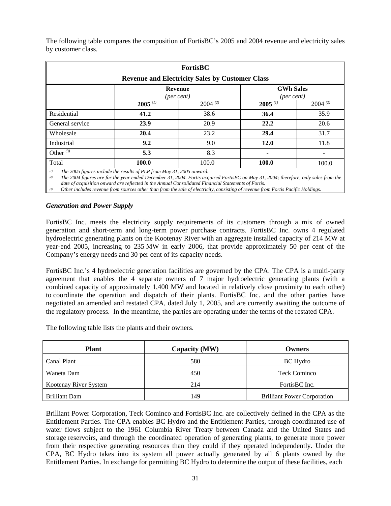|                 | <b>FortisBC</b>                                                         |                                                        |       |       |  |  |  |  |
|-----------------|-------------------------------------------------------------------------|--------------------------------------------------------|-------|-------|--|--|--|--|
|                 |                                                                         | <b>Revenue and Electricity Sales by Customer Class</b> |       |       |  |  |  |  |
|                 | <b>GWh Sales</b><br><b>Revenue</b><br>(per cent)<br>$(\text{per cent})$ |                                                        |       |       |  |  |  |  |
|                 | $2005$ <sup>(1)</sup>                                                   | $2004^{(2)}$                                           |       |       |  |  |  |  |
| Residential     | 41.2                                                                    | 38.6                                                   | 36.4  | 35.9  |  |  |  |  |
| General service | 23.9                                                                    | 20.9                                                   | 22.2  | 20.6  |  |  |  |  |
| Wholesale       | 20.4                                                                    | 23.2                                                   | 29.4  | 31.7  |  |  |  |  |
| Industrial      | 9.2                                                                     | 9.0                                                    | 12.0  | 11.8  |  |  |  |  |
| Other $(3)$     | 5.3                                                                     | 8.3                                                    |       |       |  |  |  |  |
| Total           | 100.0                                                                   | 100.0                                                  | 100.0 | 100.0 |  |  |  |  |

The following table compares the composition of FortisBC's 2005 and 2004 revenue and electricity sales by customer class.

*(1) The 2005 figures include the results of PLP from May 31, 2005 onward.*

*(2) The 2004 figures are for the year ended December 31, 2004. Fortis acquired FortisBC on May 31, 2004; therefore, only sales from the date of acquisition onward are reflected in the Annual Consolidated Financial Statements of Fortis.*

*(3) Other includes revenue from sources other than from the sale of electricity, consisting of revenue from Fortis Pacific Holdings.*

# *Generation and Power Supply*

FortisBC Inc. meets the electricity supply requirements of its customers through a mix of owned generation and short-term and long-term power purchase contracts. FortisBC Inc. owns 4 regulated hydroelectric generating plants on the Kootenay River with an aggregate installed capacity of 214 MW at year-end 2005, increasing to 235 MW in early 2006, that provide approximately 50 per cent of the Company's energy needs and 30 per cent of its capacity needs.

FortisBC Inc.'s 4 hydroelectric generation facilities are governed by the CPA. The CPA is a multi-party agreement that enables the 4 separate owners of 7 major hydroelectric generating plants (with a combined capacity of approximately 1,400 MW and located in relatively close proximity to each other) to coordinate the operation and dispatch of their plants. FortisBC Inc. and the other parties have negotiated an amended and restated CPA, dated July 1, 2005, and are currently awaiting the outcome of the regulatory process. In the meantime, the parties are operating under the terms of the restated CPA.

The following table lists the plants and their owners.

| <b>Plant</b>          | Capacity (MW) | Owners                             |
|-----------------------|---------------|------------------------------------|
| Canal Plant           | 580           | <b>BC</b> Hydro                    |
| Waneta Dam            | 450           | <b>Teck Cominco</b>                |
| Kootenay River System | 214           | FortisBC Inc.                      |
| <b>Brilliant Dam</b>  | 149           | <b>Brilliant Power Corporation</b> |

Brilliant Power Corporation, Teck Cominco and FortisBC Inc. are collectively defined in the CPA as the Entitlement Parties. The CPA enables BC Hydro and the Entitlement Parties, through coordinated use of water flows subject to the 1961 Columbia River Treaty between Canada and the United States and storage reservoirs, and through the coordinated operation of generating plants, to generate more power from their respective generating resources than they could if they operated independently. Under the CPA, BC Hydro takes into its system all power actually generated by all 6 plants owned by the Entitlement Parties. In exchange for permitting BC Hydro to determine the output of these facilities, each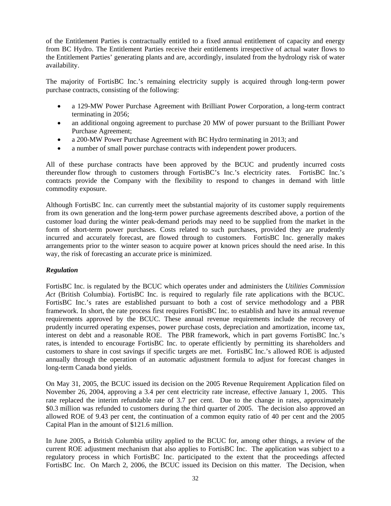of the Entitlement Parties is contractually entitled to a fixed annual entitlement of capacity and energy from BC Hydro. The Entitlement Parties receive their entitlements irrespective of actual water flows to the Entitlement Parties' generating plants and are, accordingly, insulated from the hydrology risk of water availability.

The majority of FortisBC Inc.'s remaining electricity supply is acquired through long-term power purchase contracts, consisting of the following:

- a 129-MW Power Purchase Agreement with Brilliant Power Corporation, a long-term contract terminating in 2056;
- an additional ongoing agreement to purchase 20 MW of power pursuant to the Brilliant Power Purchase Agreement;
- a 200-MW Power Purchase Agreement with BC Hydro terminating in 2013; and
- a number of small power purchase contracts with independent power producers.

All of these purchase contracts have been approved by the BCUC and prudently incurred costs thereunder flow through to customers through FortisBC's Inc.'s electricity rates. FortisBC Inc.'s contracts provide the Company with the flexibility to respond to changes in demand with little commodity exposure.

Although FortisBC Inc. can currently meet the substantial majority of its customer supply requirements from its own generation and the long-term power purchase agreements described above, a portion of the customer load during the winter peak-demand periods may need to be supplied from the market in the form of short-term power purchases. Costs related to such purchases, provided they are prudently incurred and accurately forecast, are flowed through to customers. FortisBC Inc. generally makes arrangements prior to the winter season to acquire power at known prices should the need arise. In this way, the risk of forecasting an accurate price is minimized.

## *Regulation*

FortisBC Inc. is regulated by the BCUC which operates under and administers the *Utilities Commission Act* (British Columbia). FortisBC Inc. is required to regularly file rate applications with the BCUC. FortisBC Inc.'s rates are established pursuant to both a cost of service methodology and a PBR framework. In short, the rate process first requires FortisBC Inc. to establish and have its annual revenue requirements approved by the BCUC. These annual revenue requirements include the recovery of prudently incurred operating expenses, power purchase costs, depreciation and amortization, income tax, interest on debt and a reasonable ROE. The PBR framework, which in part governs FortisBC Inc.'s rates, is intended to encourage FortisBC Inc. to operate efficiently by permitting its shareholders and customers to share in cost savings if specific targets are met. FortisBC Inc.'s allowed ROE is adjusted annually through the operation of an automatic adjustment formula to adjust for forecast changes in long-term Canada bond yields.

On May 31, 2005, the BCUC issued its decision on the 2005 Revenue Requirement Application filed on November 26, 2004, approving a 3.4 per cent electricity rate increase, effective January 1, 2005. This rate replaced the interim refundable rate of 3.7 per cent. Due to the change in rates, approximately \$0.3 million was refunded to customers during the third quarter of 2005. The decision also approved an allowed ROE of 9.43 per cent, the continuation of a common equity ratio of 40 per cent and the 2005 Capital Plan in the amount of \$121.6 million.

In June 2005, a British Columbia utility applied to the BCUC for, among other things, a review of the current ROE adjustment mechanism that also applies to FortisBC Inc. The application was subject to a regulatory process in which FortisBC Inc. participated to the extent that the proceedings affected FortisBC Inc. On March 2, 2006, the BCUC issued its Decision on this matter. The Decision, when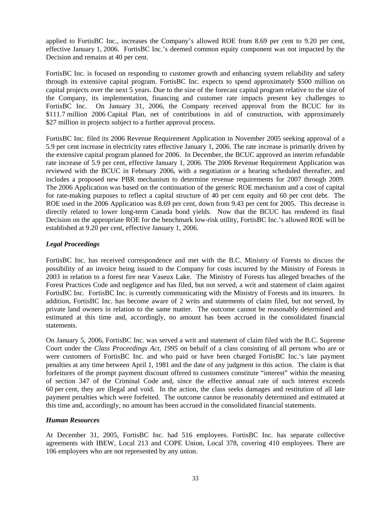applied to FortisBC Inc., increases the Company's allowed ROE from 8.69 per cent to 9.20 per cent, effective January 1, 2006. FortisBC Inc.'s deemed common equity component was not impacted by the Decision and remains at 40 per cent.

FortisBC Inc. is focused on responding to customer growth and enhancing system reliability and safety through its extensive capital program. FortisBC Inc. expects to spend approximately \$500 million on capital projects over the next  $\overline{5}$  years. Due to the size of the forecast capital program relative to the size of the Company, its implementation, financing and customer rate impacts present key challenges to FortisBC Inc. On January 31, 2006, the Company received approval from the BCUC for its \$111.7 million 2006 Capital Plan, net of contributions in aid of construction, with approximately \$27 million in projects subject to a further approval process.

FortisBC Inc. filed its 2006 Revenue Requirement Application in November 2005 seeking approval of a 5.9 per cent increase in electricity rates effective January 1, 2006. The rate increase is primarily driven by the extensive capital program planned for 2006. In December, the BCUC approved an interim refundable rate increase of 5.9 per cent, effective January 1, 2006. The 2006 Revenue Requirement Application was reviewed with the BCUC in February 2006, with a negotiation or a hearing scheduled thereafter, and includes a proposed new PBR mechanism to determine revenue requirements for 2007 through 2009. The 2006 Application was based on the continuation of the generic ROE mechanism and a cost of capital for rate-making purposes to reflect a capital structure of 40 per cent equity and 60 per cent debt. The ROE used in the 2006 Application was 8.69 per cent, down from 9.43 per cent for 2005. This decrease is directly related to lower long-term Canada bond yields. Now that the BCUC has rendered its final Decision on the appropriate ROE for the benchmark low-risk utility, FortisBC Inc.'s allowed ROE will be established at 9.20 per cent, effective January 1, 2006.

# *Legal Proceedings*

FortisBC Inc. has received correspondence and met with the B.C. Ministry of Forests to discuss the possibility of an invoice being issued to the Company for costs incurred by the Ministry of Forests in 2003 in relation to a forest fire near Vaseux Lake. The Ministry of Forests has alleged breaches of the Forest Practices Code and negligence and has filed, but not served, a writ and statement of claim against FortisBC Inc. FortisBC Inc. is currently communicating with the Ministry of Forests and its insurers. In addition, FortisBC Inc. has become aware of 2 writs and statements of claim filed, but not served, by private land owners in relation to the same matter. The outcome cannot be reasonably determined and estimated at this time and, accordingly, no amount has been accrued in the consolidated financial statements.

On January 5, 2006, FortisBC Inc. was served a writ and statement of claim filed with the B.C. Supreme Court under the *Class Proceedings Act*, *1995* on behalf of a class consisting of all persons who are or were customers of FortisBC Inc. and who paid or have been charged FortisBC Inc.'s late payment penalties at any time between April 1, 1981 and the date of any judgment in this action. The claim is that forfeitures of the prompt payment discount offered to customers constitute "interest" within the meaning of section 347 of the Criminal Code and, since the effective annual rate of such interest exceeds 60 per cent, they are illegal and void. In the action, the class seeks damages and restitution of all late payment penalties which were forfeited. The outcome cannot be reasonably determined and estimated at this time and, accordingly, no amount has been accrued in the consolidated financial statements.

## *Human Resources*

At December 31, 2005, FortisBC Inc. had 516 employees. FortisBC Inc. has separate collective agreements with IBEW, Local 213 and COPE Union, Local 378, covering 410 employees. There are 106 employees who are not represented by any union.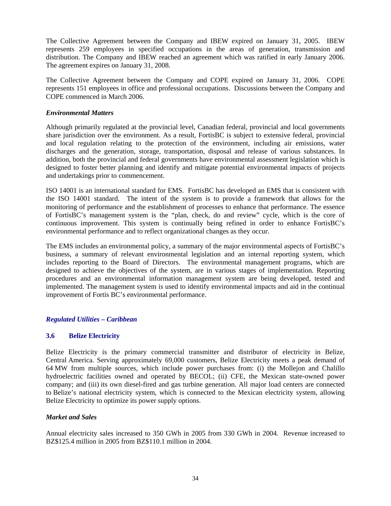The Collective Agreement between the Company and IBEW expired on January 31, 2005. IBEW represents 259 employees in specified occupations in the areas of generation, transmission and distribution. The Company and IBEW reached an agreement which was ratified in early January 2006. The agreement expires on January 31, 2008.

The Collective Agreement between the Company and COPE expired on January 31, 2006. COPE represents 151 employees in office and professional occupations. Discussions between the Company and COPE commenced in March 2006.

## *Environmental Matters*

Although primarily regulated at the provincial level, Canadian federal, provincial and local governments share jurisdiction over the environment. As a result, FortisBC is subject to extensive federal, provincial and local regulation relating to the protection of the environment, including air emissions, water discharges and the generation, storage, transportation, disposal and release of various substances. In addition, both the provincial and federal governments have environmental assessment legislation which is designed to foster better planning and identify and mitigate potential environmental impacts of projects and undertakings prior to commencement.

ISO 14001 is an international standard for EMS. FortisBC has developed an EMS that is consistent with the ISO 14001 standard. The intent of the system is to provide a framework that allows for the monitoring of performance and the establishment of processes to enhance that performance. The essence of FortisBC's management system is the "plan, check, do and review" cycle, which is the core of continuous improvement. This system is continually being refined in order to enhance FortisBC's environmental performance and to reflect organizational changes as they occur.

The EMS includes an environmental policy, a summary of the major environmental aspects of FortisBC's business, a summary of relevant environmental legislation and an internal reporting system, which includes reporting to the Board of Directors. The environmental management programs, which are designed to achieve the objectives of the system, are in various stages of implementation. Reporting procedures and an environmental information management system are being developed, tested and implemented. The management system is used to identify environmental impacts and aid in the continual improvement of Fortis BC's environmental performance.

# *Regulated Utilities – Caribbean*

# **3.6 Belize Electricity**

Belize Electricity is the primary commercial transmitter and distributor of electricity in Belize, Central America. Serving approximately 69,000 customers, Belize Electricity meets a peak demand of 64 MW from multiple sources, which include power purchases from: (i) the Mollejon and Chalillo hydroelectric facilities owned and operated by BECOL; (ii) CFE, the Mexican state-owned power company; and (iii) its own diesel-fired and gas turbine generation. All major load centers are connected to Belize's national electricity system, which is connected to the Mexican electricity system, allowing Belize Electricity to optimize its power supply options.

## *Market and Sales*

Annual electricity sales increased to 350 GWh in 2005 from 330 GWh in 2004. Revenue increased to BZ\$125.4 million in 2005 from BZ\$110.1 million in 2004.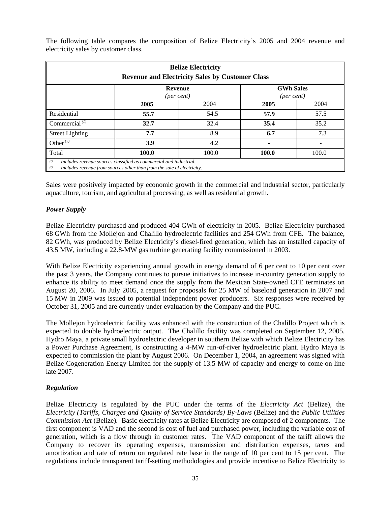| <b>Belize Electricity</b><br><b>Revenue and Electricity Sales by Customer Class</b>                                                                       |                                         |      |                                           |      |  |  |
|-----------------------------------------------------------------------------------------------------------------------------------------------------------|-----------------------------------------|------|-------------------------------------------|------|--|--|
|                                                                                                                                                           | <b>Revenue</b><br>${\rm (per \, cent)}$ |      | <b>GWh Sales</b><br>${\rm (per \, cent)}$ |      |  |  |
|                                                                                                                                                           | 2005                                    | 2004 | 2005                                      | 2004 |  |  |
| Residential                                                                                                                                               | 55.7                                    | 54.5 | 57.9                                      | 57.5 |  |  |
| Commercial $(1)$                                                                                                                                          | 32.7                                    | 32.4 | 35.4                                      | 35.2 |  |  |
| <b>Street Lighting</b>                                                                                                                                    | 7.7                                     | 8.9  | 6.7                                       | 7.3  |  |  |
| Other <sup><math>(2)</math></sup>                                                                                                                         | 3.9                                     | 4.2  |                                           |      |  |  |
| 100.0<br>Total<br>100.0<br>100.0<br>100.0                                                                                                                 |                                         |      |                                           |      |  |  |
| (1)<br>Includes revenue sources classified as commercial and industrial.<br>Includes revenue from sources other than from the sale of electricity.<br>(2) |                                         |      |                                           |      |  |  |

The following table compares the composition of Belize Electricity's 2005 and 2004 revenue and electricity sales by customer class.

Sales were positively impacted by economic growth in the commercial and industrial sector, particularly aquaculture, tourism, and agricultural processing, as well as residential growth.

# *Power Supply*

Belize Electricity purchased and produced 404 GWh of electricity in 2005. Belize Electricity purchased 68 GWh from the Mollejon and Chalillo hydroelectric facilities and 254 GWh from CFE. The balance, 82 GWh, was produced by Belize Electricity's diesel-fired generation, which has an installed capacity of 43.5 MW, including a 22.8-MW gas turbine generating facility commissioned in 2003.

With Belize Electricity experiencing annual growth in energy demand of 6 per cent to 10 per cent over the past 3 years, the Company continues to pursue initiatives to increase in-country generation supply to enhance its ability to meet demand once the supply from the Mexican State-owned CFE terminates on August 20, 2006. In July 2005, a request for proposals for 25 MW of baseload generation in 2007 and 15 MW in 2009 was issued to potential independent power producers. Six responses were received by October 31, 2005 and are currently under evaluation by the Company and the PUC.

The Mollejon hydroelectric facility was enhanced with the construction of the Chalillo Project which is expected to double hydroelectric output. The Chalillo facility was completed on September 12, 2005. Hydro Maya, a private small hydroelectric developer in southern Belize with which Belize Electricity has a Power Purchase Agreement, is constructing a 4-MW run-of-river hydroelectric plant. Hydro Maya is expected to commission the plant by August 2006. On December 1, 2004, an agreement was signed with Belize Cogeneration Energy Limited for the supply of 13.5 MW of capacity and energy to come on line late 2007.

# *Regulation*

Belize Electricity is regulated by the PUC under the terms of the *Electricity Act* (Belize)*,* the *Electricity (Tariffs, Charges and Quality of Service Standards) By-Laws* (Belize) and the *Public Utilities Commission Act* (Belize)*.* Basic electricity rates at Belize Electricity are composed of 2 components. The first component is VAD and the second is cost of fuel and purchased power, including the variable cost of generation, which is a flow through in customer rates. The VAD component of the tariff allows the Company to recover its operating expenses, transmission and distribution expenses, taxes and amortization and rate of return on regulated rate base in the range of 10 per cent to 15 per cent. The regulations include transparent tariff-setting methodologies and provide incentive to Belize Electricity to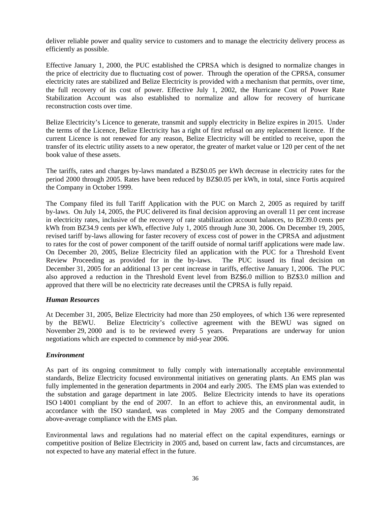deliver reliable power and quality service to customers and to manage the electricity delivery process as efficiently as possible.

Effective January 1, 2000, the PUC established the CPRSA which is designed to normalize changes in the price of electricity due to fluctuating cost of power. Through the operation of the CPRSA, consumer electricity rates are stabilized and Belize Electricity is provided with a mechanism that permits, over time, the full recovery of its cost of power. Effective July 1, 2002, the Hurricane Cost of Power Rate Stabilization Account was also established to normalize and allow for recovery of hurricane reconstruction costs over time.

Belize Electricity's Licence to generate, transmit and supply electricity in Belize expires in 2015. Under the terms of the Licence, Belize Electricity has a right of first refusal on any replacement licence. If the current Licence is not renewed for any reason, Belize Electricity will be entitled to receive, upon the transfer of its electric utility assets to a new operator, the greater of market value or 120 per cent of the net book value of these assets.

The tariffs, rates and charges by-laws mandated a BZ\$0.05 per kWh decrease in electricity rates for the period 2000 through 2005. Rates have been reduced by BZ\$0.05 per kWh, in total, since Fortis acquired the Company in October 1999.

The Company filed its full Tariff Application with the PUC on March 2, 2005 as required by tariff by-laws. On July 14, 2005, the PUC delivered its final decision approving an overall 11 per cent increase in electricity rates, inclusive of the recovery of rate stabilization account balances, to BZ39.0 cents per kWh from BZ34.9 cents per kWh, effective July 1, 2005 through June 30, 2006. On December 19, 2005, revised tariff by-laws allowing for faster recovery of excess cost of power in the CPRSA and adjustment to rates for the cost of power component of the tariff outside of normal tariff applications were made law. On December 20, 2005, Belize Electricity filed an application with the PUC for a Threshold Event Review Proceeding as provided for in the by-laws. The PUC issued its final decision on December 31, 2005 for an additional 13 per cent increase in tariffs, effective January 1, 2006. The PUC also approved a reduction in the Threshold Event level from BZ\$6.0 million to BZ\$3.0 million and approved that there will be no electricity rate decreases until the CPRSA is fully repaid.

## *Human Resources*

At December 31, 2005, Belize Electricity had more than 250 employees, of which 136 were represented by the BEWU. Belize Electricity's collective agreement with the BEWU was signed on November 29, 2000 and is to be reviewed every 5 years. Preparations are underway for union negotiations which are expected to commence by mid-year 2006.

## *Environment*

As part of its ongoing commitment to fully comply with internationally acceptable environmental standards, Belize Electricity focused environmental initiatives on generating plants. An EMS plan was fully implemented in the generation departments in 2004 and early 2005. The EMS plan was extended to the substation and garage department in late 2005. Belize Electricity intends to have its operations ISO 14001 compliant by the end of 2007. In an effort to achieve this, an environmental audit, in accordance with the ISO standard, was completed in May 2005 and the Company demonstrated above-average compliance with the EMS plan.

Environmental laws and regulations had no material effect on the capital expenditures, earnings or competitive position of Belize Electricity in 2005 and, based on current law, facts and circumstances, are not expected to have any material effect in the future.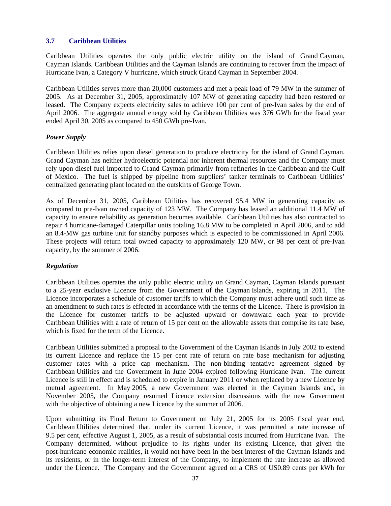## **3.7 Caribbean Utilities**

Caribbean Utilities operates the only public electric utility on the island of Grand Cayman, Cayman Islands. Caribbean Utilities and the Cayman Islands are continuing to recover from the impact of Hurricane Ivan, a Category V hurricane, which struck Grand Cayman in September 2004.

Caribbean Utilities serves more than 20,000 customers and met a peak load of 79 MW in the summer of 2005. As at December 31, 2005, approximately 107 MW of generating capacity had been restored or leased. The Company expects electricity sales to achieve 100 per cent of pre-Ivan sales by the end of April 2006. The aggregate annual energy sold by Caribbean Utilities was 376 GWh for the fiscal year ended April 30, 2005 as compared to 450 GWh pre-Ivan.

# *Power Supply*

Caribbean Utilities relies upon diesel generation to produce electricity for the island of Grand Cayman. Grand Cayman has neither hydroelectric potential nor inherent thermal resources and the Company must rely upon diesel fuel imported to Grand Cayman primarily from refineries in the Caribbean and the Gulf of Mexico. The fuel is shipped by pipeline from suppliers' tanker terminals to Caribbean Utilities' centralized generating plant located on the outskirts of George Town.

As of December 31, 2005, Caribbean Utilities has recovered 95.4 MW in generating capacity as compared to pre-Ivan owned capacity of 123 MW. The Company has leased an additional 11.4 MW of capacity to ensure reliability as generation becomes available. Caribbean Utilities has also contracted to repair 4 hurricane-damaged Caterpillar units totaling 16.8 MW to be completed in April 2006, and to add an 8.4-MW gas turbine unit for standby purposes which is expected to be commissioned in April 2006. These projects will return total owned capacity to approximately 120 MW, or 98 per cent of pre-Ivan capacity, by the summer of 2006.

## *Regulation*

Caribbean Utilities operates the only public electric utility on Grand Cayman, Cayman Islands pursuant to a 25-year exclusive Licence from the Government of the Cayman Islands, expiring in 2011. The Licence incorporates a schedule of customer tariffs to which the Company must adhere until such time as an amendment to such rates is effected in accordance with the terms of the Licence. There is provision in the Licence for customer tariffs to be adjusted upward or downward each year to provide Caribbean Utilities with a rate of return of 15 per cent on the allowable assets that comprise its rate base, which is fixed for the term of the Licence.

Caribbean Utilities submitted a proposal to the Government of the Cayman Islands in July 2002 to extend its current Licence and replace the 15 per cent rate of return on rate base mechanism for adjusting customer rates with a price cap mechanism. The non-binding tentative agreement signed by Caribbean Utilities and the Government in June 2004 expired following Hurricane Ivan. The current Licence is still in effect and is scheduled to expire in January 2011 or when replaced by a new Licence by mutual agreement. In May 2005, a new Government was elected in the Cayman Islands and, in November 2005, the Company resumed Licence extension discussions with the new Government with the objective of obtaining a new Licence by the summer of 2006.

Upon submitting its Final Return to Government on July 21, 2005 for its 2005 fiscal year end, Caribbean Utilities determined that, under its current Licence, it was permitted a rate increase of 9.5 per cent, effective August 1, 2005, as a result of substantial costs incurred from Hurricane Ivan. The Company determined, without prejudice to its rights under its existing Licence, that given the post-hurricane economic realities, it would not have been in the best interest of the Cayman Islands and its residents, or in the longer-term interest of the Company, to implement the rate increase as allowed under the Licence. The Company and the Government agreed on a CRS of US0.89 cents per kWh for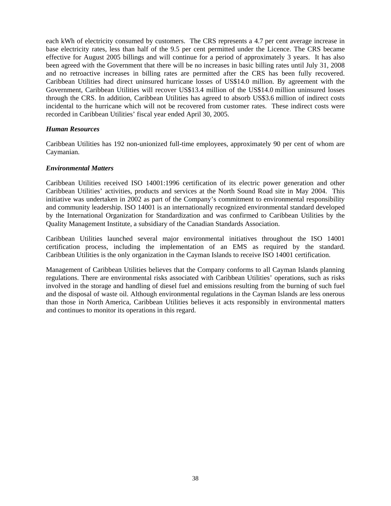each kWh of electricity consumed by customers. The CRS represents a 4.7 per cent average increase in base electricity rates, less than half of the 9.5 per cent permitted under the Licence. The CRS became effective for August 2005 billings and will continue for a period of approximately 3 years. It has also been agreed with the Government that there will be no increases in basic billing rates until July 31, 2008 and no retroactive increases in billing rates are permitted after the CRS has been fully recovered. Caribbean Utilities had direct uninsured hurricane losses of US\$14.0 million. By agreement with the Government, Caribbean Utilities will recover US\$13.4 million of the US\$14.0 million uninsured losses through the CRS. In addition, Caribbean Utilities has agreed to absorb US\$3.6 million of indirect costs incidental to the hurricane which will not be recovered from customer rates. These indirect costs were recorded in Caribbean Utilities' fiscal year ended April 30, 2005.

#### *Human Resources*

Caribbean Utilities has 192 non-unionized full-time employees, approximately 90 per cent of whom are Caymanian.

#### *Environmental Matters*

Caribbean Utilities received ISO 14001:1996 certification of its electric power generation and other Caribbean Utilities' activities, products and services at the North Sound Road site in May 2004. This initiative was undertaken in 2002 as part of the Company's commitment to environmental responsibility and community leadership. ISO 14001 is an internationally recognized environmental standard developed by the International Organization for Standardization and was confirmed to Caribbean Utilities by the Quality Management Institute, a subsidiary of the Canadian Standards Association.

Caribbean Utilities launched several major environmental initiatives throughout the ISO 14001 certification process, including the implementation of an EMS as required by the standard. Caribbean Utilities is the only organization in the Cayman Islands to receive ISO 14001 certification.

Management of Caribbean Utilities believes that the Company conforms to all Cayman Islands planning regulations. There are environmental risks associated with Caribbean Utilities' operations, such as risks involved in the storage and handling of diesel fuel and emissions resulting from the burning of such fuel and the disposal of waste oil. Although environmental regulations in the Cayman Islands are less onerous than those in North America, Caribbean Utilities believes it acts responsibly in environmental matters and continues to monitor its operations in this regard.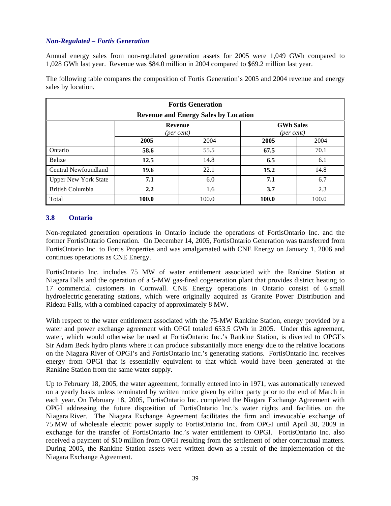## *Non-Regulated – Fortis Generation*

Annual energy sales from non-regulated generation assets for 2005 were 1,049 GWh compared to 1,028 GWh last year. Revenue was \$84.0 million in 2004 compared to \$69.2 million last year.

The following table compares the composition of Fortis Generation's 2005 and 2004 revenue and energy sales by location.

| <b>Fortis Generation</b><br><b>Revenue and Energy Sales by Location</b> |                              |       |                                |       |
|-------------------------------------------------------------------------|------------------------------|-------|--------------------------------|-------|
|                                                                         | <b>Revenue</b><br>(per cent) |       | <b>GWh Sales</b><br>(per cent) |       |
|                                                                         | 2005                         | 2004  | 2005                           | 2004  |
| Ontario                                                                 | 58.6                         | 55.5  | 67.5                           | 70.1  |
| Belize                                                                  | 12.5                         | 14.8  | 6.5                            | 6.1   |
| Central Newfoundland                                                    | 19.6                         | 22.1  | 15.2                           | 14.8  |
| <b>Upper New York State</b>                                             | 7.1                          | 6.0   | 7.1                            | 6.7   |
| <b>British Columbia</b>                                                 | $2.2\,$                      | 1.6   | 3.7                            | 2.3   |
| Total                                                                   | 100.0                        | 100.0 | 100.0                          | 100.0 |

## **3.8 Ontario**

Non-regulated generation operations in Ontario include the operations of FortisOntario Inc. and the former FortisOntario Generation. On December 14, 2005, FortisOntario Generation was transferred from FortisOntario Inc. to Fortis Properties and was amalgamated with CNE Energy on January 1, 2006 and continues operations as CNE Energy.

FortisOntario Inc. includes 75 MW of water entitlement associated with the Rankine Station at Niagara Falls and the operation of a 5-MW gas-fired cogeneration plant that provides district heating to 17 commercial customers in Cornwall. CNE Energy operations in Ontario consist of 6 small hydroelectric generating stations, which were originally acquired as Granite Power Distribution and Rideau Falls, with a combined capacity of approximately 8 MW.

With respect to the water entitlement associated with the 75-MW Rankine Station, energy provided by a water and power exchange agreement with OPGI totaled 653.5 GWh in 2005. Under this agreement, water, which would otherwise be used at FortisOntario Inc.'s Rankine Station, is diverted to OPGI's Sir Adam Beck hydro plants where it can produce substantially more energy due to the relative locations on the Niagara River of OPGI's and FortisOntario Inc.'s generating stations. FortisOntario Inc. receives energy from OPGI that is essentially equivalent to that which would have been generated at the Rankine Station from the same water supply.

Up to February 18, 2005, the water agreement, formally entered into in 1971, was automatically renewed on a yearly basis unless terminated by written notice given by either party prior to the end of March in each year. On February 18, 2005, FortisOntario Inc. completed the Niagara Exchange Agreement with OPGI addressing the future disposition of FortisOntario Inc.'s water rights and facilities on the Niagara River. The Niagara Exchange Agreement facilitates the firm and irrevocable exchange of 75 MW of wholesale electric power supply to FortisOntario Inc. from OPGI until April 30, 2009 in exchange for the transfer of FortisOntario Inc.'s water entitlement to OPGI. FortisOntario Inc. also received a payment of \$10 million from OPGI resulting from the settlement of other contractual matters. During 2005, the Rankine Station assets were written down as a result of the implementation of the Niagara Exchange Agreement.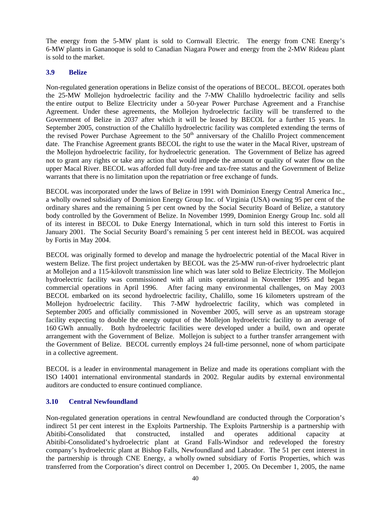The energy from the 5-MW plant is sold to Cornwall Electric. The energy from CNE Energy's 6-MW plants in Gananoque is sold to Canadian Niagara Power and energy from the 2-MW Rideau plant is sold to the market.

# **3.9 Belize**

Non-regulated generation operations in Belize consist of the operations of BECOL. BECOL operates both the 25-MW Mollejon hydroelectric facility and the 7-MW Chalillo hydroelectric facility and sells the entire output to Belize Electricity under a 50-year Power Purchase Agreement and a Franchise Agreement. Under these agreements, the Mollejon hydroelectric facility will be transferred to the Government of Belize in 2037 after which it will be leased by BECOL for a further 15 years. In September 2005, construction of the Chalillo hydroelectric facility was completed extending the terms of the revised Power Purchase Agreement to the  $50<sup>th</sup>$  anniversary of the Chalillo Project commencement date. The Franchise Agreement grants BECOL the right to use the water in the Macal River, upstream of the Mollejon hydroelectric facility, for hydroelectric generation. The Government of Belize has agreed not to grant any rights or take any action that would impede the amount or quality of water flow on the upper Macal River. BECOL was afforded full duty-free and tax-free status and the Government of Belize warrants that there is no limitation upon the repatriation or free exchange of funds.

BECOL was incorporated under the laws of Belize in 1991 with Dominion Energy Central America Inc., a wholly owned subsidiary of Dominion Energy Group Inc. of Virginia (USA) owning 95 per cent of the ordinary shares and the remaining 5 per cent owned by the Social Security Board of Belize, a statutory body controlled by the Government of Belize. In November 1999, Dominion Energy Group Inc. sold all of its interest in BECOL to Duke Energy International, which in turn sold this interest to Fortis in January 2001. The Social Security Board's remaining 5 per cent interest held in BECOL was acquired by Fortis in May 2004.

BECOL was originally formed to develop and manage the hydroelectric potential of the Macal River in western Belize. The first project undertaken by BECOL was the 25-MW run-of-river hydroelectric plant at Mollejon and a 115-kilovolt transmission line which was later sold to Belize Electricity. The Mollejon hydroelectric facility was commissioned with all units operational in November 1995 and began commercial operations in April 1996. After facing many environmental challenges, on May 2003 BECOL embarked on its second hydroelectric facility, Chalillo, some 16 kilometers upstream of the Mollejon hydroelectric facility. This 7-MW hydroelectric facility, which was completed in September 2005 and officially commissioned in November 2005, will serve as an upstream storage facility expecting to double the energy output of the Mollejon hydroelectric facility to an average of 160 GWh annually. Both hydroelectric facilities were developed under a build, own and operate arrangement with the Government of Belize. Mollejon is subject to a further transfer arrangement with the Government of Belize. BECOL currently employs 24 full-time personnel, none of whom participate in a collective agreement.

BECOL is a leader in environmental management in Belize and made its operations compliant with the ISO 14001 international environmental standards in 2002. Regular audits by external environmental auditors are conducted to ensure continued compliance.

# **3.10 Central Newfoundland**

Non-regulated generation operations in central Newfoundland are conducted through the Corporation's indirect 51 per cent interest in the Exploits Partnership. The Exploits Partnership is a partnership with Abitibi-Consolidated that constructed, installed and operates additional capacity at Abitibi-Consolidated's hydroelectric plant at Grand Falls-Windsor and redeveloped the forestry company's hydroelectric plant at Bishop Falls, Newfoundland and Labrador. The 51 per cent interest in the partnership is through CNE Energy, a wholly owned subsidiary of Fortis Properties, which was transferred from the Corporation's direct control on December 1, 2005. On December 1, 2005, the name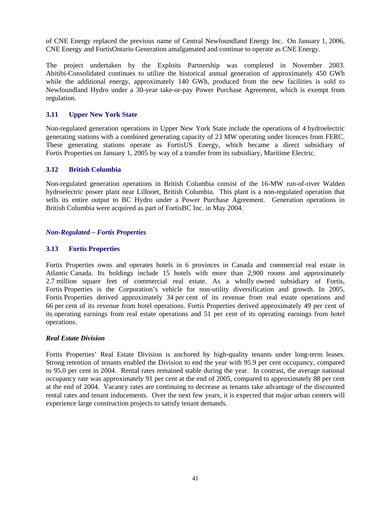of CNE Energy replaced the previous name of Central Newfoundland Energy Inc. On January 1, 2006, CNE Energy and FortisOntario Generation amalgamated and continue to operate as CNE Energy.

The project undertaken by the Exploits Partnership was completed in November 2003. Abitibi-Consolidated continues to utilize the historical annual generation of approximately 450 GWh while the additional energy, approximately 140 GWh, produced from the new facilities is sold to Newfoundland Hydro under a 30-year take-or-pay Power Purchase Agreement, which is exempt from regulation.

## **3.11 Upper New York State**

Non-regulated generation operations in Upper New York State include the operations of 4 hydroelectric generating stations with a combined generating capacity of 23 MW operating under licences from FERC. These generating stations operate as FortisUS Energy, which became a direct subsidiary of Fortis Properties on January 1, 2005 by way of a transfer from its subsidiary, Maritime Electric.

# **3.12 British Columbia**

Non-regulated generation operations in British Columbia consist of the 16-MW run-of-river Walden hydroelectric power plant near Lillooet, British Columbia. This plant is a non-regulated operation that sells its entire output to BC Hydro under a Power Purchase Agreement. Generation operations in British Columbia were acquired as part of FortisBC Inc. in May 2004.

# *Non-Regulated – Fortis Properties*

## **3.13 Fortis Properties**

Fortis Properties owns and operates hotels in 6 provinces in Canada and commercial real estate in Atlantic Canada. Its holdings include 15 hotels with more than 2,900 rooms and approximately 2.7 million square feet of commercial real estate. As a wholly owned subsidiary of Fortis, Fortis Properties is the Corporation's vehicle for non-utility diversification and growth. In 2005, Fortis Properties derived approximately 34 per cent of its revenue from real estate operations and 66 per cent of its revenue from hotel operations. Fortis Properties derived approximately 49 per cent of its operating earnings from real estate operations and 51 per cent of its operating earnings from hotel operations.

## *Real Estate Division*

Fortis Properties' Real Estate Division is anchored by high-quality tenants under long-term leases. Strong retention of tenants enabled the Division to end the year with 95.9 per cent occupancy, compared to 95.0 per cent in 2004. Rental rates remained stable during the year. In contrast, the average national occupancy rate was approximately 91 per cent at the end of 2005, compared to approximately 88 per cent at the end of 2004. Vacancy rates are continuing to decrease as tenants take advantage of the discounted rental rates and tenant inducements. Over the next few years, it is expected that major urban centers will experience large construction projects to satisfy tenant demands.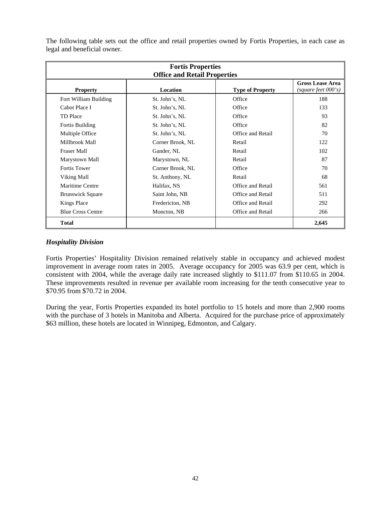| <b>Fortis Properties</b> |                                     |                         |                                                |  |
|--------------------------|-------------------------------------|-------------------------|------------------------------------------------|--|
|                          | <b>Office and Retail Properties</b> |                         |                                                |  |
| <b>Property</b>          | Location                            | <b>Type of Property</b> | <b>Gross Lease Area</b><br>(square feet 000's) |  |
| Fort William Building    | St. John's, NL                      | Office                  | 188                                            |  |
| Cabot Place I            | St. John's, NL                      | Office                  | 133                                            |  |
| <b>TD</b> Place          | St. John's, NL                      | Office                  | 93                                             |  |
| Fortis Building          | St. John's, NL                      | Office                  | 82                                             |  |
| Multiple Office          | St. John's, NL                      | Office and Retail       | 70                                             |  |
| Millbrook Mall           | Corner Brook, NL                    | Retail                  | 122                                            |  |
| <b>Fraser Mall</b>       | Gander, NL                          | Retail                  | 102                                            |  |
| Marystown Mall           | Marystown, NL                       | Retail                  | 87                                             |  |
| <b>Fortis Tower</b>      | Corner Brook, NL                    | Office                  | 70                                             |  |
| Viking Mall              | St. Anthony, NL                     | Retail                  | 68                                             |  |
| Maritime Centre          | Halifax, NS                         | Office and Retail       | 561                                            |  |
| <b>Brunswick Square</b>  | Saint John, NB                      | Office and Retail       | 511                                            |  |
| <b>Kings Place</b>       | Fredericton, NB                     | Office and Retail       | 292                                            |  |
| <b>Blue Cross Centre</b> | Moncton, NB                         | Office and Retail       | 266                                            |  |
| <b>Total</b>             |                                     |                         | 2,645                                          |  |

The following table sets out the office and retail properties owned by Fortis Properties, in each case as legal and beneficial owner.

# *Hospitality Division*

Fortis Properties' Hospitality Division remained relatively stable in occupancy and achieved modest improvement in average room rates in 2005. Average occupancy for 2005 was 63.9 per cent, which is consistent with 2004, while the average daily rate increased slightly to \$111.07 from \$110.65 in 2004. These improvements resulted in revenue per available room increasing for the tenth consecutive year to \$70.95 from \$70.72 in 2004.

During the year, Fortis Properties expanded its hotel portfolio to 15 hotels and more than 2,900 rooms with the purchase of 3 hotels in Manitoba and Alberta. Acquired for the purchase price of approximately \$63 million, these hotels are located in Winnipeg, Edmonton, and Calgary.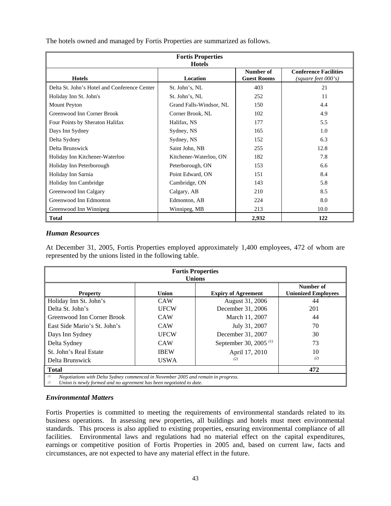| <b>Fortis Properties</b>                     |                           |                                 |                                                         |  |
|----------------------------------------------|---------------------------|---------------------------------|---------------------------------------------------------|--|
| <b>Hotels</b>                                | <b>Hotels</b><br>Location | Number of<br><b>Guest Rooms</b> | <b>Conference Facilities</b><br>$(square$ feet $000's)$ |  |
| Delta St. John's Hotel and Conference Center | St. John's, NL            | 403                             | 21                                                      |  |
| Holiday Inn St. John's                       | St. John's, NL            | 252                             | 11                                                      |  |
| <b>Mount Peyton</b>                          | Grand Falls-Windsor, NL   | 150                             | 4.4                                                     |  |
| Greenwood Inn Corner Brook                   | Corner Brook, NL          | 102                             | 4.9                                                     |  |
| Four Points by Sheraton Halifax              | Halifax, NS               | 177                             | 5.5                                                     |  |
| Days Inn Sydney                              | Sydney, NS                | 165                             | 1.0                                                     |  |
| Delta Sydney                                 | Sydney, NS                | 152                             | 6.3                                                     |  |
| Delta Brunswick                              | Saint John, NB            | 255                             | 12.8                                                    |  |
| Holiday Inn Kitchener-Waterloo               | Kitchener-Waterloo, ON    | 182                             | 7.8                                                     |  |
| Holiday Inn Peterborough                     | Peterborough, ON          | 153                             | 6.6                                                     |  |
| Holiday Inn Sarnia                           | Point Edward, ON          | 151                             | 8.4                                                     |  |
| Holiday Inn Cambridge                        | Cambridge, ON             | 143                             | 5.8                                                     |  |
| Greenwood Inn Calgary                        | Calgary, AB               | 210                             | 8.5                                                     |  |
| Greenwood Inn Edmonton                       | Edmonton, AB              | 224                             | 8.0                                                     |  |
| Greenwood Inn Winnipeg                       | Winnipeg, MB              | 213                             | 10.0                                                    |  |
| <b>Total</b>                                 |                           | 2,932                           | 122                                                     |  |

The hotels owned and managed by Fortis Properties are summarized as follows.

# *Human Resources*

At December 31, 2005, Fortis Properties employed approximately 1,400 employees, 472 of whom are represented by the unions listed in the following table.

| <b>Fortis Properties</b>                                                                                                                                               |              |                             |                                         |  |
|------------------------------------------------------------------------------------------------------------------------------------------------------------------------|--------------|-----------------------------|-----------------------------------------|--|
|                                                                                                                                                                        |              | <b>Unions</b>               |                                         |  |
| <b>Property</b>                                                                                                                                                        | <b>Union</b> | <b>Expiry of Agreement</b>  | Number of<br><b>Unionized Employees</b> |  |
| Holiday Inn St. John's                                                                                                                                                 | <b>CAW</b>   | August 31, 2006             | 44                                      |  |
| Delta St. John's                                                                                                                                                       | <b>UFCW</b>  | December 31, 2006           | 201                                     |  |
| Greenwood Inn Corner Brook                                                                                                                                             | <b>CAW</b>   | March 11, 2007              | 44                                      |  |
| East Side Mario's St. John's                                                                                                                                           | <b>CAW</b>   | July 31, 2007               | 70                                      |  |
| Days Inn Sydney                                                                                                                                                        | <b>UFCW</b>  | December 31, 2007           | 30                                      |  |
| Delta Sydney                                                                                                                                                           | <b>CAW</b>   | September 30, 2005 $^{(1)}$ | 73                                      |  |
| St. John's Real Estate                                                                                                                                                 | <b>IBEW</b>  | April 17, 2010              | 10                                      |  |
| Delta Brunswick                                                                                                                                                        | <b>USWA</b>  | (2)                         | (2)                                     |  |
| <b>Total</b><br>472                                                                                                                                                    |              |                             |                                         |  |
| (1)<br>Negotiations with Delta Sydney commenced in November 2005 and remain in progress.<br>Union is newly formed and no agreement has been negotiated to date.<br>(2) |              |                             |                                         |  |

## *Environmental Matters*

Fortis Properties is committed to meeting the requirements of environmental standards related to its business operations. In assessing new properties, all buildings and hotels must meet environmental standards. This process is also applied to existing properties, ensuring environmental compliance of all facilities. Environmental laws and regulations had no material effect on the capital expenditures, earnings or competitive position of Fortis Properties in 2005 and, based on current law, facts and circumstances, are not expected to have any material effect in the future.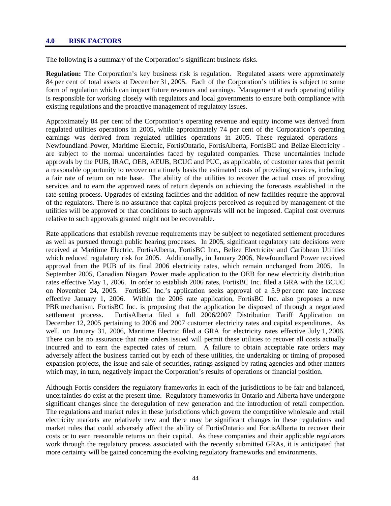#### **4.0 RISK FACTORS**

The following is a summary of the Corporation's significant business risks.

**Regulation:** The Corporation's key business risk is regulation. Regulated assets were approximately 84 per cent of total assets at December 31, 2005. Each of the Corporation's utilities is subject to some form of regulation which can impact future revenues and earnings. Management at each operating utility is responsible for working closely with regulators and local governments to ensure both compliance with existing regulations and the proactive management of regulatory issues.

Approximately 84 per cent of the Corporation's operating revenue and equity income was derived from regulated utilities operations in 2005, while approximately 74 per cent of the Corporation's operating earnings was derived from regulated utilities operations in 2005. These regulated operations - Newfoundland Power, Maritime Electric, FortisOntario, FortisAlberta, FortisBC and Belize Electricity are subject to the normal uncertainties faced by regulated companies. These uncertainties include approvals by the PUB, IRAC, OEB, AEUB, BCUC and PUC, as applicable, of customer rates that permit a reasonable opportunity to recover on a timely basis the estimated costs of providing services, including a fair rate of return on rate base. The ability of the utilities to recover the actual costs of providing services and to earn the approved rates of return depends on achieving the forecasts established in the rate-setting process. Upgrades of existing facilities and the addition of new facilities require the approval of the regulators. There is no assurance that capital projects perceived as required by management of the utilities will be approved or that conditions to such approvals will not be imposed. Capital cost overruns relative to such approvals granted might not be recoverable.

Rate applications that establish revenue requirements may be subject to negotiated settlement procedures as well as pursued through public hearing processes. In 2005, significant regulatory rate decisions were received at Maritime Electric, FortisAlberta, FortisBC Inc., Belize Electricity and Caribbean Utilities which reduced regulatory risk for 2005. Additionally, in January 2006, Newfoundland Power received approval from the PUB of its final 2006 electricity rates, which remain unchanged from 2005. In September 2005, Canadian Niagara Power made application to the OEB for new electricity distribution rates effective May 1, 2006. In order to establish 2006 rates, FortisBC Inc. filed a GRA with the BCUC on November 24, 2005. FortisBC Inc.'s application seeks approval of a 5.9 per cent rate increase effective January 1, 2006. Within the 2006 rate application, FortisBC Inc. also proposes a new PBR mechanism. FortisBC Inc. is proposing that the application be disposed of through a negotiated settlement process. FortisAlberta filed a full 2006/2007 Distribution Tariff Application on December 12, 2005 pertaining to 2006 and 2007 customer electricity rates and capital expenditures. As well, on January 31, 2006, Maritime Electric filed a GRA for electricity rates effective July 1, 2006. There can be no assurance that rate orders issued will permit these utilities to recover all costs actually incurred and to earn the expected rates of return. A failure to obtain acceptable rate orders may adversely affect the business carried out by each of these utilities, the undertaking or timing of proposed expansion projects, the issue and sale of securities, ratings assigned by rating agencies and other matters which may, in turn, negatively impact the Corporation's results of operations or financial position.

Although Fortis considers the regulatory frameworks in each of the jurisdictions to be fair and balanced, uncertainties do exist at the present time. Regulatory frameworks in Ontario and Alberta have undergone significant changes since the deregulation of new generation and the introduction of retail competition. The regulations and market rules in these jurisdictions which govern the competitive wholesale and retail electricity markets are relatively new and there may be significant changes in these regulations and market rules that could adversely affect the ability of FortisOntario and FortisAlberta to recover their costs or to earn reasonable returns on their capital. As these companies and their applicable regulators work through the regulatory process associated with the recently submitted GRAs, it is anticipated that more certainty will be gained concerning the evolving regulatory frameworks and environments.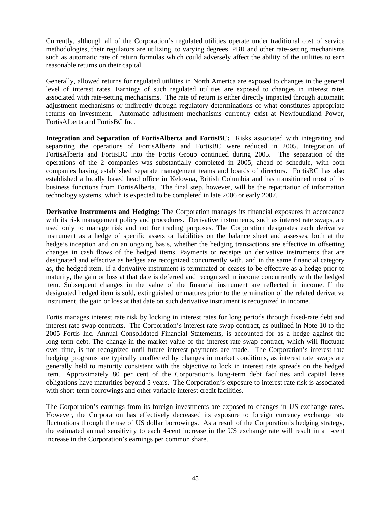Currently, although all of the Corporation's regulated utilities operate under traditional cost of service methodologies, their regulators are utilizing, to varying degrees, PBR and other rate-setting mechanisms such as automatic rate of return formulas which could adversely affect the ability of the utilities to earn reasonable returns on their capital.

Generally, allowed returns for regulated utilities in North America are exposed to changes in the general level of interest rates. Earnings of such regulated utilities are exposed to changes in interest rates associated with rate-setting mechanisms. The rate of return is either directly impacted through automatic adjustment mechanisms or indirectly through regulatory determinations of what constitutes appropriate returns on investment. Automatic adjustment mechanisms currently exist at Newfoundland Power, FortisAlberta and FortisBC Inc.

**Integration and Separation of FortisAlberta and FortisBC:** Risks associated with integrating and separating the operations of FortisAlberta and FortisBC were reduced in 2005. Integration of FortisAlberta and FortisBC into the Fortis Group continued during 2005. The separation of the operations of the 2 companies was substantially completed in 2005, ahead of schedule, with both companies having established separate management teams and boards of directors. FortisBC has also established a locally based head office in Kelowna, British Columbia and has transitioned most of its business functions from FortisAlberta. The final step, however, will be the repatriation of information technology systems, which is expected to be completed in late 2006 or early 2007.

**Derivative Instruments and Hedging:** The Corporation manages its financial exposures in accordance with its risk management policy and procedures. Derivative instruments, such as interest rate swaps, are used only to manage risk and not for trading purposes. The Corporation designates each derivative instrument as a hedge of specific assets or liabilities on the balance sheet and assesses, both at the hedge's inception and on an ongoing basis, whether the hedging transactions are effective in offsetting changes in cash flows of the hedged items. Payments or receipts on derivative instruments that are designated and effective as hedges are recognized concurrently with, and in the same financial category as, the hedged item. If a derivative instrument is terminated or ceases to be effective as a hedge prior to maturity, the gain or loss at that date is deferred and recognized in income concurrently with the hedged item. Subsequent changes in the value of the financial instrument are reflected in income. If the designated hedged item is sold, extinguished or matures prior to the termination of the related derivative instrument, the gain or loss at that date on such derivative instrument is recognized in income.

Fortis manages interest rate risk by locking in interest rates for long periods through fixed-rate debt and interest rate swap contracts. The Corporation's interest rate swap contract, as outlined in Note 10 to the 2005 Fortis Inc. Annual Consolidated Financial Statements, is accounted for as a hedge against the long-term debt. The change in the market value of the interest rate swap contract, which will fluctuate over time, is not recognized until future interest payments are made. The Corporation's interest rate hedging programs are typically unaffected by changes in market conditions, as interest rate swaps are generally held to maturity consistent with the objective to lock in interest rate spreads on the hedged item. Approximately 80 per cent of the Corporation's long-term debt facilities and capital lease obligations have maturities beyond 5 years. The Corporation's exposure to interest rate risk is associated with short-term borrowings and other variable interest credit facilities.

The Corporation's earnings from its foreign investments are exposed to changes in US exchange rates. However, the Corporation has effectively decreased its exposure to foreign currency exchange rate fluctuations through the use of US dollar borrowings. As a result of the Corporation's hedging strategy, the estimated annual sensitivity to each 4-cent increase in the US exchange rate will result in a 1-cent increase in the Corporation's earnings per common share.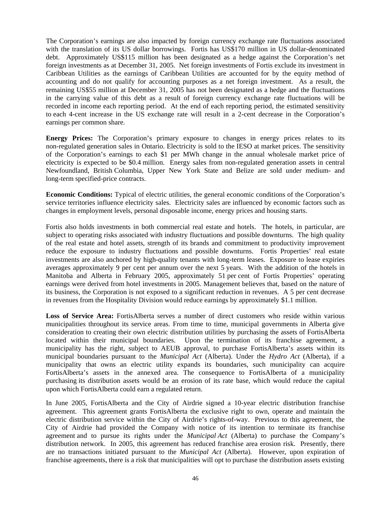The Corporation's earnings are also impacted by foreign currency exchange rate fluctuations associated with the translation of its US dollar borrowings. Fortis has US\$170 million in US dollar-denominated debt. Approximately US\$115 million has been designated as a hedge against the Corporation's net foreign investments as at December 31, 2005. Net foreign investments of Fortis exclude its investment in Caribbean Utilities as the earnings of Caribbean Utilities are accounted for by the equity method of accounting and do not qualify for accounting purposes as a net foreign investment. As a result, the remaining US\$55 million at December 31, 2005 has not been designated as a hedge and the fluctuations in the carrying value of this debt as a result of foreign currency exchange rate fluctuations will be recorded in income each reporting period. At the end of each reporting period, the estimated sensitivity to each 4-cent increase in the US exchange rate will result in a 2-cent decrease in the Corporation's earnings per common share.

**Energy Prices:** The Corporation's primary exposure to changes in energy prices relates to its non-regulated generation sales in Ontario. Electricity is sold to the IESO at market prices. The sensitivity of the Corporation's earnings to each \$1 per MWh change in the annual wholesale market price of electricity is expected to be \$0.4 million. Energy sales from non-regulated generation assets in central Newfoundland, British Columbia, Upper New York State and Belize are sold under medium- and long-term specified-price contracts.

**Economic Conditions:** Typical of electric utilities, the general economic conditions of the Corporation's service territories influence electricity sales. Electricity sales are influenced by economic factors such as changes in employment levels, personal disposable income, energy prices and housing starts.

Fortis also holds investments in both commercial real estate and hotels. The hotels, in particular, are subject to operating risks associated with industry fluctuations and possible downturns. The high quality of the real estate and hotel assets, strength of its brands and commitment to productivity improvement reduce the exposure to industry fluctuations and possible downturns. Fortis Properties' real estate investments are also anchored by high-quality tenants with long-term leases. Exposure to lease expiries averages approximately 9 per cent per annum over the next 5 years. With the addition of the hotels in Manitoba and Alberta in February 2005, approximately 51 per cent of Fortis Properties' operating earnings were derived from hotel investments in 2005. Management believes that, based on the nature of its business, the Corporation is not exposed to a significant reduction in revenues. A 5 per cent decrease in revenues from the Hospitality Division would reduce earnings by approximately \$1.1 million.

**Loss of Service Area:** FortisAlberta serves a number of direct customers who reside within various municipalities throughout its service areas. From time to time, municipal governments in Alberta give consideration to creating their own electric distribution utilities by purchasing the assets of FortisAlberta located within their municipal boundaries. Upon the termination of its franchise agreement, a municipality has the right, subject to AEUB approval, to purchase FortisAlberta's assets within its municipal boundaries pursuant to the *Municipal Act* (Alberta). Under the *Hydro Act* (Alberta), if a municipality that owns an electric utility expands its boundaries, such municipality can acquire FortisAlberta's assets in the annexed area. The consequence to FortisAlberta of a municipality purchasing its distribution assets would be an erosion of its rate base, which would reduce the capital upon which FortisAlberta could earn a regulated return.

In June 2005, FortisAlberta and the City of Airdrie signed a 10-year electric distribution franchise agreement. This agreement grants FortisAlberta the exclusive right to own, operate and maintain the electric distribution service within the City of Airdrie's rights-of-way. Previous to this agreement, the City of Airdrie had provided the Company with notice of its intention to terminate its franchise agreement and to pursue its rights under the *Municipal Act* (Alberta) to purchase the Company's distribution network. In 2005, this agreement has reduced franchise area erosion risk. Presently, there are no transactions initiated pursuant to the *Municipal Act* (Alberta)*.* However, upon expiration of franchise agreements, there is a risk that municipalities will opt to purchase the distribution assets existing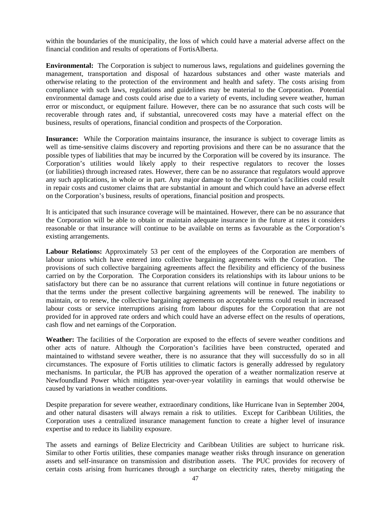within the boundaries of the municipality, the loss of which could have a material adverse affect on the financial condition and results of operations of FortisAlberta.

**Environmental:** The Corporation is subject to numerous laws, regulations and guidelines governing the management, transportation and disposal of hazardous substances and other waste materials and otherwise relating to the protection of the environment and health and safety. The costs arising from compliance with such laws, regulations and guidelines may be material to the Corporation. Potential environmental damage and costs could arise due to a variety of events, including severe weather, human error or misconduct, or equipment failure. However, there can be no assurance that such costs will be recoverable through rates and, if substantial, unrecovered costs may have a material effect on the business, results of operations, financial condition and prospects of the Corporation.

**Insurance:** While the Corporation maintains insurance, the insurance is subject to coverage limits as well as time-sensitive claims discovery and reporting provisions and there can be no assurance that the possible types of liabilities that may be incurred by the Corporation will be covered by its insurance. The Corporation's utilities would likely apply to their respective regulators to recover the losses (or liabilities) through increased rates. However, there can be no assurance that regulators would approve any such applications, in whole or in part. Any major damage to the Corporation's facilities could result in repair costs and customer claims that are substantial in amount and which could have an adverse effect on the Corporation's business, results of operations, financial position and prospects.

It is anticipated that such insurance coverage will be maintained. However, there can be no assurance that the Corporation will be able to obtain or maintain adequate insurance in the future at rates it considers reasonable or that insurance will continue to be available on terms as favourable as the Corporation's existing arrangements.

**Labour Relations:** Approximately 53 per cent of the employees of the Corporation are members of labour unions which have entered into collective bargaining agreements with the Corporation. The provisions of such collective bargaining agreements affect the flexibility and efficiency of the business carried on by the Corporation. The Corporation considers its relationships with its labour unions to be satisfactory but there can be no assurance that current relations will continue in future negotiations or that the terms under the present collective bargaining agreements will be renewed. The inability to maintain, or to renew, the collective bargaining agreements on acceptable terms could result in increased labour costs or service interruptions arising from labour disputes for the Corporation that are not provided for in approved rate orders and which could have an adverse effect on the results of operations, cash flow and net earnings of the Corporation.

**Weather:** The facilities of the Corporation are exposed to the effects of severe weather conditions and other acts of nature. Although the Corporation's facilities have been constructed, operated and maintained to withstand severe weather, there is no assurance that they will successfully do so in all circumstances. The exposure of Fortis utilities to climatic factors is generally addressed by regulatory mechanisms. In particular, the PUB has approved the operation of a weather normalization reserve at Newfoundland Power which mitigates year-over-year volatility in earnings that would otherwise be caused by variations in weather conditions.

Despite preparation for severe weather, extraordinary conditions, like Hurricane Ivan in September 2004, and other natural disasters will always remain a risk to utilities. Except for Caribbean Utilities, the Corporation uses a centralized insurance management function to create a higher level of insurance expertise and to reduce its liability exposure.

The assets and earnings of Belize Electricity and Caribbean Utilities are subject to hurricane risk. Similar to other Fortis utilities, these companies manage weather risks through insurance on generation assets and self-insurance on transmission and distribution assets. The PUC provides for recovery of certain costs arising from hurricanes through a surcharge on electricity rates, thereby mitigating the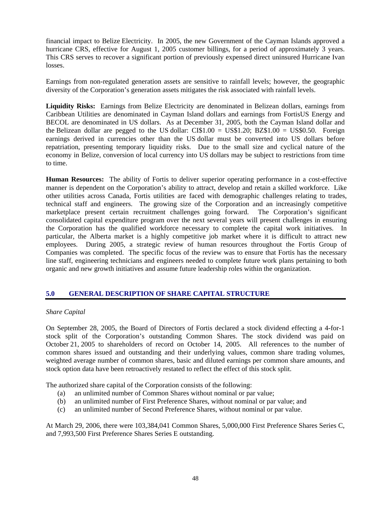financial impact to Belize Electricity. In 2005, the new Government of the Cayman Islands approved a hurricane CRS, effective for August 1, 2005 customer billings, for a period of approximately 3 years. This CRS serves to recover a significant portion of previously expensed direct uninsured Hurricane Ivan losses.

Earnings from non-regulated generation assets are sensitive to rainfall levels; however, the geographic diversity of the Corporation's generation assets mitigates the risk associated with rainfall levels.

**Liquidity Risks:** Earnings from Belize Electricity are denominated in Belizean dollars, earnings from Caribbean Utilities are denominated in Cayman Island dollars and earnings from FortisUS Energy and BECOL are denominated in US dollars. As at December 31, 2005, both the Cayman Island dollar and the Belizean dollar are pegged to the US dollar:  $CI$1.00 = US$1.20; BZ$1.00 = US$0.50. Foreign$ earnings derived in currencies other than the US dollar must be converted into US dollars before repatriation, presenting temporary liquidity risks. Due to the small size and cyclical nature of the economy in Belize, conversion of local currency into US dollars may be subject to restrictions from time to time.

**Human Resources:** The ability of Fortis to deliver superior operating performance in a cost-effective manner is dependent on the Corporation's ability to attract, develop and retain a skilled workforce. Like other utilities across Canada, Fortis utilities are faced with demographic challenges relating to trades, technical staff and engineers. The growing size of the Corporation and an increasingly competitive marketplace present certain recruitment challenges going forward. The Corporation's significant consolidated capital expenditure program over the next several years will present challenges in ensuring the Corporation has the qualified workforce necessary to complete the capital work initiatives. In particular, the Alberta market is a highly competitive job market where it is difficult to attract new employees. During 2005, a strategic review of human resources throughout the Fortis Group of Companies was completed. The specific focus of the review was to ensure that Fortis has the necessary line staff, engineering technicians and engineers needed to complete future work plans pertaining to both organic and new growth initiatives and assume future leadership roles within the organization.

# **5.0 GENERAL DESCRIPTION OF SHARE CAPITAL STRUCTURE**

#### *Share Capital*

On September 28, 2005, the Board of Directors of Fortis declared a stock dividend effecting a 4-for-1 stock split of the Corporation's outstanding Common Shares. The stock dividend was paid on October 21, 2005 to shareholders of record on October 14, 2005. All references to the number of common shares issued and outstanding and their underlying values, common share trading volumes, weighted average number of common shares, basic and diluted earnings per common share amounts, and stock option data have been retroactively restated to reflect the effect of this stock split.

The authorized share capital of the Corporation consists of the following:

- (a) an unlimited number of Common Shares without nominal or par value;
- (b) an unlimited number of First Preference Shares, without nominal or par value; and
- (c) an unlimited number of Second Preference Shares, without nominal or par value.

At March 29, 2006, there were 103,384,041 Common Shares, 5,000,000 First Preference Shares Series C, and 7,993,500 First Preference Shares Series E outstanding.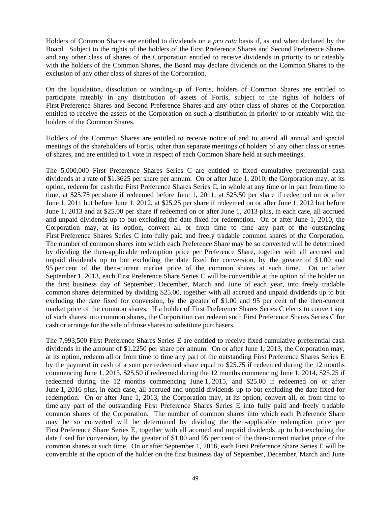Holders of Common Shares are entitled to dividends on a *pro rata* basis if, as and when declared by the Board. Subject to the rights of the holders of the First Preference Shares and Second Preference Shares and any other class of shares of the Corporation entitled to receive dividends in priority to or rateably with the holders of the Common Shares, the Board may declare dividends on the Common Shares to the exclusion of any other class of shares of the Corporation.

On the liquidation, dissolution or winding-up of Fortis, holders of Common Shares are entitled to participate rateably in any distribution of assets of Fortis, subject to the rights of holders of First Preference Shares and Second Preference Shares and any other class of shares of the Corporation entitled to receive the assets of the Corporation on such a distribution in priority to or rateably with the holders of the Common Shares.

Holders of the Common Shares are entitled to receive notice of and to attend all annual and special meetings of the shareholders of Fortis, other than separate meetings of holders of any other class or series of shares, and are entitled to 1 vote in respect of each Common Share held at such meetings.

The 5,000,000 First Preference Shares Series C are entitled to fixed cumulative preferential cash dividends at a rate of \$1.3625 per share per annum. On or after June 1, 2010, the Corporation may, at its option, redeem for cash the First Preference Shares Series C, in whole at any time or in part from time to time, at \$25.75 per share if redeemed before June 1, 2011, at \$25.50 per share if redeemed on or after June 1, 2011 but before June 1, 2012, at \$25.25 per share if redeemed on or after June 1, 2012 but before June 1, 2013 and at \$25.00 per share if redeemed on or after June 1, 2013 plus, in each case, all accrued and unpaid dividends up to but excluding the date fixed for redemption. On or after June 1, 2010, the Corporation may, at its option, convert all or from time to time any part of the outstanding First Preference Shares Series C into fully paid and freely tradable common shares of the Corporation. The number of common shares into which each Preference Share may be so converted will be determined by dividing the then-applicable redemption price per Preference Share, together with all accrued and unpaid dividends up to but excluding the date fixed for conversion, by the greater of \$1.00 and 95 per cent of the then-current market price of the common shares at such time. On or after September 1, 2013, each First Preference Share Series C will be convertible at the option of the holder on the first business day of September, December, March and June of each year, into freely tradable common shares determined by dividing \$25.00, together with all accrued and unpaid dividends up to but excluding the date fixed for conversion, by the greater of \$1.00 and 95 per cent of the then-current market price of the common shares. If a holder of First Preference Shares Series C elects to convert any of such shares into common shares, the Corporation can redeem such First Preference Shares Series C for cash or arrange for the sale of those shares to substitute purchasers.

The 7,993,500 First Preference Shares Series E are entitled to receive fixed cumulative preferential cash dividends in the amount of \$1.2250 per share per annum. On or after June 1, 2013, the Corporation may, at its option, redeem all or from time to time any part of the outstanding First Preference Shares Series E by the payment in cash of a sum per redeemed share equal to \$25.75 if redeemed during the 12 months commencing June 1, 2013, \$25.50 if redeemed during the 12 months commencing June 1, 2014, \$25.25 if redeemed during the 12 months commencing June 1, 2015, and \$25.00 if redeemed on or after June 1, 2016 plus, in each case, all accrued and unpaid dividends up to but excluding the date fixed for redemption. On or after June 1, 2013, the Corporation may, at its option, convert all, or from time to time any part of the outstanding First Preference Shares Series E into fully paid and freely tradable common shares of the Corporation. The number of common shares into which each Preference Share may be so converted will be determined by dividing the then-applicable redemption price per First Preference Share Series E, together with all accrued and unpaid dividends up to but excluding the date fixed for conversion, by the greater of \$1.00 and 95 per cent of the then-current market price of the common shares at such time. On or after September 1, 2016, each First Preference Share Series E will be convertible at the option of the holder on the first business day of September, December, March and June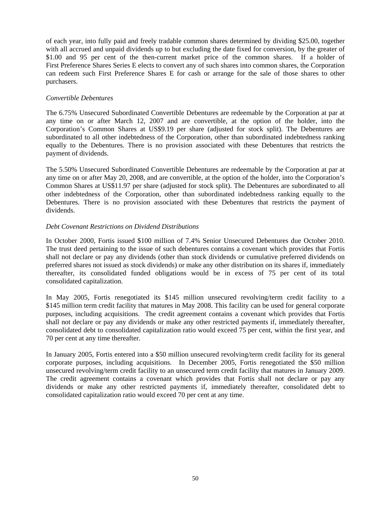of each year, into fully paid and freely tradable common shares determined by dividing \$25.00, together with all accrued and unpaid dividends up to but excluding the date fixed for conversion, by the greater of \$1.00 and 95 per cent of the then-current market price of the common shares. If a holder of First Preference Shares Series E elects to convert any of such shares into common shares, the Corporation can redeem such First Preference Shares E for cash or arrange for the sale of those shares to other purchasers.

# *Convertible Debentures*

The 6.75% Unsecured Subordinated Convertible Debentures are redeemable by the Corporation at par at any time on or after March 12, 2007 and are convertible, at the option of the holder, into the Corporation's Common Shares at US\$9.19 per share (adjusted for stock split). The Debentures are subordinated to all other indebtedness of the Corporation, other than subordinated indebtedness ranking equally to the Debentures. There is no provision associated with these Debentures that restricts the payment of dividends.

The 5.50% Unsecured Subordinated Convertible Debentures are redeemable by the Corporation at par at any time on or after May 20, 2008, and are convertible, at the option of the holder, into the Corporation's Common Shares at US\$11.97 per share (adjusted for stock split). The Debentures are subordinated to all other indebtedness of the Corporation, other than subordinated indebtedness ranking equally to the Debentures. There is no provision associated with these Debentures that restricts the payment of dividends.

# *Debt Covenant Restrictions on Dividend Distributions*

In October 2000, Fortis issued \$100 million of 7.4% Senior Unsecured Debentures due October 2010. The trust deed pertaining to the issue of such debentures contains a covenant which provides that Fortis shall not declare or pay any dividends (other than stock dividends or cumulative preferred dividends on preferred shares not issued as stock dividends) or make any other distribution on its shares if, immediately thereafter, its consolidated funded obligations would be in excess of 75 per cent of its total consolidated capitalization.

In May 2005, Fortis renegotiated its \$145 million unsecured revolving/term credit facility to a \$145 million term credit facility that matures in May 2008. This facility can be used for general corporate purposes, including acquisitions. The credit agreement contains a covenant which provides that Fortis shall not declare or pay any dividends or make any other restricted payments if, immediately thereafter, consolidated debt to consolidated capitalization ratio would exceed 75 per cent, within the first year, and 70 per cent at any time thereafter.

In January 2005, Fortis entered into a \$50 million unsecured revolving/term credit facility for its general corporate purposes, including acquisitions. In December 2005, Fortis renegotiated the \$50 million unsecured revolving/term credit facility to an unsecured term credit facility that matures in January 2009. The credit agreement contains a covenant which provides that Fortis shall not declare or pay any dividends or make any other restricted payments if, immediately thereafter, consolidated debt to consolidated capitalization ratio would exceed 70 per cent at any time.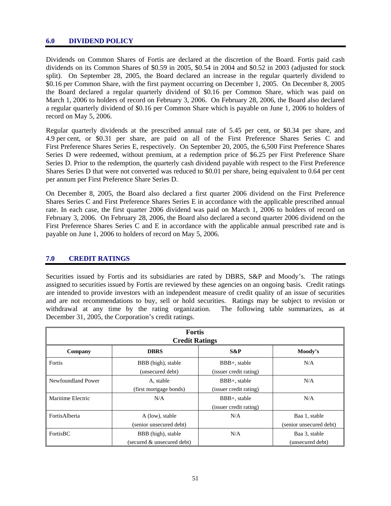#### **6.0 DIVIDEND POLICY**

Dividends on Common Shares of Fortis are declared at the discretion of the Board. Fortis paid cash dividends on its Common Shares of \$0.59 in 2005, \$0.54 in 2004 and \$0.52 in 2003 (adjusted for stock split). On September 28, 2005, the Board declared an increase in the regular quarterly dividend to \$0.16 per Common Share, with the first payment occurring on December 1, 2005. On December 8, 2005 the Board declared a regular quarterly dividend of \$0.16 per Common Share, which was paid on March 1, 2006 to holders of record on February 3, 2006. On February 28, 2006, the Board also declared a regular quarterly dividend of \$0.16 per Common Share which is payable on June 1, 2006 to holders of record on May 5, 2006.

Regular quarterly dividends at the prescribed annual rate of 5.45 per cent, or \$0.34 per share, and 4.9 per cent, or \$0.31 per share, are paid on all of the First Preference Shares Series C and First Preference Shares Series E, respectively. On September 20, 2005, the 6,500 First Preference Shares Series D were redeemed, without premium, at a redemption price of \$6.25 per First Preference Share Series D. Prior to the redemption, the quarterly cash dividend payable with respect to the First Preference Shares Series D that were not converted was reduced to \$0.01 per share, being equivalent to 0.64 per cent per annum per First Preference Share Series D.

On December 8, 2005, the Board also declared a first quarter 2006 dividend on the First Preference Shares Series C and First Preference Shares Series E in accordance with the applicable prescribed annual rate. In each case, the first quarter 2006 dividend was paid on March 1, 2006 to holders of record on February 3, 2006. On February 28, 2006, the Board also declared a second quarter 2006 dividend on the First Preference Shares Series C and E in accordance with the applicable annual prescribed rate and is payable on June 1, 2006 to holders of record on May 5, 2006.

# **7.0 CREDIT RATINGS**

Securities issued by Fortis and its subsidiaries are rated by DBRS, S&P and Moody's. The ratings assigned to securities issued by Fortis are reviewed by these agencies on an ongoing basis. Credit ratings are intended to provide investors with an independent measure of credit quality of an issue of securities and are not recommendations to buy, sell or hold securities. Ratings may be subject to revision or withdrawal at any time by the rating organization. The following table summarizes, as at December 31, 2005, the Corporation's credit ratings.

| <b>Fortis</b><br><b>Credit Ratings</b> |                                                  |                                        |                                          |  |
|----------------------------------------|--------------------------------------------------|----------------------------------------|------------------------------------------|--|
| Company                                | <b>DBRS</b>                                      | S&P                                    | Moody's                                  |  |
| Fortis                                 | BBB (high), stable<br>(unsecured debt)           | BBB+, stable<br>(issuer credit rating) | N/A                                      |  |
| Newfoundland Power                     | A, stable<br>(first mortgage bonds)              | BBB+, stable<br>(issuer credit rating) | N/A                                      |  |
| Maritime Electric                      | N/A                                              | BBB+, stable<br>(issuer credit rating) | N/A                                      |  |
| FortisAlberta                          | A (low), stable<br>(senior unsecured debt)       | N/A                                    | Baa 1, stable<br>(senior unsecured debt) |  |
| FortisBC                               | BBB (high), stable<br>(secured & unsecured debt) | N/A                                    | Baa 3, stable<br>(unsecured debt)        |  |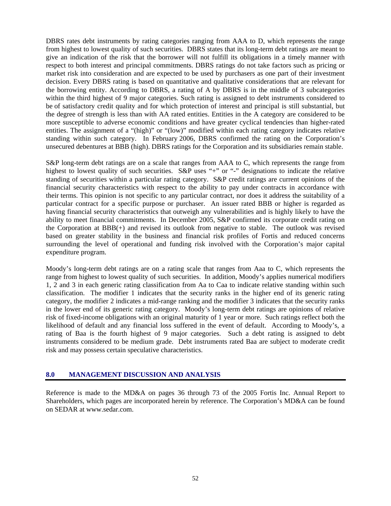DBRS rates debt instruments by rating categories ranging from AAA to D, which represents the range from highest to lowest quality of such securities. DBRS states that its long-term debt ratings are meant to give an indication of the risk that the borrower will not fulfill its obligations in a timely manner with respect to both interest and principal commitments. DBRS ratings do not take factors such as pricing or market risk into consideration and are expected to be used by purchasers as one part of their investment decision. Every DBRS rating is based on quantitative and qualitative considerations that are relevant for the borrowing entity. According to DBRS, a rating of A by DBRS is in the middle of 3 subcategories within the third highest of 9 major categories. Such rating is assigned to debt instruments considered to be of satisfactory credit quality and for which protection of interest and principal is still substantial, but the degree of strength is less than with AA rated entities. Entities in the A category are considered to be more susceptible to adverse economic conditions and have greater cyclical tendencies than higher-rated entities. The assignment of a "(high)" or "(low)" modified within each rating category indicates relative standing within such category. In February 2006, DBRS confirmed the rating on the Corporation's unsecured debentures at BBB (high). DBRS ratings for the Corporation and its subsidiaries remain stable.

S&P long-term debt ratings are on a scale that ranges from AAA to C, which represents the range from highest to lowest quality of such securities. S&P uses "+" or "-" designations to indicate the relative standing of securities within a particular rating category. S&P credit ratings are current opinions of the financial security characteristics with respect to the ability to pay under contracts in accordance with their terms. This opinion is not specific to any particular contract, nor does it address the suitability of a particular contract for a specific purpose or purchaser. An issuer rated BBB or higher is regarded as having financial security characteristics that outweigh any vulnerabilities and is highly likely to have the ability to meet financial commitments. In December 2005, S&P confirmed its corporate credit rating on the Corporation at BBB(+) and revised its outlook from negative to stable. The outlook was revised based on greater stability in the business and financial risk profiles of Fortis and reduced concerns surrounding the level of operational and funding risk involved with the Corporation's major capital expenditure program.

Moody's long-term debt ratings are on a rating scale that ranges from Aaa to C, which represents the range from highest to lowest quality of such securities. In addition, Moody's applies numerical modifiers 1, 2 and 3 in each generic rating classification from Aa to Caa to indicate relative standing within such classification. The modifier 1 indicates that the security ranks in the higher end of its generic rating category, the modifier 2 indicates a mid-range ranking and the modifier 3 indicates that the security ranks in the lower end of its generic rating category. Moody's long-term debt ratings are opinions of relative risk of fixed-income obligations with an original maturity of 1 year or more. Such ratings reflect both the likelihood of default and any financial loss suffered in the event of default. According to Moody's, a rating of Baa is the fourth highest of 9 major categories. Such a debt rating is assigned to debt instruments considered to be medium grade. Debt instruments rated Baa are subject to moderate credit risk and may possess certain speculative characteristics.

## **8.0 MANAGEMENT DISCUSSION AND ANALYSIS**

Reference is made to the MD&A on pages 36 through 73 of the 2005 Fortis Inc. Annual Report to Shareholders, which pages are incorporated herein by reference. The Corporation's MD&A can be found on SEDAR at www.sedar.com.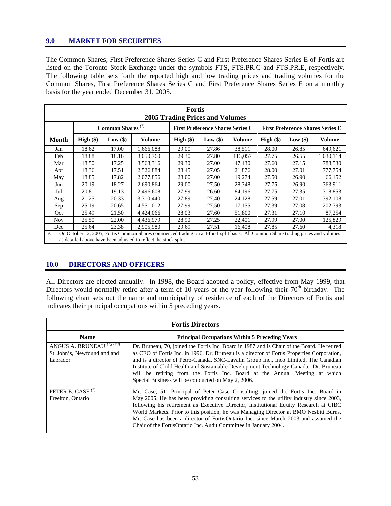#### **9.0 MARKET FOR SECURITIES**

The Common Shares, First Preference Shares Series C and First Preference Shares Series E of Fortis are listed on the Toronto Stock Exchange under the symbols FTS, FTS.PR.C and FTS.PR.E, respectively. The following table sets forth the reported high and low trading prices and trading volumes for the Common Shares, First Preference Shares Series C and First Preference Shares Series E on a monthly basis for the year ended December 31, 2005.

| <b>Fortis</b>                                                           |                                                                                                                                                                                                       |            |           |             |            |               |                                         |            |               |
|-------------------------------------------------------------------------|-------------------------------------------------------------------------------------------------------------------------------------------------------------------------------------------------------|------------|-----------|-------------|------------|---------------|-----------------------------------------|------------|---------------|
|                                                                         | <b>2005 Trading Prices and Volumes</b>                                                                                                                                                                |            |           |             |            |               |                                         |            |               |
| Common Shares <sup>(1)</sup><br><b>First Preference Shares Series C</b> |                                                                                                                                                                                                       |            |           |             |            |               | <b>First Preference Shares Series E</b> |            |               |
| Month                                                                   | $High (\$)$                                                                                                                                                                                           | Low $(\$)$ | Volume    | $High (\$)$ | Low $(\$)$ | <b>Volume</b> | $High (\$)$                             | Low $(\$)$ | <b>Volume</b> |
| Jan                                                                     | 18.62                                                                                                                                                                                                 | 17.00      | 1,666,088 | 29.00       | 27.86      | 38,511        | 28.00                                   | 26.85      | 649,621       |
| Feb                                                                     | 18.88                                                                                                                                                                                                 | 18.16      | 3,050,760 | 29.30       | 27.80      | 113,057       | 27.75                                   | 26.55      | 1,030,114     |
| Mar                                                                     | 18.50                                                                                                                                                                                                 | 17.25      | 3,568,316 | 29.30       | 27.00      | 47,130        | 27.60                                   | 27.15      | 788,530       |
| Apr                                                                     | 18.36                                                                                                                                                                                                 | 17.51      | 2,526,884 | 28.45       | 27.05      | 21,876        | 28.00                                   | 27.01      | 777,754       |
| May                                                                     | 18.85                                                                                                                                                                                                 | 17.82      | 2,077,856 | 28.00       | 27.00      | 19,274        | 27.50                                   | 26.90      | 66,152        |
| Jun                                                                     | 20.19                                                                                                                                                                                                 | 18.27      | 2,690,864 | 29.00       | 27.50      | 28,348        | 27.75                                   | 26.90      | 363,911       |
| Jul                                                                     | 20.81                                                                                                                                                                                                 | 19.13      | 2,496,608 | 27.99       | 26.60      | 84,196        | 27.75                                   | 27.35      | 318,853       |
| Aug                                                                     | 21.25                                                                                                                                                                                                 | 20.33      | 3,310,440 | 27.89       | 27.40      | 24,128        | 27.59                                   | 27.01      | 392,108       |
| Sep                                                                     | 25.19                                                                                                                                                                                                 | 20.65      | 4,551,012 | 27.99       | 27.50      | 17,155        | 27.39                                   | 27.08      | 202,793       |
| Oct                                                                     | 25.49                                                                                                                                                                                                 | 21.50      | 4,424,066 | 28.03       | 27.60      | 51,800        | 27.31                                   | 27.10      | 87,254        |
| <b>Nov</b>                                                              | 25.50                                                                                                                                                                                                 | 22.00      | 4,436,979 | 28.90       | 27.25      | 22,401        | 27.99                                   | 27.00      | 125,829       |
| Dec                                                                     | 25.64                                                                                                                                                                                                 | 23.38      | 2,905,980 | 29.69       | 27.51      | 16,408        | 27.85                                   | 27.60      | 4,318         |
| (1)                                                                     | On October 12, 2005, Fortis Common Shares commenced trading on a 4-for-1 split basis. All Common Share trading prices and volumes<br>as detailed above have been adjusted to reflect the stock split. |            |           |             |            |               |                                         |            |               |

#### **10.0 DIRECTORS AND OFFICERS**

All Directors are elected annually. In 1998, the Board adopted a policy, effective from May 1999, that Directors would normally retire after a term of 10 years or the year following their  $70<sup>th</sup>$  birthday. The following chart sets out the name and municipality of residence of each of the Directors of Fortis and indicates their principal occupations within 5 preceding years.

| <b>Fortis Directors</b>                                                           |                                                                                                                                                                                                                                                                                                                                                                                                                                                                                                                           |  |
|-----------------------------------------------------------------------------------|---------------------------------------------------------------------------------------------------------------------------------------------------------------------------------------------------------------------------------------------------------------------------------------------------------------------------------------------------------------------------------------------------------------------------------------------------------------------------------------------------------------------------|--|
| <b>Name</b>                                                                       | <b>Principal Occupations Within 5 Preceding Years</b>                                                                                                                                                                                                                                                                                                                                                                                                                                                                     |  |
| ANGUS A. BRUNEAU <sup>(1)(2)(3)</sup><br>St. John's, Newfoundland and<br>Labrador | Dr. Bruneau, 70, joined the Fortis Inc. Board in 1987 and is Chair of the Board. He retired<br>as CEO of Fortis Inc. in 1996. Dr. Bruneau is a director of Fortis Properties Corporation,<br>and is a director of Petro-Canada, SNC-Lavalin Group Inc., Inco Limited, The Canadian<br>Institute of Child Health and Sustainable Development Technology Canada. Dr. Bruneau<br>will be retiring from the Fortis Inc. Board at the Annual Meeting at which<br>Special Business will be conducted on May 2, 2006.            |  |
| PETER E. CASE $(1)$<br>Freelton, Ontario                                          | Mr. Case, 51, Principal of Peter Case Consulting, joined the Fortis Inc. Board in<br>May 2005. He has been providing consulting services to the utility industry since 2003,<br>following his retirement as Executive Director, Institutional Equity Research at CIBC<br>World Markets. Prior to this position, he was Managing Director at BMO Nesbitt Burns.<br>Mr. Case has been a director of FortisOntario Inc. since March 2003 and assumed the<br>Chair of the FortisOntario Inc. Audit Committee in January 2004. |  |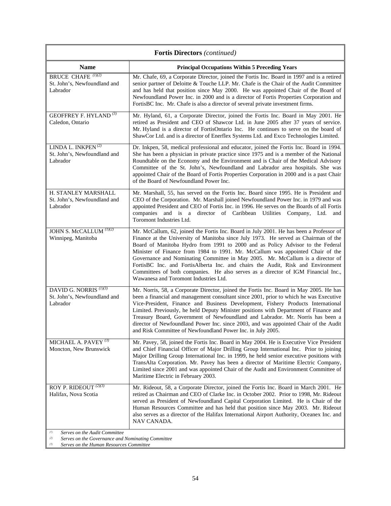| <b>Fortis Directors</b> (continued)                                                                                                                |                                                                                                                                                                                                                                                                                                                                                                                                                                                                                                                                                                                                                                                       |  |
|----------------------------------------------------------------------------------------------------------------------------------------------------|-------------------------------------------------------------------------------------------------------------------------------------------------------------------------------------------------------------------------------------------------------------------------------------------------------------------------------------------------------------------------------------------------------------------------------------------------------------------------------------------------------------------------------------------------------------------------------------------------------------------------------------------------------|--|
| <b>Name</b>                                                                                                                                        | <b>Principal Occupations Within 5 Preceding Years</b>                                                                                                                                                                                                                                                                                                                                                                                                                                                                                                                                                                                                 |  |
| <b>BRUCE CHAFE</b> (1)(2)<br>St. John's, Newfoundland and<br>Labrador                                                                              | Mr. Chafe, 69, a Corporate Director, joined the Fortis Inc. Board in 1997 and is a retired<br>senior partner of Deloitte & Touche LLP. Mr. Chafe is the Chair of the Audit Committee<br>and has held that position since May 2000. He was appointed Chair of the Board of<br>Newfoundland Power Inc. in 2000 and is a director of Fortis Properties Corporation and<br>FortisBC Inc. Mr. Chafe is also a director of several private investment firms.                                                                                                                                                                                                |  |
| <b>GEOFFREY F. HYLAND</b> <sup>(3)</sup><br>Caledon, Ontario                                                                                       | Mr. Hyland, 61, a Corporate Director, joined the Fortis Inc. Board in May 2001. He<br>retired as President and CEO of Shawcor Ltd. in June 2005 after 37 years of service.<br>Mr. Hyland is a director of FortisOntario Inc. He continues to serve on the board of<br>ShawCor Ltd. and is a director of Enerflex Systems Ltd. and Exco Technologies Limited.                                                                                                                                                                                                                                                                                          |  |
| LINDA L. INKPEN $^{(2)}$<br>St. John's, Newfoundland and<br>Labrador                                                                               | Dr. Inkpen, 58, medical professional and educator, joined the Fortis Inc. Board in 1994.<br>She has been a physician in private practice since 1975 and is a member of the National<br>Roundtable on the Economy and the Environment and is Chair of the Medical Advisory<br>Committee of the St. John's, Newfoundland and Labrador area hospitals. She was<br>appointed Chair of the Board of Fortis Properties Corporation in 2000 and is a past Chair<br>of the Board of Newfoundland Power Inc.                                                                                                                                                   |  |
| H. STANLEY MARSHALL<br>St. John's, Newfoundland and<br>Labrador                                                                                    | Mr. Marshall, 55, has served on the Fortis Inc. Board since 1995. He is President and<br>CEO of the Corporation. Mr. Marshall joined Newfoundland Power Inc. in 1979 and was<br>appointed President and CEO of Fortis Inc. in 1996. He serves on the Boards of all Fortis<br>companies and is a director of Caribbean Utilities Company, Ltd.<br>and<br>Toromont Industries Ltd.                                                                                                                                                                                                                                                                      |  |
| JOHN $\overline{S}$ . McCALLUM $^{(1)(2)}$<br>Winnipeg, Manitoba                                                                                   | Mr. McCallum, 62, joined the Fortis Inc. Board in July 2001. He has been a Professor of<br>Finance at the University of Manitoba since July 1973. He served as Chairman of the<br>Board of Manitoba Hydro from 1991 to 2000 and as Policy Advisor to the Federal<br>Minister of Finance from 1984 to 1991. Mr. McCallum was appointed Chair of the<br>Governance and Nominating Committee in May 2005. Mr. McCallum is a director of<br>FortisBC Inc. and FortisAlberta Inc. and chairs the Audit, Risk and Environment<br>Committees of both companies. He also serves as a director of IGM Financial Inc.,<br>Wawanesa and Toromont Industries Ltd. |  |
| DAVID G. NORRIS <sup>(1)(3)</sup><br>St. John's, Newfoundland and<br>Labrador                                                                      | Mr. Norris, 58, a Corporate Director, joined the Fortis Inc. Board in May 2005. He has<br>been a financial and management consultant since 2001, prior to which he was Executive<br>Vice-President, Finance and Business Development, Fishery Products International<br>Limited. Previously, he held Deputy Minister positions with Department of Finance and<br>Treasury Board, Government of Newfoundland and Labrador. Mr. Norris has been a<br>director of Newfoundland Power Inc. since 2003, and was appointed Chair of the Audit<br>and Risk Committee of Newfoundland Power Inc. in July 2005.                                                |  |
| MICHAEL A. PAVEY $^{(3)}$<br>Moncton, New Brunswick                                                                                                | Mr. Pavey, 58, joined the Fortis Inc. Board in May 2004. He is Executive Vice President<br>and Chief Financial Officer of Major Drilling Group International Inc. Prior to joining<br>Major Drilling Group International Inc. in 1999, he held senior executive positions with<br>TransAlta Corporation. Mr. Pavey has been a director of Maritime Electric Company,<br>Limited since 2001 and was appointed Chair of the Audit and Environment Committee of<br>Maritime Electric in February 2003.                                                                                                                                                   |  |
| ROY P. RIDEOUT <sup>(2)(3)</sup><br>Halifax, Nova Scotia                                                                                           | Mr. Rideout, 58, a Corporate Director, joined the Fortis Inc. Board in March 2001. He<br>retired as Chairman and CEO of Clarke Inc. in October 2002. Prior to 1998, Mr. Rideout<br>served as President of Newfoundland Capital Corporation Limited. He is Chair of the<br>Human Resources Committee and has held that position since May 2003. Mr. Rideout<br>also serves as a director of the Halifax International Airport Authority, Oceanex Inc. and<br>NAV CANADA.                                                                                                                                                                               |  |
| Serves on the Audit Committee<br>(1)<br>Serves on the Governance and Nominating Committee<br>(2)<br>Serves on the Human Resources Committee<br>(3) |                                                                                                                                                                                                                                                                                                                                                                                                                                                                                                                                                                                                                                                       |  |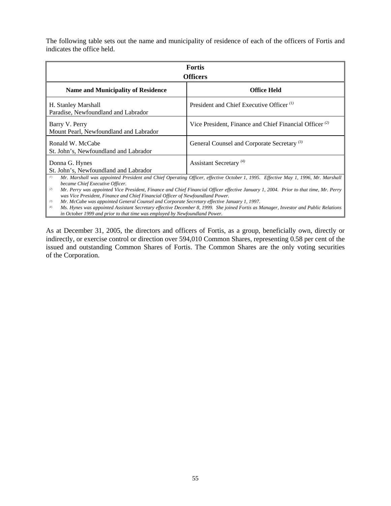The following table sets out the name and municipality of residence of each of the officers of Fortis and indicates the office held.

| <b>Fortis</b><br><b>Officers</b>                                                                                                                                                                                                                                                                                                                                                                                                                                                                                  |                                                                    |  |  |
|-------------------------------------------------------------------------------------------------------------------------------------------------------------------------------------------------------------------------------------------------------------------------------------------------------------------------------------------------------------------------------------------------------------------------------------------------------------------------------------------------------------------|--------------------------------------------------------------------|--|--|
| <b>Name and Municipality of Residence</b>                                                                                                                                                                                                                                                                                                                                                                                                                                                                         | <b>Office Held</b>                                                 |  |  |
| H. Stanley Marshall<br>Paradise, Newfoundland and Labrador                                                                                                                                                                                                                                                                                                                                                                                                                                                        | President and Chief Executive Officer <sup>(1)</sup>               |  |  |
| Barry V. Perry<br>Mount Pearl, Newfoundland and Labrador                                                                                                                                                                                                                                                                                                                                                                                                                                                          | Vice President, Finance and Chief Financial Officer <sup>(2)</sup> |  |  |
| Ronald W. McCabe<br>St. John's, Newfoundland and Labrador                                                                                                                                                                                                                                                                                                                                                                                                                                                         | General Counsel and Corporate Secretary <sup>(3)</sup>             |  |  |
| Assistant Secretary <sup>(4)</sup><br>Donna G. Hynes<br>St. John's, Newfoundland and Labrador                                                                                                                                                                                                                                                                                                                                                                                                                     |                                                                    |  |  |
| Mr. Marshall was appointed President and Chief Operating Officer, effective October 1, 1995. Effective May 1, 1996, Mr. Marshall<br>(1)<br>became Chief Executive Officer.<br>Mr. Perry was appointed Vice President, Finance and Chief Financial Officer effective January 1, 2004. Prior to that time, Mr. Perry<br>(2)<br>was Vice President, Finance and Chief Financial Officer of Newfoundland Power.<br>(3)<br>Mr. McCabe was appointed General Counsel and Corporate Secretary effective January 1, 1997. |                                                                    |  |  |

*(4) Ms. Hynes was appointed Assistant Secretary effective December 8, 1999. She joined Fortis as Manager, Investor and Public Relations in October 1999 and prior to that time was employed by Newfoundland Power.* 

As at December 31, 2005, the directors and officers of Fortis, as a group, beneficially own, directly or indirectly, or exercise control or direction over 594,010 Common Shares, representing 0.58 per cent of the issued and outstanding Common Shares of Fortis. The Common Shares are the only voting securities of the Corporation.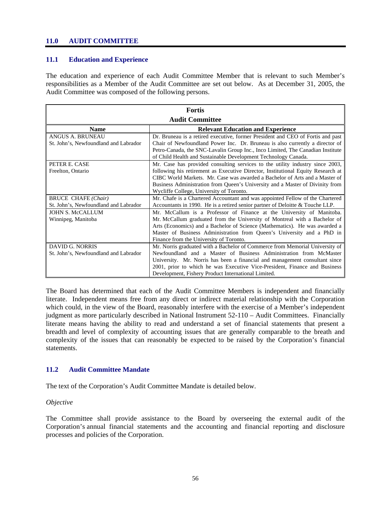#### **11.0 AUDIT COMMITTEE**

#### **11.1 Education and Experience**

The education and experience of each Audit Committee Member that is relevant to such Member's responsibilities as a Member of the Audit Committee are set out below. As at December 31, 2005, the Audit Committee was composed of the following persons.

| <b>Fortis</b>                         |                                                                                  |  |
|---------------------------------------|----------------------------------------------------------------------------------|--|
|                                       | <b>Audit Committee</b>                                                           |  |
| <b>Name</b>                           | <b>Relevant Education and Experience</b>                                         |  |
| ANGUS A. BRUNEAU                      | Dr. Bruneau is a retired executive, former President and CEO of Fortis and past  |  |
| St. John's, Newfoundland and Labrador | Chair of Newfoundland Power Inc. Dr. Bruneau is also currently a director of     |  |
|                                       | Petro-Canada, the SNC-Lavalin Group Inc., Inco Limited, The Canadian Institute   |  |
|                                       | of Child Health and Sustainable Development Technology Canada.                   |  |
| PETER E. CASE                         | Mr. Case has provided consulting services to the utility industry since 2003,    |  |
| Freelton, Ontario                     | following his retirement as Executive Director, Institutional Equity Research at |  |
|                                       | CIBC World Markets. Mr. Case was awarded a Bachelor of Arts and a Master of      |  |
|                                       | Business Administration from Queen's University and a Master of Divinity from    |  |
|                                       | Wycliffe College, University of Toronto.                                         |  |
| <b>BRUCE CHAFE (Chair)</b>            | Mr. Chafe is a Chartered Accountant and was appointed Fellow of the Chartered    |  |
| St. John's, Newfoundland and Labrador | Accountants in 1990. He is a retired senior partner of Deloitte & Touche LLP.    |  |
| <b>JOHN S. McCALLUM</b>               | Mr. McCallum is a Professor of Finance at the University of Manitoba.            |  |
| Winnipeg, Manitoba                    | Mr. McCallum graduated from the University of Montreal with a Bachelor of        |  |
|                                       | Arts (Economics) and a Bachelor of Science (Mathematics). He was awarded a       |  |
|                                       | Master of Business Administration from Queen's University and a PhD in           |  |
|                                       | Finance from the University of Toronto.                                          |  |
| <b>DAVID G. NORRIS</b>                | Mr. Norris graduated with a Bachelor of Commerce from Memorial University of     |  |
| St. John's, Newfoundland and Labrador | Newfoundland and a Master of Business Administration from McMaster               |  |
|                                       | University. Mr. Norris has been a financial and management consultant since      |  |
|                                       | 2001, prior to which he was Executive Vice-President, Finance and Business       |  |
|                                       | Development, Fishery Product International Limited.                              |  |

The Board has determined that each of the Audit Committee Members is independent and financially literate. Independent means free from any direct or indirect material relationship with the Corporation which could, in the view of the Board, reasonably interfere with the exercise of a Member's independent judgment as more particularly described in National Instrument 52-110 – Audit Committees. Financially literate means having the ability to read and understand a set of financial statements that present a breadth and level of complexity of accounting issues that are generally comparable to the breath and complexity of the issues that can reasonably be expected to be raised by the Corporation's financial statements.

## **11.2 Audit Committee Mandate**

The text of the Corporation's Audit Committee Mandate is detailed below.

#### *Objective*

The Committee shall provide assistance to the Board by overseeing the external audit of the Corporation's annual financial statements and the accounting and financial reporting and disclosure processes and policies of the Corporation.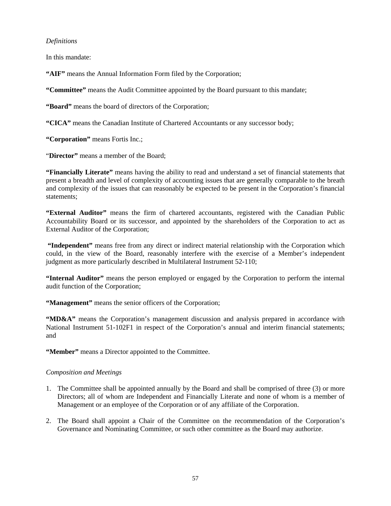# *Definitions*

In this mandate:

**"AIF"** means the Annual Information Form filed by the Corporation;

**"Committee"** means the Audit Committee appointed by the Board pursuant to this mandate;

**"Board"** means the board of directors of the Corporation;

**"CICA"** means the Canadian Institute of Chartered Accountants or any successor body;

**"Corporation"** means Fortis Inc.;

"**Director"** means a member of the Board;

**"Financially Literate"** means having the ability to read and understand a set of financial statements that present a breadth and level of complexity of accounting issues that are generally comparable to the breath and complexity of the issues that can reasonably be expected to be present in the Corporation's financial statements;

**"External Auditor"** means the firm of chartered accountants, registered with the Canadian Public Accountability Board or its successor, and appointed by the shareholders of the Corporation to act as External Auditor of the Corporation;

 **"Independent"** means free from any direct or indirect material relationship with the Corporation which could, in the view of the Board, reasonably interfere with the exercise of a Member's independent judgment as more particularly described in Multilateral Instrument 52-110;

**"Internal Auditor"** means the person employed or engaged by the Corporation to perform the internal audit function of the Corporation;

 **"Management"** means the senior officers of the Corporation;

**"MD&A"** means the Corporation's management discussion and analysis prepared in accordance with National Instrument 51-102F1 in respect of the Corporation's annual and interim financial statements; and

 **"Member"** means a Director appointed to the Committee.

## *Composition and Meetings*

- 1. The Committee shall be appointed annually by the Board and shall be comprised of three (3) or more Directors; all of whom are Independent and Financially Literate and none of whom is a member of Management or an employee of the Corporation or of any affiliate of the Corporation.
- 2. The Board shall appoint a Chair of the Committee on the recommendation of the Corporation's Governance and Nominating Committee, or such other committee as the Board may authorize.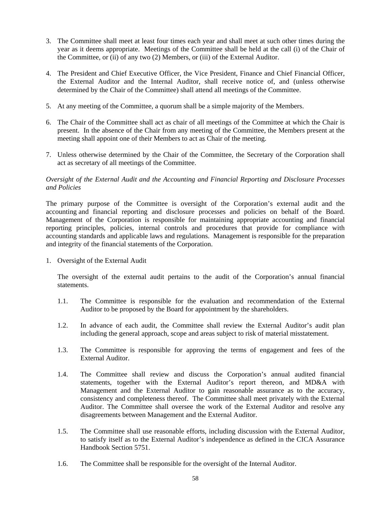- 3. The Committee shall meet at least four times each year and shall meet at such other times during the year as it deems appropriate. Meetings of the Committee shall be held at the call (i) of the Chair of the Committee, or (ii) of any two (2) Members, or (iii) of the External Auditor.
- 4. The President and Chief Executive Officer, the Vice President, Finance and Chief Financial Officer, the External Auditor and the Internal Auditor, shall receive notice of, and (unless otherwise determined by the Chair of the Committee) shall attend all meetings of the Committee.
- 5. At any meeting of the Committee, a quorum shall be a simple majority of the Members.
- 6. The Chair of the Committee shall act as chair of all meetings of the Committee at which the Chair is present. In the absence of the Chair from any meeting of the Committee, the Members present at the meeting shall appoint one of their Members to act as Chair of the meeting.
- 7. Unless otherwise determined by the Chair of the Committee, the Secretary of the Corporation shall act as secretary of all meetings of the Committee.

# *Oversight of the External Audit and the Accounting and Financial Reporting and Disclosure Processes and Policies*

The primary purpose of the Committee is oversight of the Corporation's external audit and the accounting and financial reporting and disclosure processes and policies on behalf of the Board. Management of the Corporation is responsible for maintaining appropriate accounting and financial reporting principles, policies, internal controls and procedures that provide for compliance with accounting standards and applicable laws and regulations. Management is responsible for the preparation and integrity of the financial statements of the Corporation.

1. Oversight of the External Audit

The oversight of the external audit pertains to the audit of the Corporation's annual financial statements.

- 1.1. The Committee is responsible for the evaluation and recommendation of the External Auditor to be proposed by the Board for appointment by the shareholders.
- 1.2. In advance of each audit, the Committee shall review the External Auditor's audit plan including the general approach, scope and areas subject to risk of material misstatement.
- 1.3. The Committee is responsible for approving the terms of engagement and fees of the External Auditor.
- 1.4. The Committee shall review and discuss the Corporation's annual audited financial statements, together with the External Auditor's report thereon, and MD&A with Management and the External Auditor to gain reasonable assurance as to the accuracy, consistency and completeness thereof. The Committee shall meet privately with the External Auditor. The Committee shall oversee the work of the External Auditor and resolve any disagreements between Management and the External Auditor.
- 1.5. The Committee shall use reasonable efforts, including discussion with the External Auditor, to satisfy itself as to the External Auditor's independence as defined in the CICA Assurance Handbook Section 5751.
- 1.6. The Committee shall be responsible for the oversight of the Internal Auditor.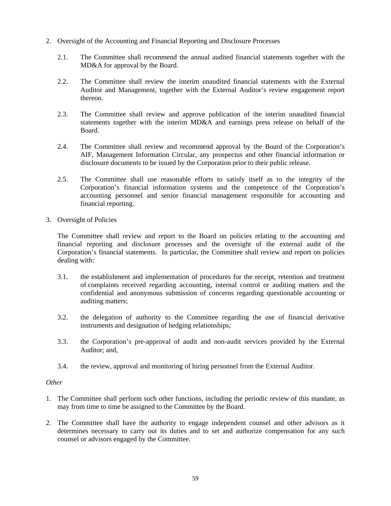- 2. Oversight of the Accounting and Financial Reporting and Disclosure Processes
	- 2.1. The Committee shall recommend the annual audited financial statements together with the MD&A for approval by the Board.
	- 2.2. The Committee shall review the interim unaudited financial statements with the External Auditor and Management, together with the External Auditor's review engagement report thereon.
	- 2.3. The Committee shall review and approve publication of the interim unaudited financial statements together with the interim MD&A and earnings press release on behalf of the Board.
	- 2.4. The Committee shall review and recommend approval by the Board of the Corporation's AIF, Management Information Circular, any prospectus and other financial information or disclosure documents to be issued by the Corporation prior to their public release.
	- 2.5. The Committee shall use reasonable efforts to satisfy itself as to the integrity of the Corporation's financial information systems and the competence of the Corporation's accounting personnel and senior financial management responsible for accounting and financial reporting.
- 3. Oversight of Policies

The Committee shall review and report to the Board on policies relating to the accounting and financial reporting and disclosure processes and the oversight of the external audit of the Corporation's financial statements. In particular, the Committee shall review and report on policies dealing with:

- 3.1. the establishment and implementation of procedures for the receipt, retention and treatment of complaints received regarding accounting, internal control or auditing matters and the confidential and anonymous submission of concerns regarding questionable accounting or auditing matters;
- 3.2. the delegation of authority to the Committee regarding the use of financial derivative instruments and designation of hedging relationships;
- 3.3. the Corporation's pre-approval of audit and non-audit services provided by the External Auditor; and,
- 3.4. the review, approval and monitoring of hiring personnel from the External Auditor.

## *Other*

- 1. The Committee shall perform such other functions, including the periodic review of this mandate, as may from time to time be assigned to the Committee by the Board.
- 2. The Committee shall have the authority to engage independent counsel and other advisors as it determines necessary to carry out its duties and to set and authorize compensation for any such counsel or advisors engaged by the Committee.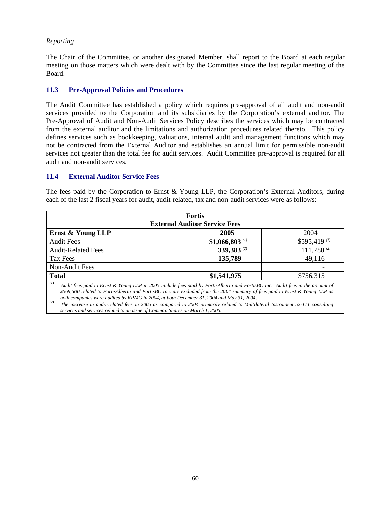# *Reporting*

The Chair of the Committee, or another designated Member, shall report to the Board at each regular meeting on those matters which were dealt with by the Committee since the last regular meeting of the Board.

# **11.3 Pre-Approval Policies and Procedures**

The Audit Committee has established a policy which requires pre-approval of all audit and non-audit services provided to the Corporation and its subsidiaries by the Corporation's external auditor. The Pre-Approval of Audit and Non-Audit Services Policy describes the services which may be contracted from the external auditor and the limitations and authorization procedures related thereto. This policy defines services such as bookkeeping, valuations, internal audit and management functions which may not be contracted from the External Auditor and establishes an annual limit for permissible non-audit services not greater than the total fee for audit services. Audit Committee pre-approval is required for all audit and non-audit services.

#### **11.4 External Auditor Service Fees**

The fees paid by the Corporation to Ernst & Young LLP, the Corporation's External Auditors, during each of the last 2 fiscal years for audit, audit-related, tax and non-audit services were as follows:

| <b>Fortis</b><br><b>External Auditor Service Fees</b>                                                                                |                             |                 |
|--------------------------------------------------------------------------------------------------------------------------------------|-----------------------------|-----------------|
| Ernst & Young LLP                                                                                                                    | 2005                        | 2004            |
| <b>Audit Fees</b>                                                                                                                    | $$1,066,803$ <sup>(1)</sup> | $$595,419$ (1)  |
| <b>Audit-Related Fees</b>                                                                                                            | 339,383 <sup>(2)</sup>      | $111,780^{(2)}$ |
| Tax Fees                                                                                                                             | 135,789                     | 49,116          |
| Non-Audit Fees                                                                                                                       | ۰                           |                 |
| <b>Total</b>                                                                                                                         | \$1,541,975                 | \$756,315       |
| (I)<br>Audit fees paid to Ernst & Young LLP in 2005 include fees paid by FortisAlberta and FortisBC Inc. Audit fees in the amount of |                             |                 |

*\$569,500 related to FortisAlberta and FortisBC Inc. are excluded from the 2004 summary of fees paid to Ernst & Young LLP as both companies were audited by KPMG in 2004, at both December 31, 2004 and May 31, 2004.* 

<sup>(2)</sup> The increase in audit-related fees in 2005 as compared to 2004 primarily related to Multilateral Instrument 52-111 consulting *services and services related to an issue of Common Shares on March 1, 2005.*